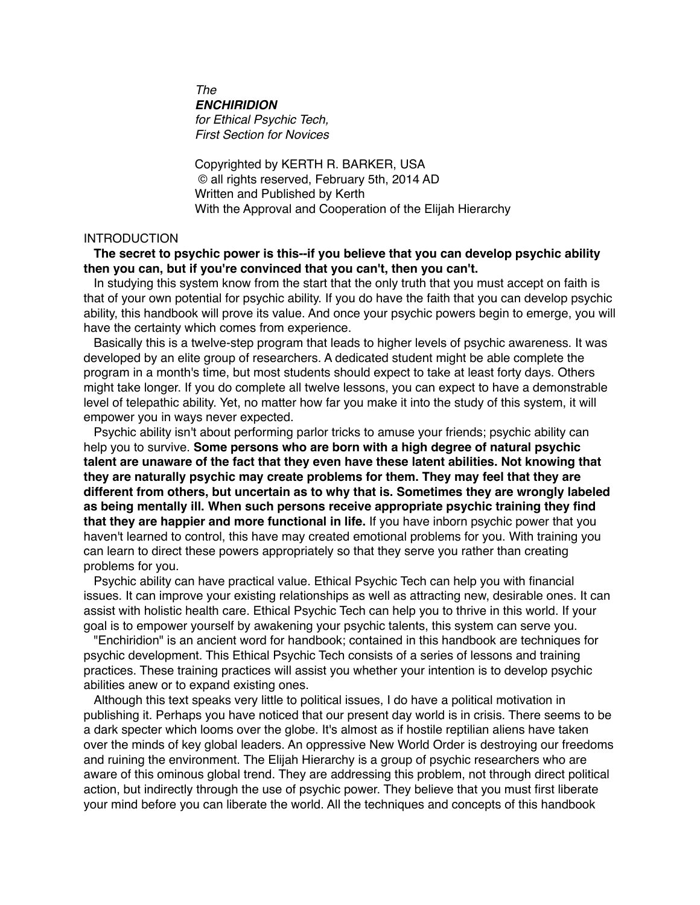*The ENCHIRIDION for Ethical Psychic Tech, First Section for Novices*

Copyrighted by KERTH R. BARKER, USA © all rights reserved, February 5th, 2014 AD Written and Published by Kerth With the Approval and Cooperation of the Elijah Hierarchy

# INTRODUCTION

**The secret to psychic power is this--if you believe that you can develop psychic ability then you can, but if you're convinced that you can't, then you can't.**

In studying this system know from the start that the only truth that you must accept on faith is that of your own potential for psychic ability. If you do have the faith that you can develop psychic ability, this handbook will prove its value. And once your psychic powers begin to emerge, you will have the certainty which comes from experience.

Basically this is a twelve-step program that leads to higher levels of psychic awareness. It was developed by an elite group of researchers. A dedicated student might be able complete the program in a month's time, but most students should expect to take at least forty days. Others might take longer. If you do complete all twelve lessons, you can expect to have a demonstrable level of telepathic ability. Yet, no matter how far you make it into the study of this system, it will empower you in ways never expected.

Psychic ability isn't about performing parlor tricks to amuse your friends; psychic ability can help you to survive. **Some persons who are born with a high degree of natural psychic talent are unaware of the fact that they even have these latent abilities. Not knowing that they are naturally psychic may create problems for them. They may feel that they are different from others, but uncertain as to why that is. Sometimes they are wrongly labeled as being mentally ill. When such persons receive appropriate psychic training they find that they are happier and more functional in life.** If you have inborn psychic power that you haven't learned to control, this have may created emotional problems for you. With training you can learn to direct these powers appropriately so that they serve you rather than creating problems for you.

Psychic ability can have practical value. Ethical Psychic Tech can help you with financial issues. It can improve your existing relationships as well as attracting new, desirable ones. It can assist with holistic health care. Ethical Psychic Tech can help you to thrive in this world. If your goal is to empower yourself by awakening your psychic talents, this system can serve you.

"Enchiridion" is an ancient word for handbook; contained in this handbook are techniques for psychic development. This Ethical Psychic Tech consists of a series of lessons and training practices. These training practices will assist you whether your intention is to develop psychic abilities anew or to expand existing ones.

Although this text speaks very little to political issues, I do have a political motivation in publishing it. Perhaps you have noticed that our present day world is in crisis. There seems to be a dark specter which looms over the globe. It's almost as if hostile reptilian aliens have taken over the minds of key global leaders. An oppressive New World Order is destroying our freedoms and ruining the environment. The Elijah Hierarchy is a group of psychic researchers who are aware of this ominous global trend. They are addressing this problem, not through direct political action, but indirectly through the use of psychic power. They believe that you must first liberate your mind before you can liberate the world. All the techniques and concepts of this handbook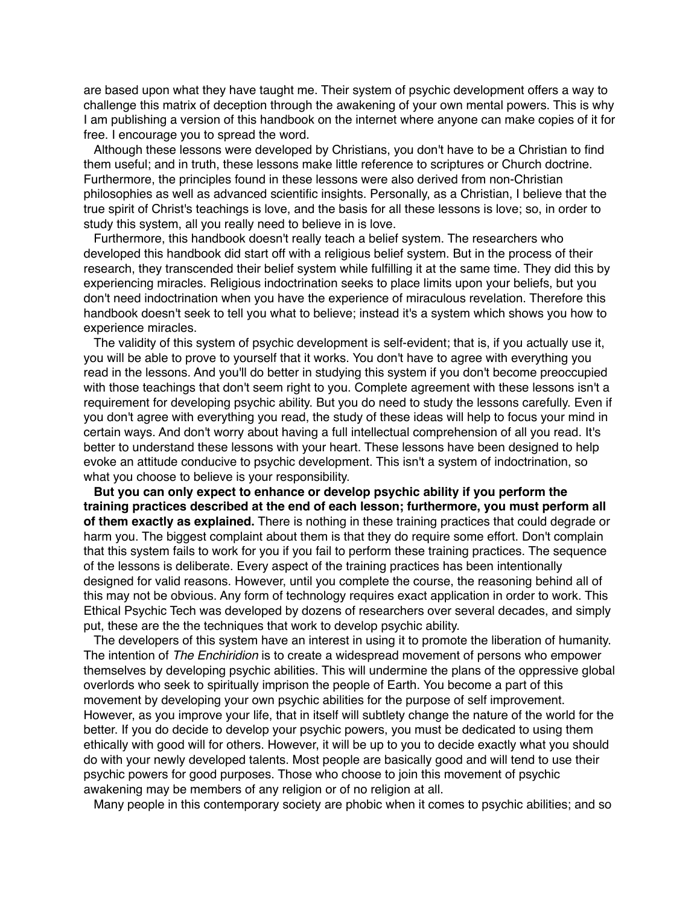are based upon what they have taught me. Their system of psychic development offers a way to challenge this matrix of deception through the awakening of your own mental powers. This is why I am publishing a version of this handbook on the internet where anyone can make copies of it for free. I encourage you to spread the word.

Although these lessons were developed by Christians, you don't have to be a Christian to find them useful; and in truth, these lessons make little reference to scriptures or Church doctrine. Furthermore, the principles found in these lessons were also derived from non-Christian philosophies as well as advanced scientific insights. Personally, as a Christian, I believe that the true spirit of Christ's teachings is love, and the basis for all these lessons is love; so, in order to study this system, all you really need to believe in is love.

Furthermore, this handbook doesn't really teach a belief system. The researchers who developed this handbook did start off with a religious belief system. But in the process of their research, they transcended their belief system while fulfilling it at the same time. They did this by experiencing miracles. Religious indoctrination seeks to place limits upon your beliefs, but you don't need indoctrination when you have the experience of miraculous revelation. Therefore this handbook doesn't seek to tell you what to believe; instead it's a system which shows you how to experience miracles.

The validity of this system of psychic development is self-evident; that is, if you actually use it, you will be able to prove to yourself that it works. You don't have to agree with everything you read in the lessons. And you'll do better in studying this system if you don't become preoccupied with those teachings that don't seem right to you. Complete agreement with these lessons isn't a requirement for developing psychic ability. But you do need to study the lessons carefully. Even if you don't agree with everything you read, the study of these ideas will help to focus your mind in certain ways. And don't worry about having a full intellectual comprehension of all you read. It's better to understand these lessons with your heart. These lessons have been designed to help evoke an attitude conducive to psychic development. This isn't a system of indoctrination, so what you choose to believe is your responsibility.

**But you can only expect to enhance or develop psychic ability if you perform the training practices described at the end of each lesson; furthermore, you must perform all of them exactly as explained.** There is nothing in these training practices that could degrade or harm you. The biggest complaint about them is that they do require some effort. Don't complain that this system fails to work for you if you fail to perform these training practices. The sequence of the lessons is deliberate. Every aspect of the training practices has been intentionally designed for valid reasons. However, until you complete the course, the reasoning behind all of this may not be obvious. Any form of technology requires exact application in order to work. This Ethical Psychic Tech was developed by dozens of researchers over several decades, and simply put, these are the the techniques that work to develop psychic ability.

The developers of this system have an interest in using it to promote the liberation of humanity. The intention of *The Enchiridion* is to create a widespread movement of persons who empower themselves by developing psychic abilities. This will undermine the plans of the oppressive global overlords who seek to spiritually imprison the people of Earth. You become a part of this movement by developing your own psychic abilities for the purpose of self improvement. However, as you improve your life, that in itself will subtlety change the nature of the world for the better. If you do decide to develop your psychic powers, you must be dedicated to using them ethically with good will for others. However, it will be up to you to decide exactly what you should do with your newly developed talents. Most people are basically good and will tend to use their psychic powers for good purposes. Those who choose to join this movement of psychic awakening may be members of any religion or of no religion at all.

Many people in this contemporary society are phobic when it comes to psychic abilities; and so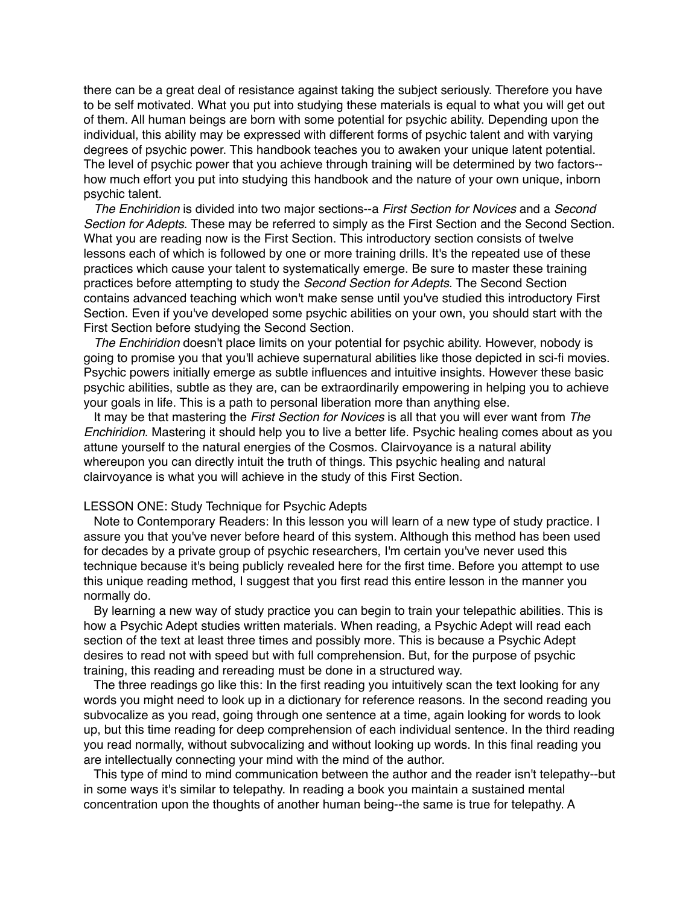there can be a great deal of resistance against taking the subject seriously. Therefore you have to be self motivated. What you put into studying these materials is equal to what you will get out of them. All human beings are born with some potential for psychic ability. Depending upon the individual, this ability may be expressed with different forms of psychic talent and with varying degrees of psychic power. This handbook teaches you to awaken your unique latent potential. The level of psychic power that you achieve through training will be determined by two factors- how much effort you put into studying this handbook and the nature of your own unique, inborn psychic talent.

*The Enchiridion* is divided into two major sections--a *First Section for Novices* and a *Second Section for Adepts*. These may be referred to simply as the First Section and the Second Section. What you are reading now is the First Section. This introductory section consists of twelve lessons each of which is followed by one or more training drills. It's the repeated use of these practices which cause your talent to systematically emerge. Be sure to master these training practices before attempting to study the *Second Section for Adepts*. The Second Section contains advanced teaching which won't make sense until you've studied this introductory First Section. Even if you've developed some psychic abilities on your own, you should start with the First Section before studying the Second Section.

*The Enchiridion* doesn't place limits on your potential for psychic ability. However, nobody is going to promise you that you'll achieve supernatural abilities like those depicted in sci-fi movies. Psychic powers initially emerge as subtle influences and intuitive insights. However these basic psychic abilities, subtle as they are, can be extraordinarily empowering in helping you to achieve your goals in life. This is a path to personal liberation more than anything else.

It may be that mastering the *First Section for Novices* is all that you will ever want from *The Enchiridion*. Mastering it should help you to live a better life. Psychic healing comes about as you attune yourself to the natural energies of the Cosmos. Clairvoyance is a natural ability whereupon you can directly intuit the truth of things. This psychic healing and natural clairvoyance is what you will achieve in the study of this First Section.

### LESSON ONE: Study Technique for Psychic Adepts

Note to Contemporary Readers: In this lesson you will learn of a new type of study practice. I assure you that you've never before heard of this system. Although this method has been used for decades by a private group of psychic researchers, I'm certain you've never used this technique because it's being publicly revealed here for the first time. Before you attempt to use this unique reading method, I suggest that you first read this entire lesson in the manner you normally do.

By learning a new way of study practice you can begin to train your telepathic abilities. This is how a Psychic Adept studies written materials. When reading, a Psychic Adept will read each section of the text at least three times and possibly more. This is because a Psychic Adept desires to read not with speed but with full comprehension. But, for the purpose of psychic training, this reading and rereading must be done in a structured way.

The three readings go like this: In the first reading you intuitively scan the text looking for any words you might need to look up in a dictionary for reference reasons. In the second reading you subvocalize as you read, going through one sentence at a time, again looking for words to look up, but this time reading for deep comprehension of each individual sentence. In the third reading you read normally, without subvocalizing and without looking up words. In this final reading you are intellectually connecting your mind with the mind of the author.

This type of mind to mind communication between the author and the reader isn't telepathy--but in some ways it's similar to telepathy. In reading a book you maintain a sustained mental concentration upon the thoughts of another human being--the same is true for telepathy. A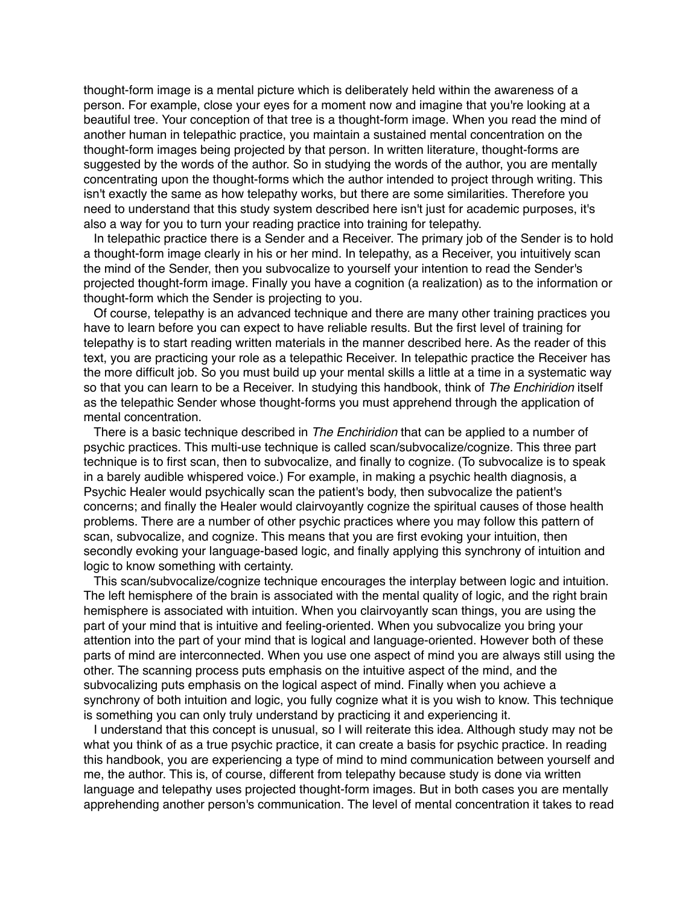thought-form image is a mental picture which is deliberately held within the awareness of a person. For example, close your eyes for a moment now and imagine that you're looking at a beautiful tree. Your conception of that tree is a thought-form image. When you read the mind of another human in telepathic practice, you maintain a sustained mental concentration on the thought-form images being projected by that person. In written literature, thought-forms are suggested by the words of the author. So in studying the words of the author, you are mentally concentrating upon the thought-forms which the author intended to project through writing. This isn't exactly the same as how telepathy works, but there are some similarities. Therefore you need to understand that this study system described here isn't just for academic purposes, it's also a way for you to turn your reading practice into training for telepathy.

In telepathic practice there is a Sender and a Receiver. The primary job of the Sender is to hold a thought-form image clearly in his or her mind. In telepathy, as a Receiver, you intuitively scan the mind of the Sender, then you subvocalize to yourself your intention to read the Sender's projected thought-form image. Finally you have a cognition (a realization) as to the information or thought-form which the Sender is projecting to you.

Of course, telepathy is an advanced technique and there are many other training practices you have to learn before you can expect to have reliable results. But the first level of training for telepathy is to start reading written materials in the manner described here. As the reader of this text, you are practicing your role as a telepathic Receiver. In telepathic practice the Receiver has the more difficult job. So you must build up your mental skills a little at a time in a systematic way so that you can learn to be a Receiver. In studying this handbook, think of *The Enchiridion* itself as the telepathic Sender whose thought-forms you must apprehend through the application of mental concentration.

There is a basic technique described in *The Enchiridion* that can be applied to a number of psychic practices. This multi-use technique is called scan/subvocalize/cognize. This three part technique is to first scan, then to subvocalize, and finally to cognize. (To subvocalize is to speak in a barely audible whispered voice.) For example, in making a psychic health diagnosis, a Psychic Healer would psychically scan the patient's body, then subvocalize the patient's concerns; and finally the Healer would clairvoyantly cognize the spiritual causes of those health problems. There are a number of other psychic practices where you may follow this pattern of scan, subvocalize, and cognize. This means that you are first evoking your intuition, then secondly evoking your language-based logic, and finally applying this synchrony of intuition and logic to know something with certainty.

This scan/subvocalize/cognize technique encourages the interplay between logic and intuition. The left hemisphere of the brain is associated with the mental quality of logic, and the right brain hemisphere is associated with intuition. When you clairvoyantly scan things, you are using the part of your mind that is intuitive and feeling-oriented. When you subvocalize you bring your attention into the part of your mind that is logical and language-oriented. However both of these parts of mind are interconnected. When you use one aspect of mind you are always still using the other. The scanning process puts emphasis on the intuitive aspect of the mind, and the subvocalizing puts emphasis on the logical aspect of mind. Finally when you achieve a synchrony of both intuition and logic, you fully cognize what it is you wish to know. This technique is something you can only truly understand by practicing it and experiencing it.

I understand that this concept is unusual, so I will reiterate this idea. Although study may not be what you think of as a true psychic practice, it can create a basis for psychic practice. In reading this handbook, you are experiencing a type of mind to mind communication between yourself and me, the author. This is, of course, different from telepathy because study is done via written language and telepathy uses projected thought-form images. But in both cases you are mentally apprehending another person's communication. The level of mental concentration it takes to read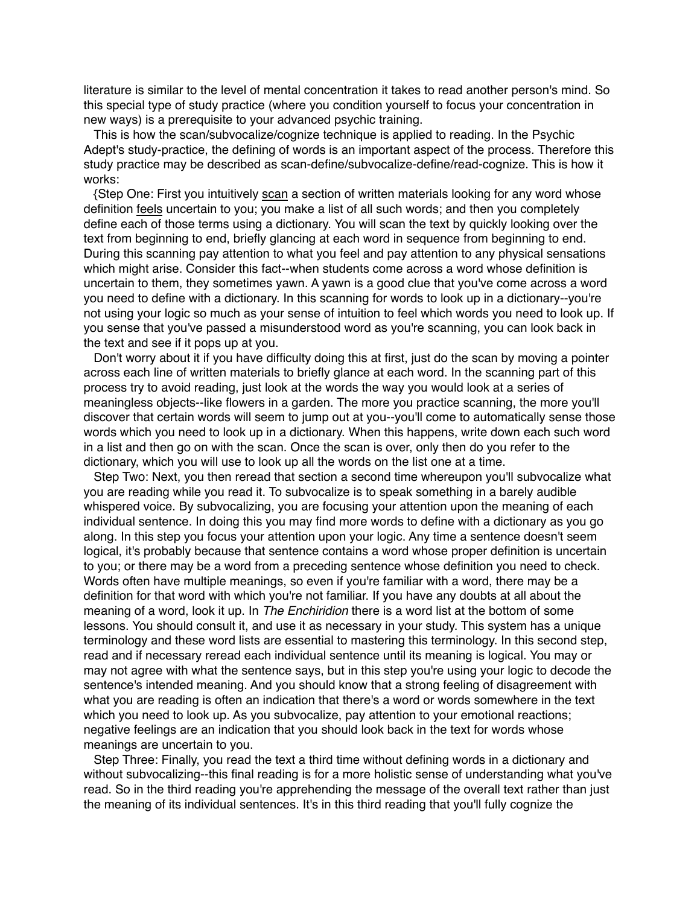literature is similar to the level of mental concentration it takes to read another person's mind. So this special type of study practice (where you condition yourself to focus your concentration in new ways) is a prerequisite to your advanced psychic training.

This is how the scan/subvocalize/cognize technique is applied to reading. In the Psychic Adept's study-practice, the defining of words is an important aspect of the process. Therefore this study practice may be described as scan-define/subvocalize-define/read-cognize. This is how it works:

{Step One: First you intuitively scan a section of written materials looking for any word whose definition feels uncertain to you; you make a list of all such words; and then you completely define each of those terms using a dictionary. You will scan the text by quickly looking over the text from beginning to end, briefly glancing at each word in sequence from beginning to end. During this scanning pay attention to what you feel and pay attention to any physical sensations which might arise. Consider this fact--when students come across a word whose definition is uncertain to them, they sometimes yawn. A yawn is a good clue that you've come across a word you need to define with a dictionary. In this scanning for words to look up in a dictionary--you're not using your logic so much as your sense of intuition to feel which words you need to look up. If you sense that you've passed a misunderstood word as you're scanning, you can look back in the text and see if it pops up at you.

Don't worry about it if you have difficulty doing this at first, just do the scan by moving a pointer across each line of written materials to briefly glance at each word. In the scanning part of this process try to avoid reading, just look at the words the way you would look at a series of meaningless objects--like flowers in a garden. The more you practice scanning, the more you'll discover that certain words will seem to jump out at you--you'll come to automatically sense those words which you need to look up in a dictionary. When this happens, write down each such word in a list and then go on with the scan. Once the scan is over, only then do you refer to the dictionary, which you will use to look up all the words on the list one at a time.

Step Two: Next, you then reread that section a second time whereupon you'll subvocalize what you are reading while you read it. To subvocalize is to speak something in a barely audible whispered voice. By subvocalizing, you are focusing your attention upon the meaning of each individual sentence. In doing this you may find more words to define with a dictionary as you go along. In this step you focus your attention upon your logic. Any time a sentence doesn't seem logical, it's probably because that sentence contains a word whose proper definition is uncertain to you; or there may be a word from a preceding sentence whose definition you need to check. Words often have multiple meanings, so even if you're familiar with a word, there may be a definition for that word with which you're not familiar. If you have any doubts at all about the meaning of a word, look it up. In *The Enchiridion* there is a word list at the bottom of some lessons. You should consult it, and use it as necessary in your study. This system has a unique terminology and these word lists are essential to mastering this terminology. In this second step, read and if necessary reread each individual sentence until its meaning is logical. You may or may not agree with what the sentence says, but in this step you're using your logic to decode the sentence's intended meaning. And you should know that a strong feeling of disagreement with what you are reading is often an indication that there's a word or words somewhere in the text which you need to look up. As you subvocalize, pay attention to your emotional reactions; negative feelings are an indication that you should look back in the text for words whose meanings are uncertain to you.

Step Three: Finally, you read the text a third time without defining words in a dictionary and without subvocalizing--this final reading is for a more holistic sense of understanding what you've read. So in the third reading you're apprehending the message of the overall text rather than just the meaning of its individual sentences. It's in this third reading that you'll fully cognize the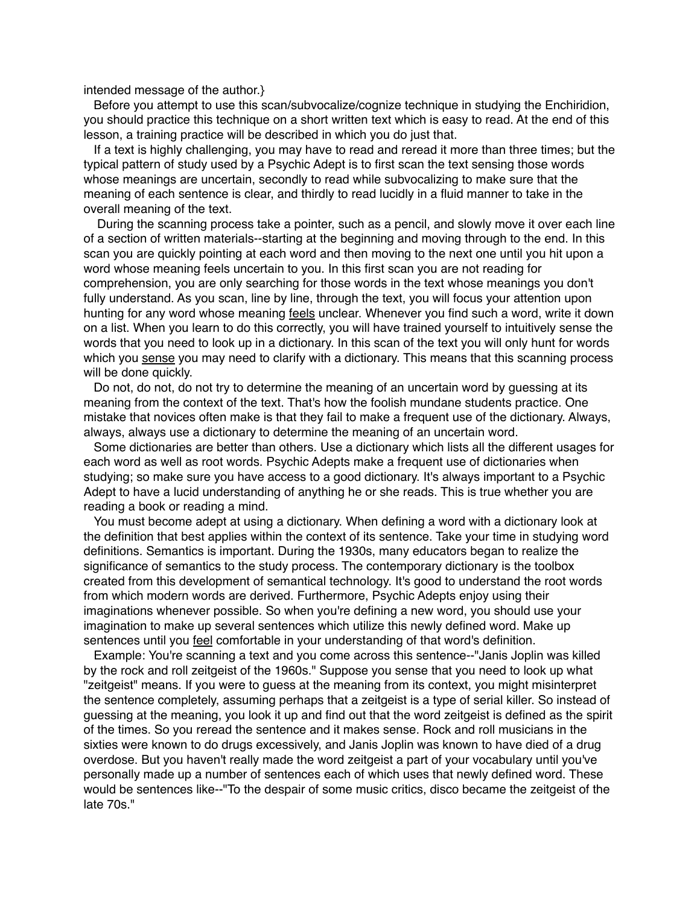### intended message of the author.}

Before you attempt to use this scan/subvocalize/cognize technique in studying the Enchiridion, you should practice this technique on a short written text which is easy to read. At the end of this lesson, a training practice will be described in which you do just that.

If a text is highly challenging, you may have to read and reread it more than three times; but the typical pattern of study used by a Psychic Adept is to first scan the text sensing those words whose meanings are uncertain, secondly to read while subvocalizing to make sure that the meaning of each sentence is clear, and thirdly to read lucidly in a fluid manner to take in the overall meaning of the text.

 During the scanning process take a pointer, such as a pencil, and slowly move it over each line of a section of written materials--starting at the beginning and moving through to the end. In this scan you are quickly pointing at each word and then moving to the next one until you hit upon a word whose meaning feels uncertain to you. In this first scan you are not reading for comprehension, you are only searching for those words in the text whose meanings you don't fully understand. As you scan, line by line, through the text, you will focus your attention upon hunting for any word whose meaning feels unclear. Whenever you find such a word, write it down on a list. When you learn to do this correctly, you will have trained yourself to intuitively sense the words that you need to look up in a dictionary. In this scan of the text you will only hunt for words which you sense you may need to clarify with a dictionary. This means that this scanning process will be done quickly.

Do not, do not, do not try to determine the meaning of an uncertain word by guessing at its meaning from the context of the text. That's how the foolish mundane students practice. One mistake that novices often make is that they fail to make a frequent use of the dictionary. Always, always, always use a dictionary to determine the meaning of an uncertain word.

Some dictionaries are better than others. Use a dictionary which lists all the different usages for each word as well as root words. Psychic Adepts make a frequent use of dictionaries when studying; so make sure you have access to a good dictionary. It's always important to a Psychic Adept to have a lucid understanding of anything he or she reads. This is true whether you are reading a book or reading a mind.

You must become adept at using a dictionary. When defining a word with a dictionary look at the definition that best applies within the context of its sentence. Take your time in studying word definitions. Semantics is important. During the 1930s, many educators began to realize the significance of semantics to the study process. The contemporary dictionary is the toolbox created from this development of semantical technology. It's good to understand the root words from which modern words are derived. Furthermore, Psychic Adepts enjoy using their imaginations whenever possible. So when you're defining a new word, you should use your imagination to make up several sentences which utilize this newly defined word. Make up sentences until you *feel* comfortable in your understanding of that word's definition.

Example: You're scanning a text and you come across this sentence--"Janis Joplin was killed by the rock and roll zeitgeist of the 1960s." Suppose you sense that you need to look up what "zeitgeist" means. If you were to guess at the meaning from its context, you might misinterpret the sentence completely, assuming perhaps that a zeitgeist is a type of serial killer. So instead of guessing at the meaning, you look it up and find out that the word zeitgeist is defined as the spirit of the times. So you reread the sentence and it makes sense. Rock and roll musicians in the sixties were known to do drugs excessively, and Janis Joplin was known to have died of a drug overdose. But you haven't really made the word zeitgeist a part of your vocabulary until you've personally made up a number of sentences each of which uses that newly defined word. These would be sentences like--"To the despair of some music critics, disco became the zeitgeist of the late 70s."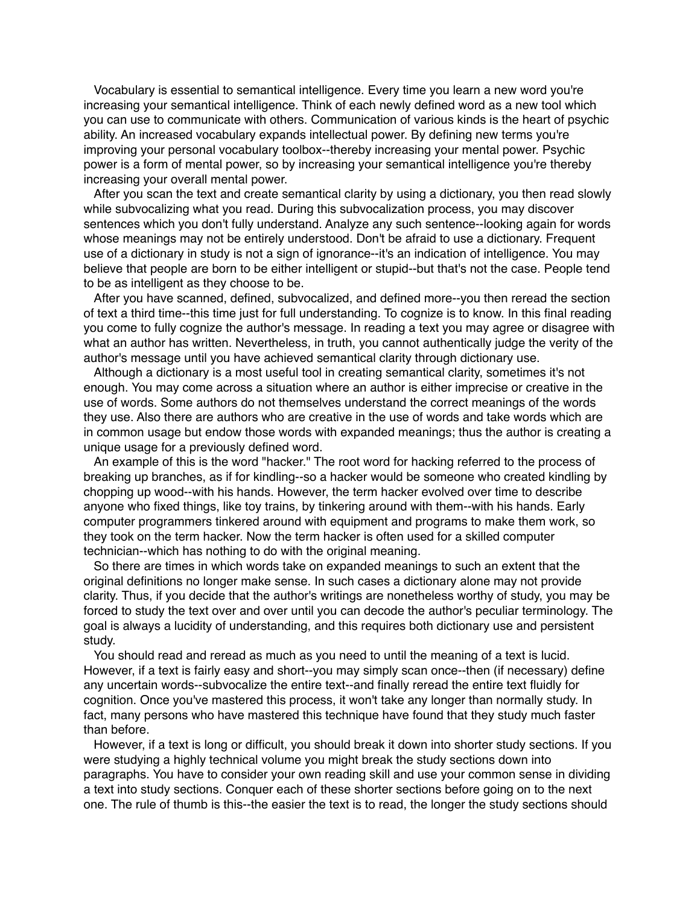Vocabulary is essential to semantical intelligence. Every time you learn a new word you're increasing your semantical intelligence. Think of each newly defined word as a new tool which you can use to communicate with others. Communication of various kinds is the heart of psychic ability. An increased vocabulary expands intellectual power. By defining new terms you're improving your personal vocabulary toolbox--thereby increasing your mental power. Psychic power is a form of mental power, so by increasing your semantical intelligence you're thereby increasing your overall mental power.

After you scan the text and create semantical clarity by using a dictionary, you then read slowly while subvocalizing what you read. During this subvocalization process, you may discover sentences which you don't fully understand. Analyze any such sentence--looking again for words whose meanings may not be entirely understood. Don't be afraid to use a dictionary. Frequent use of a dictionary in study is not a sign of ignorance--it's an indication of intelligence. You may believe that people are born to be either intelligent or stupid--but that's not the case. People tend to be as intelligent as they choose to be.

After you have scanned, defined, subvocalized, and defined more--you then reread the section of text a third time--this time just for full understanding. To cognize is to know. In this final reading you come to fully cognize the author's message. In reading a text you may agree or disagree with what an author has written. Nevertheless, in truth, you cannot authentically judge the verity of the author's message until you have achieved semantical clarity through dictionary use.

Although a dictionary is a most useful tool in creating semantical clarity, sometimes it's not enough. You may come across a situation where an author is either imprecise or creative in the use of words. Some authors do not themselves understand the correct meanings of the words they use. Also there are authors who are creative in the use of words and take words which are in common usage but endow those words with expanded meanings; thus the author is creating a unique usage for a previously defined word.

An example of this is the word "hacker." The root word for hacking referred to the process of breaking up branches, as if for kindling--so a hacker would be someone who created kindling by chopping up wood--with his hands. However, the term hacker evolved over time to describe anyone who fixed things, like toy trains, by tinkering around with them--with his hands. Early computer programmers tinkered around with equipment and programs to make them work, so they took on the term hacker. Now the term hacker is often used for a skilled computer technician--which has nothing to do with the original meaning.

So there are times in which words take on expanded meanings to such an extent that the original definitions no longer make sense. In such cases a dictionary alone may not provide clarity. Thus, if you decide that the author's writings are nonetheless worthy of study, you may be forced to study the text over and over until you can decode the author's peculiar terminology. The goal is always a lucidity of understanding, and this requires both dictionary use and persistent study.

You should read and reread as much as you need to until the meaning of a text is lucid. However, if a text is fairly easy and short--you may simply scan once--then (if necessary) define any uncertain words--subvocalize the entire text--and finally reread the entire text fluidly for cognition. Once you've mastered this process, it won't take any longer than normally study. In fact, many persons who have mastered this technique have found that they study much faster than before.

However, if a text is long or difficult, you should break it down into shorter study sections. If you were studying a highly technical volume you might break the study sections down into paragraphs. You have to consider your own reading skill and use your common sense in dividing a text into study sections. Conquer each of these shorter sections before going on to the next one. The rule of thumb is this--the easier the text is to read, the longer the study sections should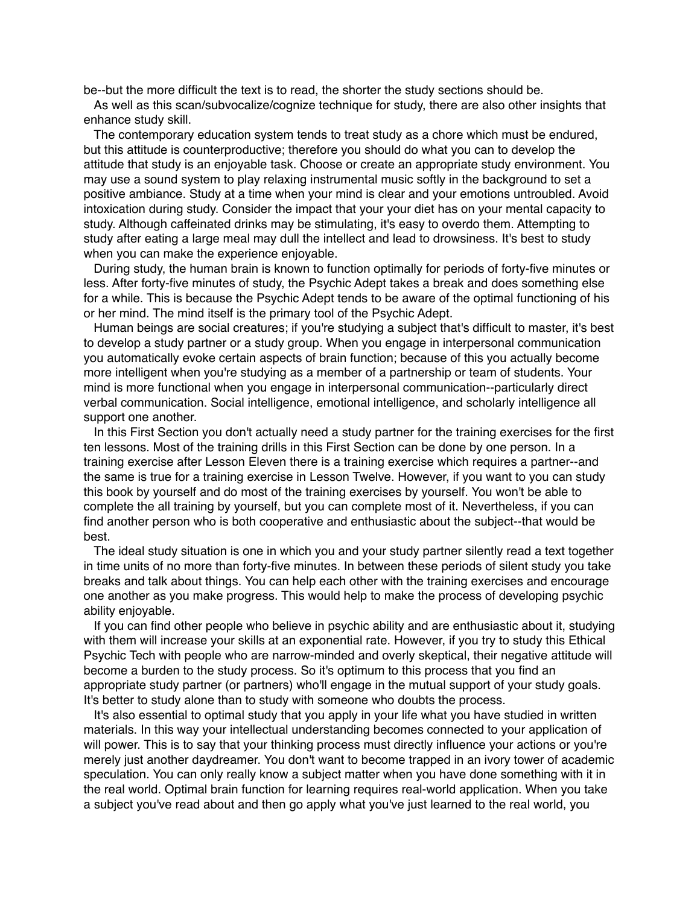be--but the more difficult the text is to read, the shorter the study sections should be.

As well as this scan/subvocalize/cognize technique for study, there are also other insights that enhance study skill.

The contemporary education system tends to treat study as a chore which must be endured, but this attitude is counterproductive; therefore you should do what you can to develop the attitude that study is an enjoyable task. Choose or create an appropriate study environment. You may use a sound system to play relaxing instrumental music softly in the background to set a positive ambiance. Study at a time when your mind is clear and your emotions untroubled. Avoid intoxication during study. Consider the impact that your your diet has on your mental capacity to study. Although caffeinated drinks may be stimulating, it's easy to overdo them. Attempting to study after eating a large meal may dull the intellect and lead to drowsiness. It's best to study when you can make the experience enjoyable.

During study, the human brain is known to function optimally for periods of forty-five minutes or less. After forty-five minutes of study, the Psychic Adept takes a break and does something else for a while. This is because the Psychic Adept tends to be aware of the optimal functioning of his or her mind. The mind itself is the primary tool of the Psychic Adept.

Human beings are social creatures; if you're studying a subject that's difficult to master, it's best to develop a study partner or a study group. When you engage in interpersonal communication you automatically evoke certain aspects of brain function; because of this you actually become more intelligent when you're studying as a member of a partnership or team of students. Your mind is more functional when you engage in interpersonal communication--particularly direct verbal communication. Social intelligence, emotional intelligence, and scholarly intelligence all support one another.

In this First Section you don't actually need a study partner for the training exercises for the first ten lessons. Most of the training drills in this First Section can be done by one person. In a training exercise after Lesson Eleven there is a training exercise which requires a partner--and the same is true for a training exercise in Lesson Twelve. However, if you want to you can study this book by yourself and do most of the training exercises by yourself. You won't be able to complete the all training by yourself, but you can complete most of it. Nevertheless, if you can find another person who is both cooperative and enthusiastic about the subject--that would be best.

The ideal study situation is one in which you and your study partner silently read a text together in time units of no more than forty-five minutes. In between these periods of silent study you take breaks and talk about things. You can help each other with the training exercises and encourage one another as you make progress. This would help to make the process of developing psychic ability enjoyable.

If you can find other people who believe in psychic ability and are enthusiastic about it, studying with them will increase your skills at an exponential rate. However, if you try to study this Ethical Psychic Tech with people who are narrow-minded and overly skeptical, their negative attitude will become a burden to the study process. So it's optimum to this process that you find an appropriate study partner (or partners) who'll engage in the mutual support of your study goals. It's better to study alone than to study with someone who doubts the process.

It's also essential to optimal study that you apply in your life what you have studied in written materials. In this way your intellectual understanding becomes connected to your application of will power. This is to say that your thinking process must directly influence your actions or you're merely just another daydreamer. You don't want to become trapped in an ivory tower of academic speculation. You can only really know a subject matter when you have done something with it in the real world. Optimal brain function for learning requires real-world application. When you take a subject you've read about and then go apply what you've just learned to the real world, you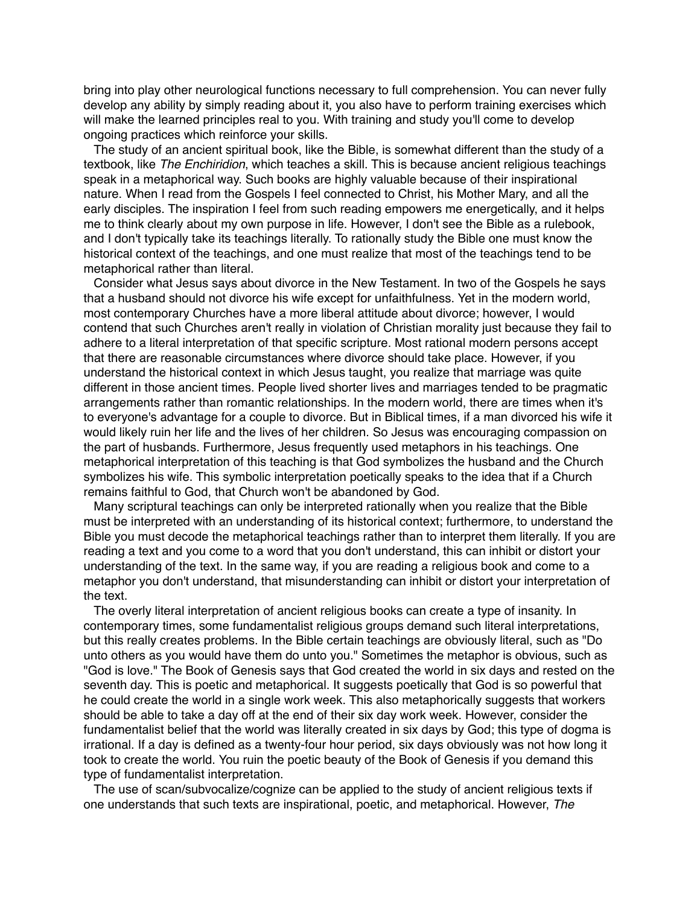bring into play other neurological functions necessary to full comprehension. You can never fully develop any ability by simply reading about it, you also have to perform training exercises which will make the learned principles real to you. With training and study you'll come to develop ongoing practices which reinforce your skills.

The study of an ancient spiritual book, like the Bible, is somewhat different than the study of a textbook, like *The Enchiridion*, which teaches a skill. This is because ancient religious teachings speak in a metaphorical way. Such books are highly valuable because of their inspirational nature. When I read from the Gospels I feel connected to Christ, his Mother Mary, and all the early disciples. The inspiration I feel from such reading empowers me energetically, and it helps me to think clearly about my own purpose in life. However, I don't see the Bible as a rulebook, and I don't typically take its teachings literally. To rationally study the Bible one must know the historical context of the teachings, and one must realize that most of the teachings tend to be metaphorical rather than literal.

Consider what Jesus says about divorce in the New Testament. In two of the Gospels he says that a husband should not divorce his wife except for unfaithfulness. Yet in the modern world, most contemporary Churches have a more liberal attitude about divorce; however, I would contend that such Churches aren't really in violation of Christian morality just because they fail to adhere to a literal interpretation of that specific scripture. Most rational modern persons accept that there are reasonable circumstances where divorce should take place. However, if you understand the historical context in which Jesus taught, you realize that marriage was quite different in those ancient times. People lived shorter lives and marriages tended to be pragmatic arrangements rather than romantic relationships. In the modern world, there are times when it's to everyone's advantage for a couple to divorce. But in Biblical times, if a man divorced his wife it would likely ruin her life and the lives of her children. So Jesus was encouraging compassion on the part of husbands. Furthermore, Jesus frequently used metaphors in his teachings. One metaphorical interpretation of this teaching is that God symbolizes the husband and the Church symbolizes his wife. This symbolic interpretation poetically speaks to the idea that if a Church remains faithful to God, that Church won't be abandoned by God.

Many scriptural teachings can only be interpreted rationally when you realize that the Bible must be interpreted with an understanding of its historical context; furthermore, to understand the Bible you must decode the metaphorical teachings rather than to interpret them literally. If you are reading a text and you come to a word that you don't understand, this can inhibit or distort your understanding of the text. In the same way, if you are reading a religious book and come to a metaphor you don't understand, that misunderstanding can inhibit or distort your interpretation of the text.

The overly literal interpretation of ancient religious books can create a type of insanity. In contemporary times, some fundamentalist religious groups demand such literal interpretations, but this really creates problems. In the Bible certain teachings are obviously literal, such as "Do unto others as you would have them do unto you." Sometimes the metaphor is obvious, such as "God is love." The Book of Genesis says that God created the world in six days and rested on the seventh day. This is poetic and metaphorical. It suggests poetically that God is so powerful that he could create the world in a single work week. This also metaphorically suggests that workers should be able to take a day off at the end of their six day work week. However, consider the fundamentalist belief that the world was literally created in six days by God; this type of dogma is irrational. If a day is defined as a twenty-four hour period, six days obviously was not how long it took to create the world. You ruin the poetic beauty of the Book of Genesis if you demand this type of fundamentalist interpretation.

The use of scan/subvocalize/cognize can be applied to the study of ancient religious texts if one understands that such texts are inspirational, poetic, and metaphorical. However, *The*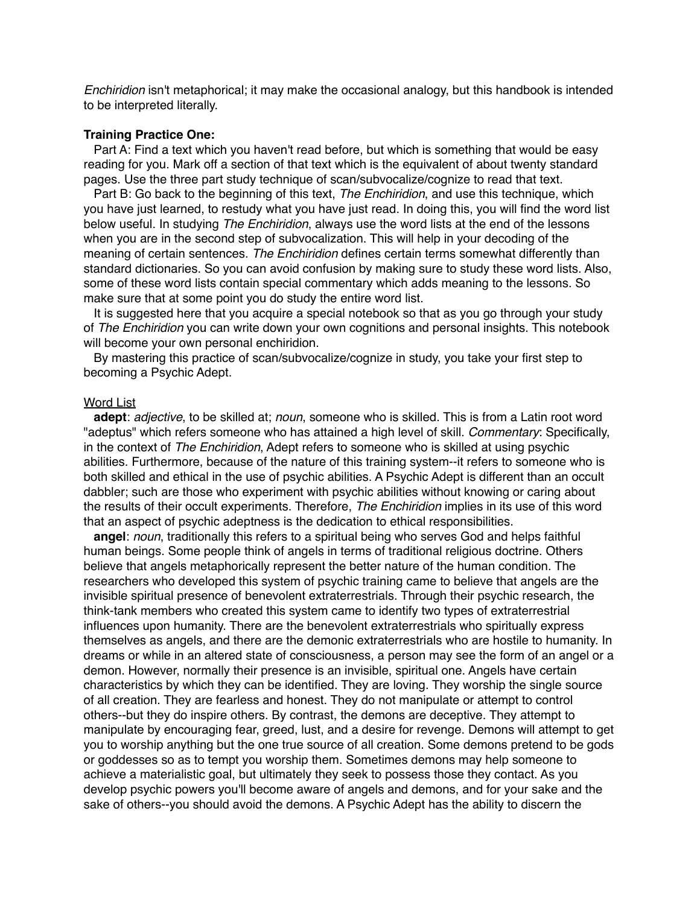*Enchiridion* isn't metaphorical; it may make the occasional analogy, but this handbook is intended to be interpreted literally.

### **Training Practice One:**

Part A: Find a text which you haven't read before, but which is something that would be easy reading for you. Mark off a section of that text which is the equivalent of about twenty standard pages. Use the three part study technique of scan/subvocalize/cognize to read that text.

Part B: Go back to the beginning of this text, *The Enchiridion*, and use this technique, which you have just learned, to restudy what you have just read. In doing this, you will find the word list below useful. In studying *The Enchiridion*, always use the word lists at the end of the lessons when you are in the second step of subvocalization. This will help in your decoding of the meaning of certain sentences. *The Enchiridion* defines certain terms somewhat differently than standard dictionaries. So you can avoid confusion by making sure to study these word lists. Also, some of these word lists contain special commentary which adds meaning to the lessons. So make sure that at some point you do study the entire word list.

It is suggested here that you acquire a special notebook so that as you go through your study of *The Enchiridion* you can write down your own cognitions and personal insights. This notebook will become your own personal enchiridion.

By mastering this practice of scan/subvocalize/cognize in study, you take your first step to becoming a Psychic Adept.

## **Word List**

**adept**: *adjective*, to be skilled at; *noun*, someone who is skilled. This is from a Latin root word "adeptus" which refers someone who has attained a high level of skill. *Commentary*: Specifically, in the context of *The Enchiridion*, Adept refers to someone who is skilled at using psychic abilities. Furthermore, because of the nature of this training system--it refers to someone who is both skilled and ethical in the use of psychic abilities. A Psychic Adept is different than an occult dabbler; such are those who experiment with psychic abilities without knowing or caring about the results of their occult experiments. Therefore, *The Enchiridion* implies in its use of this word that an aspect of psychic adeptness is the dedication to ethical responsibilities.

**angel**: *noun*, traditionally this refers to a spiritual being who serves God and helps faithful human beings. Some people think of angels in terms of traditional religious doctrine. Others believe that angels metaphorically represent the better nature of the human condition. The researchers who developed this system of psychic training came to believe that angels are the invisible spiritual presence of benevolent extraterrestrials. Through their psychic research, the think-tank members who created this system came to identify two types of extraterrestrial influences upon humanity. There are the benevolent extraterrestrials who spiritually express themselves as angels, and there are the demonic extraterrestrials who are hostile to humanity. In dreams or while in an altered state of consciousness, a person may see the form of an angel or a demon. However, normally their presence is an invisible, spiritual one. Angels have certain characteristics by which they can be identified. They are loving. They worship the single source of all creation. They are fearless and honest. They do not manipulate or attempt to control others--but they do inspire others. By contrast, the demons are deceptive. They attempt to manipulate by encouraging fear, greed, lust, and a desire for revenge. Demons will attempt to get you to worship anything but the one true source of all creation. Some demons pretend to be gods or goddesses so as to tempt you worship them. Sometimes demons may help someone to achieve a materialistic goal, but ultimately they seek to possess those they contact. As you develop psychic powers you'll become aware of angels and demons, and for your sake and the sake of others--you should avoid the demons. A Psychic Adept has the ability to discern the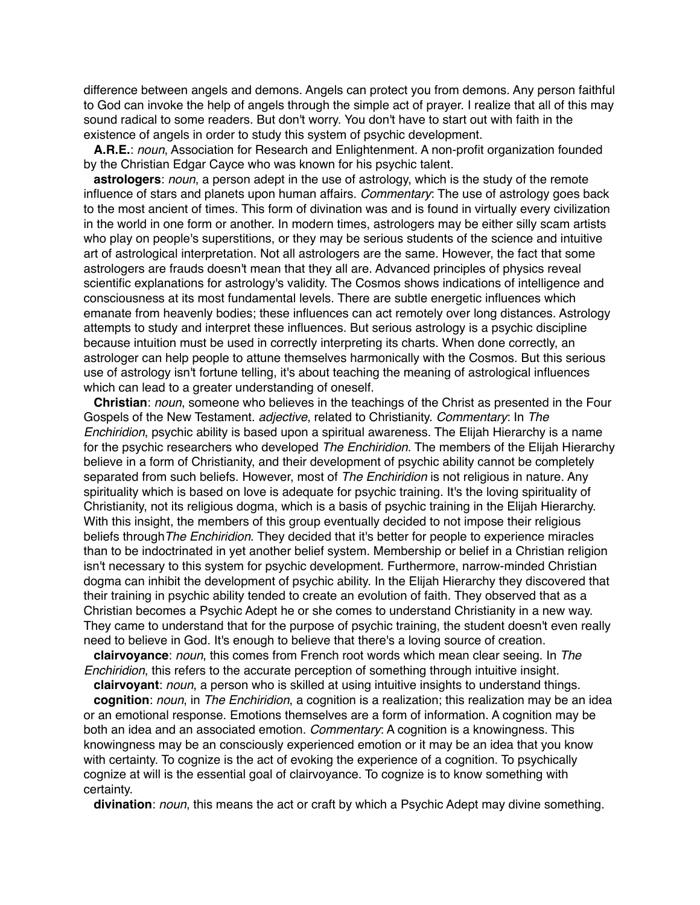difference between angels and demons. Angels can protect you from demons. Any person faithful to God can invoke the help of angels through the simple act of prayer. I realize that all of this may sound radical to some readers. But don't worry. You don't have to start out with faith in the existence of angels in order to study this system of psychic development.

**A.R.E.**: *noun*, Association for Research and Enlightenment. A non-profit organization founded by the Christian Edgar Cayce who was known for his psychic talent.

**astrologers**: *noun*, a person adept in the use of astrology, which is the study of the remote influence of stars and planets upon human affairs. *Commentary*: The use of astrology goes back to the most ancient of times. This form of divination was and is found in virtually every civilization in the world in one form or another. In modern times, astrologers may be either silly scam artists who play on people's superstitions, or they may be serious students of the science and intuitive art of astrological interpretation. Not all astrologers are the same. However, the fact that some astrologers are frauds doesn't mean that they all are. Advanced principles of physics reveal scientific explanations for astrology's validity. The Cosmos shows indications of intelligence and consciousness at its most fundamental levels. There are subtle energetic influences which emanate from heavenly bodies; these influences can act remotely over long distances. Astrology attempts to study and interpret these influences. But serious astrology is a psychic discipline because intuition must be used in correctly interpreting its charts. When done correctly, an astrologer can help people to attune themselves harmonically with the Cosmos. But this serious use of astrology isn't fortune telling, it's about teaching the meaning of astrological influences which can lead to a greater understanding of oneself.

**Christian**: *noun*, someone who believes in the teachings of the Christ as presented in the Four Gospels of the New Testament. *adjective*, related to Christianity. *Commentary*: In *The Enchiridion*, psychic ability is based upon a spiritual awareness. The Elijah Hierarchy is a name for the psychic researchers who developed *The Enchiridion*. The members of the Elijah Hierarchy believe in a form of Christianity, and their development of psychic ability cannot be completely separated from such beliefs. However, most of *The Enchiridion* is not religious in nature. Any spirituality which is based on love is adequate for psychic training. It's the loving spirituality of Christianity, not its religious dogma, which is a basis of psychic training in the Elijah Hierarchy. With this insight, the members of this group eventually decided to not impose their religious beliefs through*The Enchiridion*. They decided that it's better for people to experience miracles than to be indoctrinated in yet another belief system. Membership or belief in a Christian religion isn't necessary to this system for psychic development. Furthermore, narrow-minded Christian dogma can inhibit the development of psychic ability. In the Elijah Hierarchy they discovered that their training in psychic ability tended to create an evolution of faith. They observed that as a Christian becomes a Psychic Adept he or she comes to understand Christianity in a new way. They came to understand that for the purpose of psychic training, the student doesn't even really need to believe in God. It's enough to believe that there's a loving source of creation.

**clairvoyance**: *noun*, this comes from French root words which mean clear seeing. In *The Enchiridion*, this refers to the accurate perception of something through intuitive insight.

**clairvoyant**: *noun*, a person who is skilled at using intuitive insights to understand things. **cognition**: *noun*, in *The Enchiridion*, a cognition is a realization; this realization may be an idea or an emotional response. Emotions themselves are a form of information. A cognition may be both an idea and an associated emotion. *Commentary*: A cognition is a knowingness. This knowingness may be an consciously experienced emotion or it may be an idea that you know with certainty. To cognize is the act of evoking the experience of a cognition. To psychically cognize at will is the essential goal of clairvoyance. To cognize is to know something with certainty.

**divination**: *noun*, this means the act or craft by which a Psychic Adept may divine something.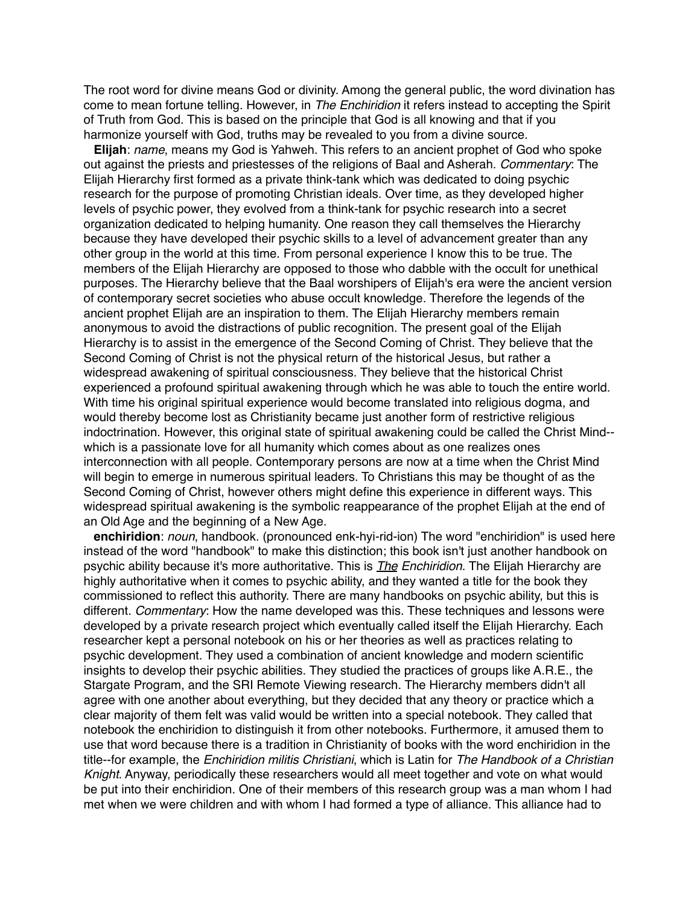The root word for divine means God or divinity. Among the general public, the word divination has come to mean fortune telling. However, in *The Enchiridion* it refers instead to accepting the Spirit of Truth from God. This is based on the principle that God is all knowing and that if you harmonize yourself with God, truths may be revealed to you from a divine source.

**Elijah**: *name*, means my God is Yahweh. This refers to an ancient prophet of God who spoke out against the priests and priestesses of the religions of Baal and Asherah. *Commentary*: The Elijah Hierarchy first formed as a private think-tank which was dedicated to doing psychic research for the purpose of promoting Christian ideals. Over time, as they developed higher levels of psychic power, they evolved from a think-tank for psychic research into a secret organization dedicated to helping humanity. One reason they call themselves the Hierarchy because they have developed their psychic skills to a level of advancement greater than any other group in the world at this time. From personal experience I know this to be true. The members of the Elijah Hierarchy are opposed to those who dabble with the occult for unethical purposes. The Hierarchy believe that the Baal worshipers of Elijah's era were the ancient version of contemporary secret societies who abuse occult knowledge. Therefore the legends of the ancient prophet Elijah are an inspiration to them. The Elijah Hierarchy members remain anonymous to avoid the distractions of public recognition. The present goal of the Elijah Hierarchy is to assist in the emergence of the Second Coming of Christ. They believe that the Second Coming of Christ is not the physical return of the historical Jesus, but rather a widespread awakening of spiritual consciousness. They believe that the historical Christ experienced a profound spiritual awakening through which he was able to touch the entire world. With time his original spiritual experience would become translated into religious dogma, and would thereby become lost as Christianity became just another form of restrictive religious indoctrination. However, this original state of spiritual awakening could be called the Christ Mind- which is a passionate love for all humanity which comes about as one realizes ones interconnection with all people. Contemporary persons are now at a time when the Christ Mind will begin to emerge in numerous spiritual leaders. To Christians this may be thought of as the Second Coming of Christ, however others might define this experience in different ways. This widespread spiritual awakening is the symbolic reappearance of the prophet Elijah at the end of an Old Age and the beginning of a New Age.

**enchiridion**: *noun*, handbook. (pronounced enk-hyi-rid-ion) The word "enchiridion" is used here instead of the word "handbook" to make this distinction; this book isn't just another handbook on psychic ability because it's more authoritative. This is *The Enchiridion*. The Elijah Hierarchy are highly authoritative when it comes to psychic ability, and they wanted a title for the book they commissioned to reflect this authority. There are many handbooks on psychic ability, but this is different. *Commentary*: How the name developed was this. These techniques and lessons were developed by a private research project which eventually called itself the Elijah Hierarchy. Each researcher kept a personal notebook on his or her theories as well as practices relating to psychic development. They used a combination of ancient knowledge and modern scientific insights to develop their psychic abilities. They studied the practices of groups like A.R.E., the Stargate Program, and the SRI Remote Viewing research. The Hierarchy members didn't all agree with one another about everything, but they decided that any theory or practice which a clear majority of them felt was valid would be written into a special notebook. They called that notebook the enchiridion to distinguish it from other notebooks. Furthermore, it amused them to use that word because there is a tradition in Christianity of books with the word enchiridion in the title--for example, the *Enchiridion militis Christiani*, which is Latin for *The Handbook of a Christian Knight*. Anyway, periodically these researchers would all meet together and vote on what would be put into their enchiridion. One of their members of this research group was a man whom I had met when we were children and with whom I had formed a type of alliance. This alliance had to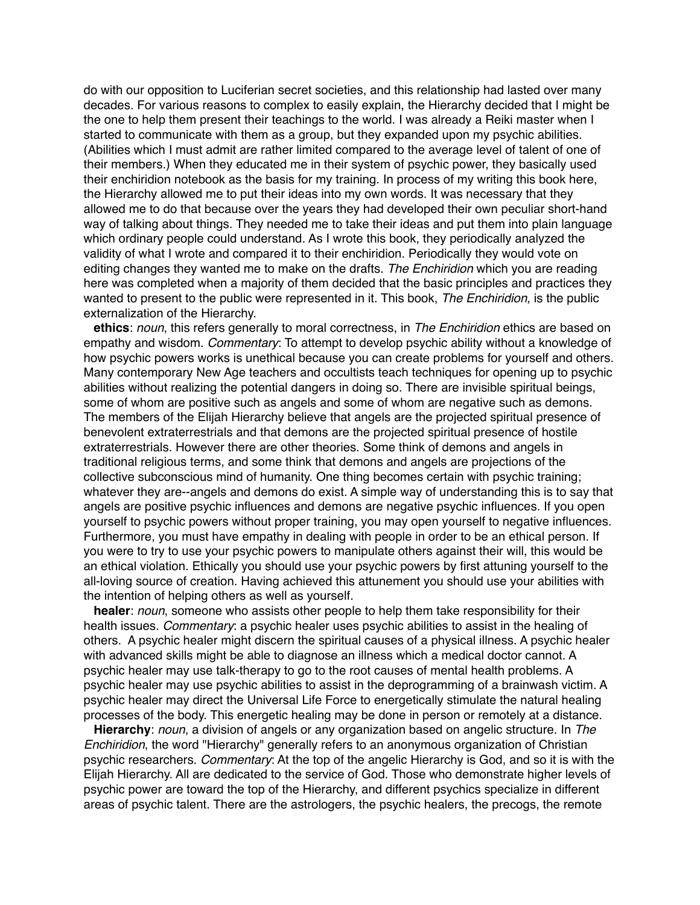do with our opposition to Luciferian secret societies, and this relationship had lasted over many decades. For various reasons to complex to easily explain, the Hierarchy decided that I might be the one to help them present their teachings to the world. I was already a Reiki master when I started to communicate with them as a group, but they expanded upon my psychic abilities. (Abilities which I must admit are rather limited compared to the average level of talent of one of their members.) When they educated me in their system of psychic power, they basically used their enchiridion notebook as the basis for my training. In process of my writing this book here, the Hierarchy allowed me to put their ideas into my own words. It was necessary that they allowed me to do that because over the years they had developed their own peculiar short-hand way of talking about things. They needed me to take their ideas and put them into plain language which ordinary people could understand. As I wrote this book, they periodically analyzed the validity of what I wrote and compared it to their enchiridion. Periodically they would vote on editing changes they wanted me to make on the drafts. *The Enchiridion* which you are reading here was completed when a majority of them decided that the basic principles and practices they wanted to present to the public were represented in it. This book, *The Enchiridion,* is the public externalization of the Hierarchy.

**ethics**: *noun*, this refers generally to moral correctness, in *The Enchiridion* ethics are based on empathy and wisdom. *Commentary*: To attempt to develop psychic ability without a knowledge of how psychic powers works is unethical because you can create problems for yourself and others. Many contemporary New Age teachers and occultists teach techniques for opening up to psychic abilities without realizing the potential dangers in doing so. There are invisible spiritual beings, some of whom are positive such as angels and some of whom are negative such as demons. The members of the Elijah Hierarchy believe that angels are the projected spiritual presence of benevolent extraterrestrials and that demons are the projected spiritual presence of hostile extraterrestrials. However there are other theories. Some think of demons and angels in traditional religious terms, and some think that demons and angels are projections of the collective subconscious mind of humanity. One thing becomes certain with psychic training; whatever they are--angels and demons do exist. A simple way of understanding this is to say that angels are positive psychic influences and demons are negative psychic influences. If you open yourself to psychic powers without proper training, you may open yourself to negative influences. Furthermore, you must have empathy in dealing with people in order to be an ethical person. If you were to try to use your psychic powers to manipulate others against their will, this would be an ethical violation. Ethically you should use your psychic powers by first attuning yourself to the all-loving source of creation. Having achieved this attunement you should use your abilities with the intention of helping others as well as yourself.

**healer**: *noun*, someone who assists other people to help them take responsibility for their health issues. *Commentary*: a psychic healer uses psychic abilities to assist in the healing of others. A psychic healer might discern the spiritual causes of a physical illness. A psychic healer with advanced skills might be able to diagnose an illness which a medical doctor cannot. A psychic healer may use talk-therapy to go to the root causes of mental health problems. A psychic healer may use psychic abilities to assist in the deprogramming of a brainwash victim. A psychic healer may direct the Universal Life Force to energetically stimulate the natural healing processes of the body. This energetic healing may be done in person or remotely at a distance.

**Hierarchy**: *noun*, a division of angels or any organization based on angelic structure. In *The Enchiridion*, the word "Hierarchy" generally refers to an anonymous organization of Christian psychic researchers. *Commentary*: At the top of the angelic Hierarchy is God, and so it is with the Elijah Hierarchy. All are dedicated to the service of God. Those who demonstrate higher levels of psychic power are toward the top of the Hierarchy, and different psychics specialize in different areas of psychic talent. There are the astrologers, the psychic healers, the precogs, the remote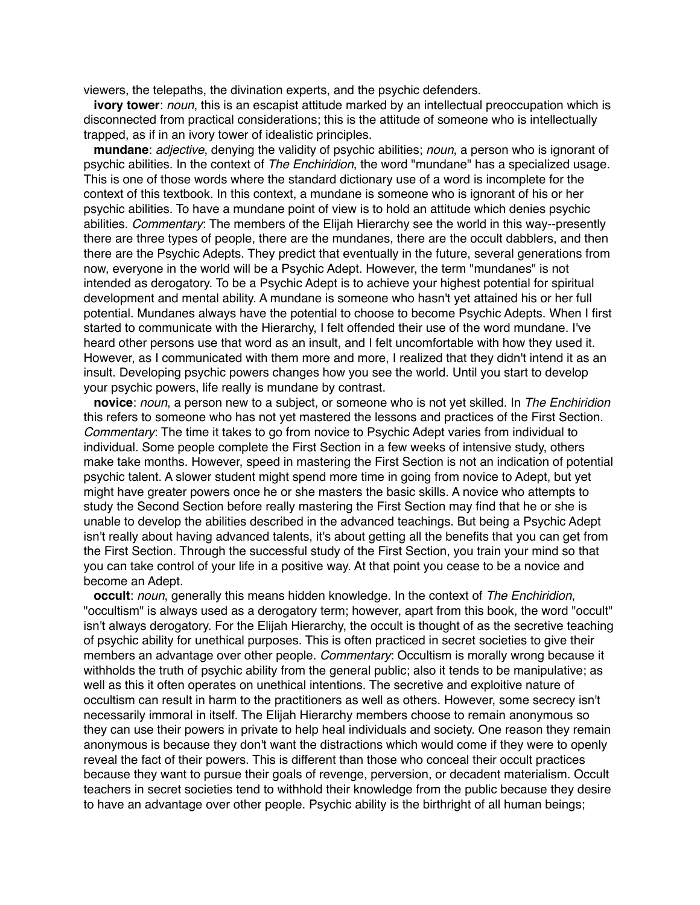viewers, the telepaths, the divination experts, and the psychic defenders.

**ivory tower**: *noun*, this is an escapist attitude marked by an intellectual preoccupation which is disconnected from practical considerations; this is the attitude of someone who is intellectually trapped, as if in an ivory tower of idealistic principles.

**mundane**: *adjective*, denying the validity of psychic abilities; *noun*, a person who is ignorant of psychic abilities. In the context of *The Enchiridion*, the word "mundane" has a specialized usage. This is one of those words where the standard dictionary use of a word is incomplete for the context of this textbook. In this context, a mundane is someone who is ignorant of his or her psychic abilities. To have a mundane point of view is to hold an attitude which denies psychic abilities. *Commentary*: The members of the Elijah Hierarchy see the world in this way--presently there are three types of people, there are the mundanes, there are the occult dabblers, and then there are the Psychic Adepts. They predict that eventually in the future, several generations from now, everyone in the world will be a Psychic Adept. However, the term "mundanes" is not intended as derogatory. To be a Psychic Adept is to achieve your highest potential for spiritual development and mental ability. A mundane is someone who hasn't yet attained his or her full potential. Mundanes always have the potential to choose to become Psychic Adepts. When I first started to communicate with the Hierarchy, I felt offended their use of the word mundane. I've heard other persons use that word as an insult, and I felt uncomfortable with how they used it. However, as I communicated with them more and more, I realized that they didn't intend it as an insult. Developing psychic powers changes how you see the world. Until you start to develop your psychic powers, life really is mundane by contrast.

**novice**: *noun*, a person new to a subject, or someone who is not yet skilled. In *The Enchiridion* this refers to someone who has not yet mastered the lessons and practices of the First Section. *Commentary*: The time it takes to go from novice to Psychic Adept varies from individual to individual. Some people complete the First Section in a few weeks of intensive study, others make take months. However, speed in mastering the First Section is not an indication of potential psychic talent. A slower student might spend more time in going from novice to Adept, but yet might have greater powers once he or she masters the basic skills. A novice who attempts to study the Second Section before really mastering the First Section may find that he or she is unable to develop the abilities described in the advanced teachings. But being a Psychic Adept isn't really about having advanced talents, it's about getting all the benefits that you can get from the First Section. Through the successful study of the First Section, you train your mind so that you can take control of your life in a positive way. At that point you cease to be a novice and become an Adept.

**occult**: *noun*, generally this means hidden knowledge. In the context of *The Enchiridion*, "occultism" is always used as a derogatory term; however, apart from this book, the word "occult" isn't always derogatory. For the Elijah Hierarchy, the occult is thought of as the secretive teaching of psychic ability for unethical purposes. This is often practiced in secret societies to give their members an advantage over other people. *Commentary*: Occultism is morally wrong because it withholds the truth of psychic ability from the general public; also it tends to be manipulative; as well as this it often operates on unethical intentions. The secretive and exploitive nature of occultism can result in harm to the practitioners as well as others. However, some secrecy isn't necessarily immoral in itself. The Elijah Hierarchy members choose to remain anonymous so they can use their powers in private to help heal individuals and society. One reason they remain anonymous is because they don't want the distractions which would come if they were to openly reveal the fact of their powers. This is different than those who conceal their occult practices because they want to pursue their goals of revenge, perversion, or decadent materialism. Occult teachers in secret societies tend to withhold their knowledge from the public because they desire to have an advantage over other people. Psychic ability is the birthright of all human beings;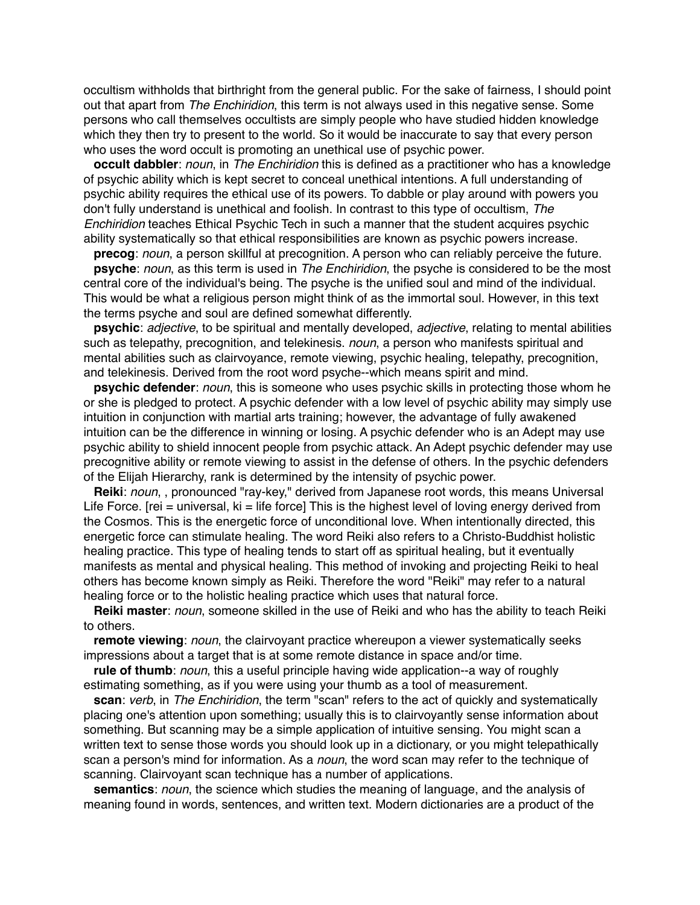occultism withholds that birthright from the general public. For the sake of fairness, I should point out that apart from *The Enchiridion*, this term is not always used in this negative sense. Some persons who call themselves occultists are simply people who have studied hidden knowledge which they then try to present to the world. So it would be inaccurate to say that every person who uses the word occult is promoting an unethical use of psychic power.

**occult dabbler**: *noun*, in *The Enchiridion* this is defined as a practitioner who has a knowledge of psychic ability which is kept secret to conceal unethical intentions. A full understanding of psychic ability requires the ethical use of its powers. To dabble or play around with powers you don't fully understand is unethical and foolish. In contrast to this type of occultism, *The Enchiridion* teaches Ethical Psychic Tech in such a manner that the student acquires psychic ability systematically so that ethical responsibilities are known as psychic powers increase.

**precog**: *noun*, a person skillful at precognition. A person who can reliably perceive the future.

**psyche**: *noun*, as this term is used in *The Enchiridion*, the psyche is considered to be the most central core of the individual's being. The psyche is the unified soul and mind of the individual. This would be what a religious person might think of as the immortal soul. However, in this text the terms psyche and soul are defined somewhat differently.

**psychic**: *adjective*, to be spiritual and mentally developed, *adjective*, relating to mental abilities such as telepathy, precognition, and telekinesis. *noun*, a person who manifests spiritual and mental abilities such as clairvoyance, remote viewing, psychic healing, telepathy, precognition, and telekinesis. Derived from the root word psyche--which means spirit and mind.

**psychic defender**: *noun*, this is someone who uses psychic skills in protecting those whom he or she is pledged to protect. A psychic defender with a low level of psychic ability may simply use intuition in conjunction with martial arts training; however, the advantage of fully awakened intuition can be the difference in winning or losing. A psychic defender who is an Adept may use psychic ability to shield innocent people from psychic attack. An Adept psychic defender may use precognitive ability or remote viewing to assist in the defense of others. In the psychic defenders of the Elijah Hierarchy, rank is determined by the intensity of psychic power.

**Reiki**: *noun*, , pronounced "ray-key," derived from Japanese root words, this means Universal Life Force. [rei = universal,  $ki = life$  force] This is the highest level of loving energy derived from the Cosmos. This is the energetic force of unconditional love. When intentionally directed, this energetic force can stimulate healing. The word Reiki also refers to a Christo-Buddhist holistic healing practice. This type of healing tends to start off as spiritual healing, but it eventually manifests as mental and physical healing. This method of invoking and projecting Reiki to heal others has become known simply as Reiki. Therefore the word "Reiki" may refer to a natural healing force or to the holistic healing practice which uses that natural force.

**Reiki master**: *noun*, someone skilled in the use of Reiki and who has the ability to teach Reiki to others.

**remote viewing**: *noun*, the clairvoyant practice whereupon a viewer systematically seeks impressions about a target that is at some remote distance in space and/or time.

**rule of thumb**: *noun*, this a useful principle having wide application--a way of roughly estimating something, as if you were using your thumb as a tool of measurement.

**scan**: *verb*, in *The Enchiridion*, the term "scan" refers to the act of quickly and systematically placing one's attention upon something; usually this is to clairvoyantly sense information about something. But scanning may be a simple application of intuitive sensing. You might scan a written text to sense those words you should look up in a dictionary, or you might telepathically scan a person's mind for information. As a *noun*, the word scan may refer to the technique of scanning. Clairvoyant scan technique has a number of applications.

**semantics**: *noun*, the science which studies the meaning of language, and the analysis of meaning found in words, sentences, and written text. Modern dictionaries are a product of the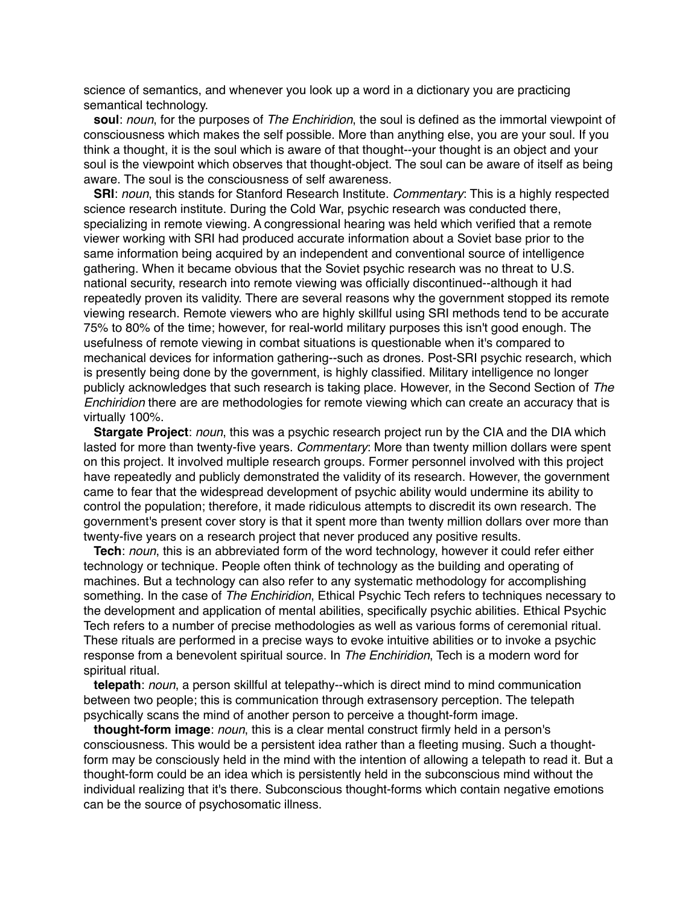science of semantics, and whenever you look up a word in a dictionary you are practicing semantical technology.

**soul**: *noun*, for the purposes of *The Enchiridion*, the soul is defined as the immortal viewpoint of consciousness which makes the self possible. More than anything else, you are your soul. If you think a thought, it is the soul which is aware of that thought--your thought is an object and your soul is the viewpoint which observes that thought-object. The soul can be aware of itself as being aware. The soul is the consciousness of self awareness.

**SRI**: *noun*, this stands for Stanford Research Institute. *Commentary*: This is a highly respected science research institute. During the Cold War, psychic research was conducted there, specializing in remote viewing. A congressional hearing was held which verified that a remote viewer working with SRI had produced accurate information about a Soviet base prior to the same information being acquired by an independent and conventional source of intelligence gathering. When it became obvious that the Soviet psychic research was no threat to U.S. national security, research into remote viewing was officially discontinued--although it had repeatedly proven its validity. There are several reasons why the government stopped its remote viewing research. Remote viewers who are highly skillful using SRI methods tend to be accurate 75% to 80% of the time; however, for real-world military purposes this isn't good enough. The usefulness of remote viewing in combat situations is questionable when it's compared to mechanical devices for information gathering--such as drones. Post-SRI psychic research, which is presently being done by the government, is highly classified. Military intelligence no longer publicly acknowledges that such research is taking place. However, in the Second Section of *The Enchiridion* there are are methodologies for remote viewing which can create an accuracy that is virtually 100%.

**Stargate Project**: *noun*, this was a psychic research project run by the CIA and the DIA which lasted for more than twenty-five years. *Commentary*: More than twenty million dollars were spent on this project. It involved multiple research groups. Former personnel involved with this project have repeatedly and publicly demonstrated the validity of its research. However, the government came to fear that the widespread development of psychic ability would undermine its ability to control the population; therefore, it made ridiculous attempts to discredit its own research. The government's present cover story is that it spent more than twenty million dollars over more than twenty-five years on a research project that never produced any positive results.

**Tech**: *noun*, this is an abbreviated form of the word technology, however it could refer either technology or technique. People often think of technology as the building and operating of machines. But a technology can also refer to any systematic methodology for accomplishing something. In the case of *The Enchiridion*, Ethical Psychic Tech refers to techniques necessary to the development and application of mental abilities, specifically psychic abilities. Ethical Psychic Tech refers to a number of precise methodologies as well as various forms of ceremonial ritual. These rituals are performed in a precise ways to evoke intuitive abilities or to invoke a psychic response from a benevolent spiritual source. In *The Enchiridion*, Tech is a modern word for spiritual ritual.

**telepath**: *noun*, a person skillful at telepathy--which is direct mind to mind communication between two people; this is communication through extrasensory perception. The telepath psychically scans the mind of another person to perceive a thought-form image.

**thought-form image**: *noun*, this is a clear mental construct firmly held in a person's consciousness. This would be a persistent idea rather than a fleeting musing. Such a thoughtform may be consciously held in the mind with the intention of allowing a telepath to read it. But a thought-form could be an idea which is persistently held in the subconscious mind without the individual realizing that it's there. Subconscious thought-forms which contain negative emotions can be the source of psychosomatic illness.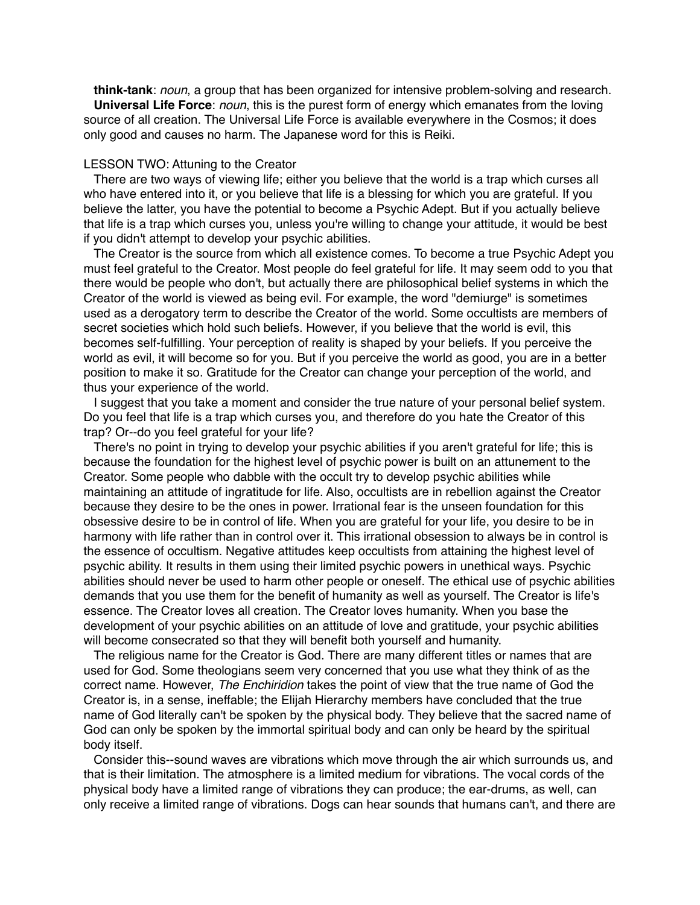**think-tank**: *noun*, a group that has been organized for intensive problem-solving and research. **Universal Life Force**: *noun*, this is the purest form of energy which emanates from the loving source of all creation. The Universal Life Force is available everywhere in the Cosmos; it does only good and causes no harm. The Japanese word for this is Reiki.

# LESSON TWO: Attuning to the Creator

There are two ways of viewing life; either you believe that the world is a trap which curses all who have entered into it, or you believe that life is a blessing for which you are grateful. If you believe the latter, you have the potential to become a Psychic Adept. But if you actually believe that life is a trap which curses you, unless you're willing to change your attitude, it would be best if you didn't attempt to develop your psychic abilities.

The Creator is the source from which all existence comes. To become a true Psychic Adept you must feel grateful to the Creator. Most people do feel grateful for life. It may seem odd to you that there would be people who don't, but actually there are philosophical belief systems in which the Creator of the world is viewed as being evil. For example, the word "demiurge" is sometimes used as a derogatory term to describe the Creator of the world. Some occultists are members of secret societies which hold such beliefs. However, if you believe that the world is evil, this becomes self-fulfilling. Your perception of reality is shaped by your beliefs. If you perceive the world as evil, it will become so for you. But if you perceive the world as good, you are in a better position to make it so. Gratitude for the Creator can change your perception of the world, and thus your experience of the world.

I suggest that you take a moment and consider the true nature of your personal belief system. Do you feel that life is a trap which curses you, and therefore do you hate the Creator of this trap? Or--do you feel grateful for your life?

There's no point in trying to develop your psychic abilities if you aren't grateful for life; this is because the foundation for the highest level of psychic power is built on an attunement to the Creator. Some people who dabble with the occult try to develop psychic abilities while maintaining an attitude of ingratitude for life. Also, occultists are in rebellion against the Creator because they desire to be the ones in power. Irrational fear is the unseen foundation for this obsessive desire to be in control of life. When you are grateful for your life, you desire to be in harmony with life rather than in control over it. This irrational obsession to always be in control is the essence of occultism. Negative attitudes keep occultists from attaining the highest level of psychic ability. It results in them using their limited psychic powers in unethical ways. Psychic abilities should never be used to harm other people or oneself. The ethical use of psychic abilities demands that you use them for the benefit of humanity as well as yourself. The Creator is life's essence. The Creator loves all creation. The Creator loves humanity. When you base the development of your psychic abilities on an attitude of love and gratitude, your psychic abilities will become consecrated so that they will benefit both yourself and humanity.

The religious name for the Creator is God. There are many different titles or names that are used for God. Some theologians seem very concerned that you use what they think of as the correct name. However, *The Enchiridion* takes the point of view that the true name of God the Creator is, in a sense, ineffable; the Elijah Hierarchy members have concluded that the true name of God literally can't be spoken by the physical body. They believe that the sacred name of God can only be spoken by the immortal spiritual body and can only be heard by the spiritual body itself.

Consider this--sound waves are vibrations which move through the air which surrounds us, and that is their limitation. The atmosphere is a limited medium for vibrations. The vocal cords of the physical body have a limited range of vibrations they can produce; the ear-drums, as well, can only receive a limited range of vibrations. Dogs can hear sounds that humans can't, and there are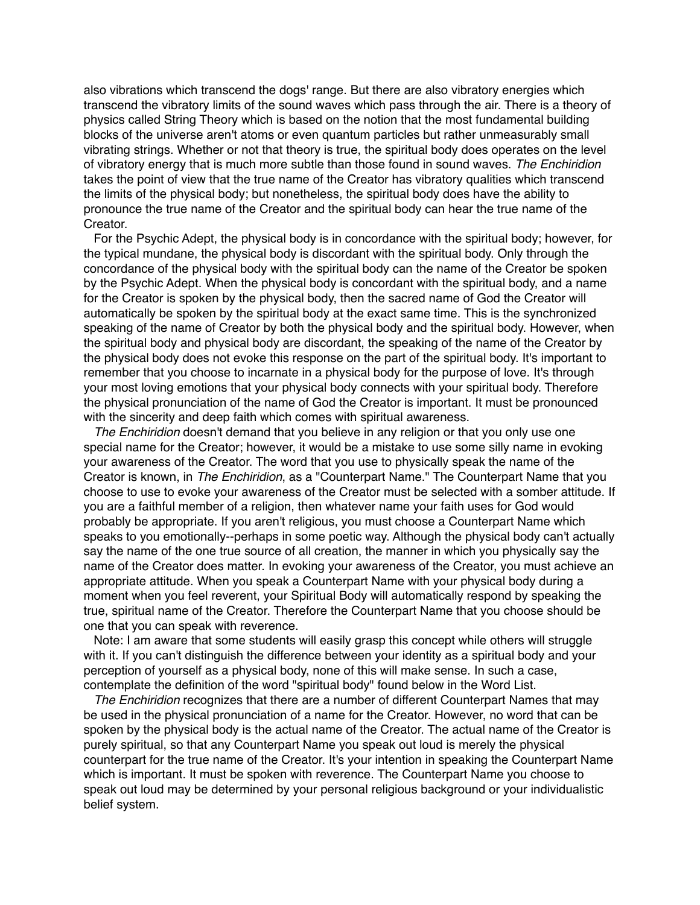also vibrations which transcend the dogs' range. But there are also vibratory energies which transcend the vibratory limits of the sound waves which pass through the air. There is a theory of physics called String Theory which is based on the notion that the most fundamental building blocks of the universe aren't atoms or even quantum particles but rather unmeasurably small vibrating strings. Whether or not that theory is true, the spiritual body does operates on the level of vibratory energy that is much more subtle than those found in sound waves. *The Enchiridion* takes the point of view that the true name of the Creator has vibratory qualities which transcend the limits of the physical body; but nonetheless, the spiritual body does have the ability to pronounce the true name of the Creator and the spiritual body can hear the true name of the Creator.

For the Psychic Adept, the physical body is in concordance with the spiritual body; however, for the typical mundane, the physical body is discordant with the spiritual body. Only through the concordance of the physical body with the spiritual body can the name of the Creator be spoken by the Psychic Adept. When the physical body is concordant with the spiritual body, and a name for the Creator is spoken by the physical body, then the sacred name of God the Creator will automatically be spoken by the spiritual body at the exact same time. This is the synchronized speaking of the name of Creator by both the physical body and the spiritual body. However, when the spiritual body and physical body are discordant, the speaking of the name of the Creator by the physical body does not evoke this response on the part of the spiritual body. It's important to remember that you choose to incarnate in a physical body for the purpose of love. It's through your most loving emotions that your physical body connects with your spiritual body. Therefore the physical pronunciation of the name of God the Creator is important. It must be pronounced with the sincerity and deep faith which comes with spiritual awareness.

*The Enchiridion* doesn't demand that you believe in any religion or that you only use one special name for the Creator; however, it would be a mistake to use some silly name in evoking your awareness of the Creator. The word that you use to physically speak the name of the Creator is known, in *The Enchiridion*, as a "Counterpart Name." The Counterpart Name that you choose to use to evoke your awareness of the Creator must be selected with a somber attitude. If you are a faithful member of a religion, then whatever name your faith uses for God would probably be appropriate. If you aren't religious, you must choose a Counterpart Name which speaks to you emotionally--perhaps in some poetic way. Although the physical body can't actually say the name of the one true source of all creation, the manner in which you physically say the name of the Creator does matter. In evoking your awareness of the Creator, you must achieve an appropriate attitude. When you speak a Counterpart Name with your physical body during a moment when you feel reverent, your Spiritual Body will automatically respond by speaking the true, spiritual name of the Creator. Therefore the Counterpart Name that you choose should be one that you can speak with reverence.

Note: I am aware that some students will easily grasp this concept while others will struggle with it. If you can't distinguish the difference between your identity as a spiritual body and your perception of yourself as a physical body, none of this will make sense. In such a case, contemplate the definition of the word "spiritual body" found below in the Word List.

*The Enchiridion* recognizes that there are a number of different Counterpart Names that may be used in the physical pronunciation of a name for the Creator. However, no word that can be spoken by the physical body is the actual name of the Creator. The actual name of the Creator is purely spiritual, so that any Counterpart Name you speak out loud is merely the physical counterpart for the true name of the Creator. It's your intention in speaking the Counterpart Name which is important. It must be spoken with reverence. The Counterpart Name you choose to speak out loud may be determined by your personal religious background or your individualistic belief system.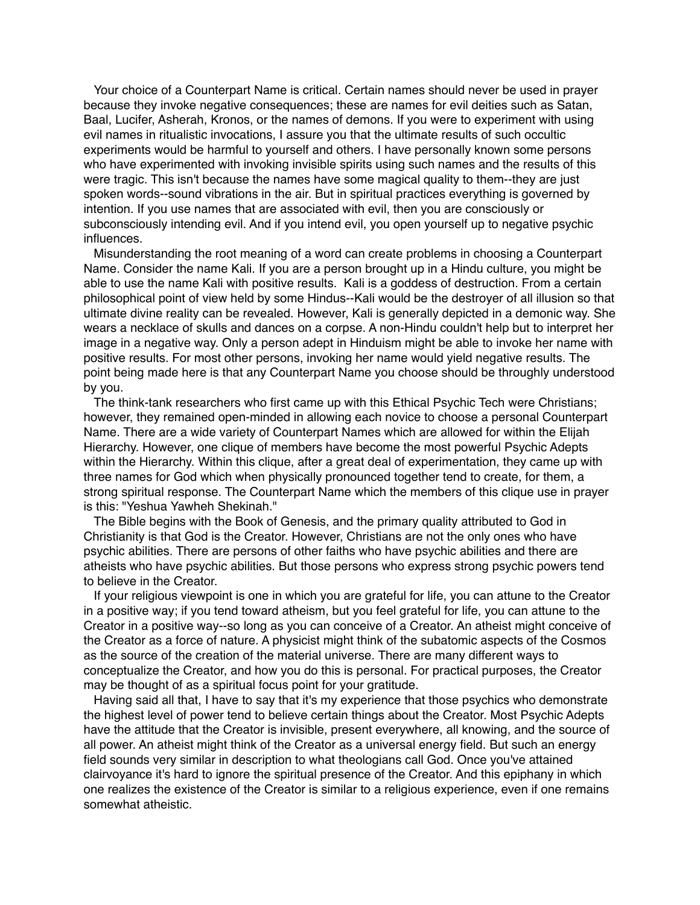Your choice of a Counterpart Name is critical. Certain names should never be used in prayer because they invoke negative consequences; these are names for evil deities such as Satan, Baal, Lucifer, Asherah, Kronos, or the names of demons. If you were to experiment with using evil names in ritualistic invocations, I assure you that the ultimate results of such occultic experiments would be harmful to yourself and others. I have personally known some persons who have experimented with invoking invisible spirits using such names and the results of this were tragic. This isn't because the names have some magical quality to them--they are just spoken words--sound vibrations in the air. But in spiritual practices everything is governed by intention. If you use names that are associated with evil, then you are consciously or subconsciously intending evil. And if you intend evil, you open yourself up to negative psychic influences.

Misunderstanding the root meaning of a word can create problems in choosing a Counterpart Name. Consider the name Kali. If you are a person brought up in a Hindu culture, you might be able to use the name Kali with positive results. Kali is a goddess of destruction. From a certain philosophical point of view held by some Hindus--Kali would be the destroyer of all illusion so that ultimate divine reality can be revealed. However, Kali is generally depicted in a demonic way. She wears a necklace of skulls and dances on a corpse. A non-Hindu couldn't help but to interpret her image in a negative way. Only a person adept in Hinduism might be able to invoke her name with positive results. For most other persons, invoking her name would yield negative results. The point being made here is that any Counterpart Name you choose should be throughly understood by you.

The think-tank researchers who first came up with this Ethical Psychic Tech were Christians; however, they remained open-minded in allowing each novice to choose a personal Counterpart Name. There are a wide variety of Counterpart Names which are allowed for within the Elijah Hierarchy. However, one clique of members have become the most powerful Psychic Adepts within the Hierarchy. Within this clique, after a great deal of experimentation, they came up with three names for God which when physically pronounced together tend to create, for them, a strong spiritual response. The Counterpart Name which the members of this clique use in prayer is this: "Yeshua Yawheh Shekinah."

The Bible begins with the Book of Genesis, and the primary quality attributed to God in Christianity is that God is the Creator. However, Christians are not the only ones who have psychic abilities. There are persons of other faiths who have psychic abilities and there are atheists who have psychic abilities. But those persons who express strong psychic powers tend to believe in the Creator.

If your religious viewpoint is one in which you are grateful for life, you can attune to the Creator in a positive way; if you tend toward atheism, but you feel grateful for life, you can attune to the Creator in a positive way--so long as you can conceive of a Creator. An atheist might conceive of the Creator as a force of nature. A physicist might think of the subatomic aspects of the Cosmos as the source of the creation of the material universe. There are many different ways to conceptualize the Creator, and how you do this is personal. For practical purposes, the Creator may be thought of as a spiritual focus point for your gratitude.

Having said all that, I have to say that it's my experience that those psychics who demonstrate the highest level of power tend to believe certain things about the Creator. Most Psychic Adepts have the attitude that the Creator is invisible, present everywhere, all knowing, and the source of all power. An atheist might think of the Creator as a universal energy field. But such an energy field sounds very similar in description to what theologians call God. Once you've attained clairvoyance it's hard to ignore the spiritual presence of the Creator. And this epiphany in which one realizes the existence of the Creator is similar to a religious experience, even if one remains somewhat atheistic.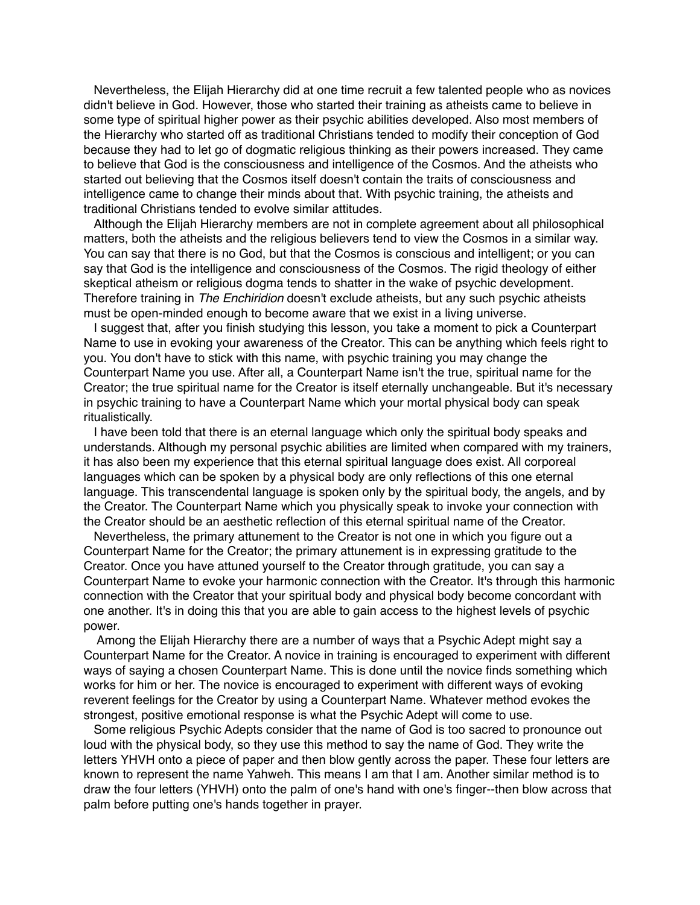Nevertheless, the Elijah Hierarchy did at one time recruit a few talented people who as novices didn't believe in God. However, those who started their training as atheists came to believe in some type of spiritual higher power as their psychic abilities developed. Also most members of the Hierarchy who started off as traditional Christians tended to modify their conception of God because they had to let go of dogmatic religious thinking as their powers increased. They came to believe that God is the consciousness and intelligence of the Cosmos. And the atheists who started out believing that the Cosmos itself doesn't contain the traits of consciousness and intelligence came to change their minds about that. With psychic training, the atheists and traditional Christians tended to evolve similar attitudes.

Although the Elijah Hierarchy members are not in complete agreement about all philosophical matters, both the atheists and the religious believers tend to view the Cosmos in a similar way. You can say that there is no God, but that the Cosmos is conscious and intelligent; or you can say that God is the intelligence and consciousness of the Cosmos. The rigid theology of either skeptical atheism or religious dogma tends to shatter in the wake of psychic development. Therefore training in *The Enchiridion* doesn't exclude atheists, but any such psychic atheists must be open-minded enough to become aware that we exist in a living universe.

I suggest that, after you finish studying this lesson, you take a moment to pick a Counterpart Name to use in evoking your awareness of the Creator. This can be anything which feels right to you. You don't have to stick with this name, with psychic training you may change the Counterpart Name you use. After all, a Counterpart Name isn't the true, spiritual name for the Creator; the true spiritual name for the Creator is itself eternally unchangeable. But it's necessary in psychic training to have a Counterpart Name which your mortal physical body can speak ritualistically.

I have been told that there is an eternal language which only the spiritual body speaks and understands. Although my personal psychic abilities are limited when compared with my trainers, it has also been my experience that this eternal spiritual language does exist. All corporeal languages which can be spoken by a physical body are only reflections of this one eternal language. This transcendental language is spoken only by the spiritual body, the angels, and by the Creator. The Counterpart Name which you physically speak to invoke your connection with the Creator should be an aesthetic reflection of this eternal spiritual name of the Creator.

Nevertheless, the primary attunement to the Creator is not one in which you figure out a Counterpart Name for the Creator; the primary attunement is in expressing gratitude to the Creator. Once you have attuned yourself to the Creator through gratitude, you can say a Counterpart Name to evoke your harmonic connection with the Creator. It's through this harmonic connection with the Creator that your spiritual body and physical body become concordant with one another. It's in doing this that you are able to gain access to the highest levels of psychic power.

Among the Elijah Hierarchy there are a number of ways that a Psychic Adept might say a Counterpart Name for the Creator. A novice in training is encouraged to experiment with different ways of saying a chosen Counterpart Name. This is done until the novice finds something which works for him or her. The novice is encouraged to experiment with different ways of evoking reverent feelings for the Creator by using a Counterpart Name. Whatever method evokes the strongest, positive emotional response is what the Psychic Adept will come to use.

Some religious Psychic Adepts consider that the name of God is too sacred to pronounce out loud with the physical body, so they use this method to say the name of God. They write the letters YHVH onto a piece of paper and then blow gently across the paper. These four letters are known to represent the name Yahweh. This means I am that I am. Another similar method is to draw the four letters (YHVH) onto the palm of one's hand with one's finger--then blow across that palm before putting one's hands together in prayer.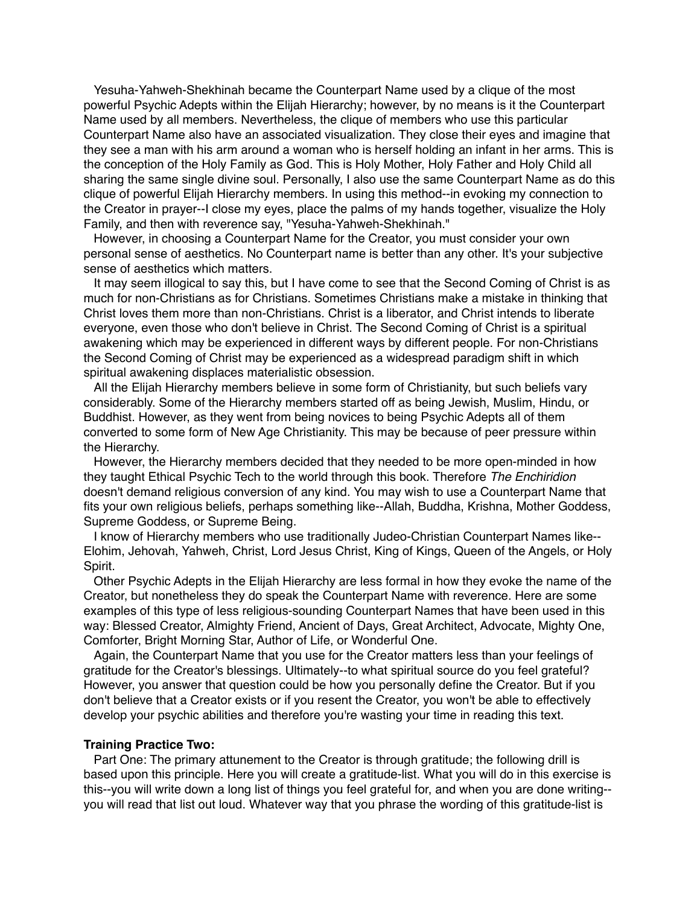Yesuha-Yahweh-Shekhinah became the Counterpart Name used by a clique of the most powerful Psychic Adepts within the Elijah Hierarchy; however, by no means is it the Counterpart Name used by all members. Nevertheless, the clique of members who use this particular Counterpart Name also have an associated visualization. They close their eyes and imagine that they see a man with his arm around a woman who is herself holding an infant in her arms. This is the conception of the Holy Family as God. This is Holy Mother, Holy Father and Holy Child all sharing the same single divine soul. Personally, I also use the same Counterpart Name as do this clique of powerful Elijah Hierarchy members. In using this method--in evoking my connection to the Creator in prayer--I close my eyes, place the palms of my hands together, visualize the Holy Family, and then with reverence say, "Yesuha-Yahweh-Shekhinah."

However, in choosing a Counterpart Name for the Creator, you must consider your own personal sense of aesthetics. No Counterpart name is better than any other. It's your subjective sense of aesthetics which matters.

It may seem illogical to say this, but I have come to see that the Second Coming of Christ is as much for non-Christians as for Christians. Sometimes Christians make a mistake in thinking that Christ loves them more than non-Christians. Christ is a liberator, and Christ intends to liberate everyone, even those who don't believe in Christ. The Second Coming of Christ is a spiritual awakening which may be experienced in different ways by different people. For non-Christians the Second Coming of Christ may be experienced as a widespread paradigm shift in which spiritual awakening displaces materialistic obsession.

All the Elijah Hierarchy members believe in some form of Christianity, but such beliefs vary considerably. Some of the Hierarchy members started off as being Jewish, Muslim, Hindu, or Buddhist. However, as they went from being novices to being Psychic Adepts all of them converted to some form of New Age Christianity. This may be because of peer pressure within the Hierarchy.

However, the Hierarchy members decided that they needed to be more open-minded in how they taught Ethical Psychic Tech to the world through this book. Therefore *The Enchiridion* doesn't demand religious conversion of any kind. You may wish to use a Counterpart Name that fits your own religious beliefs, perhaps something like--Allah, Buddha, Krishna, Mother Goddess, Supreme Goddess, or Supreme Being.

I know of Hierarchy members who use traditionally Judeo-Christian Counterpart Names like-- Elohim, Jehovah, Yahweh, Christ, Lord Jesus Christ, King of Kings, Queen of the Angels, or Holy Spirit.

Other Psychic Adepts in the Elijah Hierarchy are less formal in how they evoke the name of the Creator, but nonetheless they do speak the Counterpart Name with reverence. Here are some examples of this type of less religious-sounding Counterpart Names that have been used in this way: Blessed Creator, Almighty Friend, Ancient of Days, Great Architect, Advocate, Mighty One, Comforter, Bright Morning Star, Author of Life, or Wonderful One.

Again, the Counterpart Name that you use for the Creator matters less than your feelings of gratitude for the Creator's blessings. Ultimately--to what spiritual source do you feel grateful? However, you answer that question could be how you personally define the Creator. But if you don't believe that a Creator exists or if you resent the Creator, you won't be able to effectively develop your psychic abilities and therefore you're wasting your time in reading this text.

### **Training Practice Two:**

Part One: The primary attunement to the Creator is through gratitude; the following drill is based upon this principle. Here you will create a gratitude-list. What you will do in this exercise is this--you will write down a long list of things you feel grateful for, and when you are done writing- you will read that list out loud. Whatever way that you phrase the wording of this gratitude-list is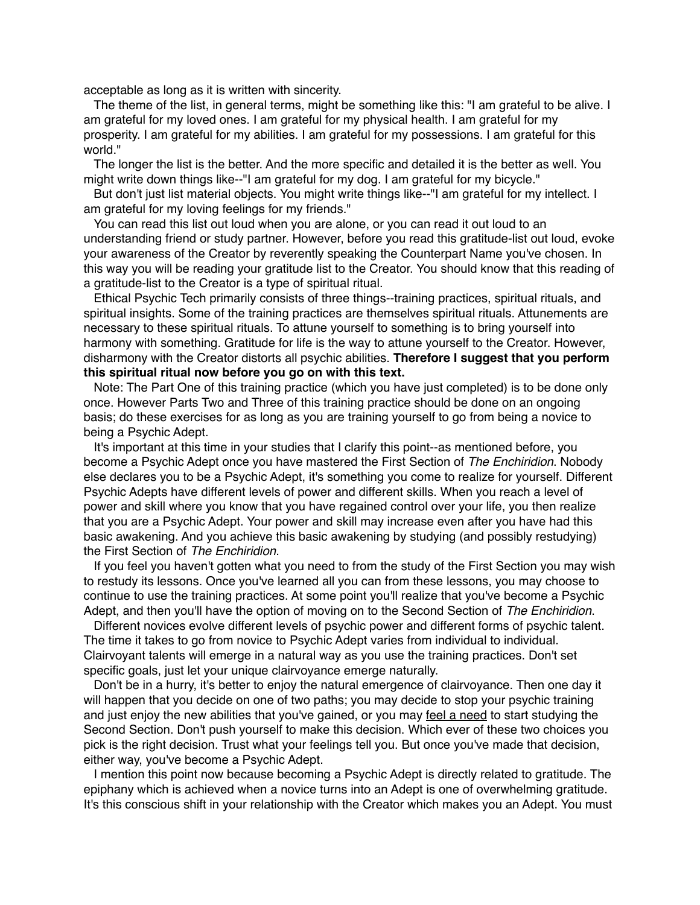acceptable as long as it is written with sincerity.

The theme of the list, in general terms, might be something like this: "I am grateful to be alive. I am grateful for my loved ones. I am grateful for my physical health. I am grateful for my prosperity. I am grateful for my abilities. I am grateful for my possessions. I am grateful for this world."

The longer the list is the better. And the more specific and detailed it is the better as well. You might write down things like--"I am grateful for my dog. I am grateful for my bicycle."

But don't just list material objects. You might write things like--"I am grateful for my intellect. I am grateful for my loving feelings for my friends."

You can read this list out loud when you are alone, or you can read it out loud to an understanding friend or study partner. However, before you read this gratitude-list out loud, evoke your awareness of the Creator by reverently speaking the Counterpart Name you've chosen. In this way you will be reading your gratitude list to the Creator. You should know that this reading of a gratitude-list to the Creator is a type of spiritual ritual.

Ethical Psychic Tech primarily consists of three things--training practices, spiritual rituals, and spiritual insights. Some of the training practices are themselves spiritual rituals. Attunements are necessary to these spiritual rituals. To attune yourself to something is to bring yourself into harmony with something. Gratitude for life is the way to attune yourself to the Creator. However, disharmony with the Creator distorts all psychic abilities. **Therefore I suggest that you perform this spiritual ritual now before you go on with this text.**

Note: The Part One of this training practice (which you have just completed) is to be done only once. However Parts Two and Three of this training practice should be done on an ongoing basis; do these exercises for as long as you are training yourself to go from being a novice to being a Psychic Adept.

It's important at this time in your studies that I clarify this point--as mentioned before, you become a Psychic Adept once you have mastered the First Section of *The Enchiridion*. Nobody else declares you to be a Psychic Adept, it's something you come to realize for yourself. Different Psychic Adepts have different levels of power and different skills. When you reach a level of power and skill where you know that you have regained control over your life, you then realize that you are a Psychic Adept. Your power and skill may increase even after you have had this basic awakening. And you achieve this basic awakening by studying (and possibly restudying) the First Section of *The Enchiridion*.

If you feel you haven't gotten what you need to from the study of the First Section you may wish to restudy its lessons. Once you've learned all you can from these lessons, you may choose to continue to use the training practices. At some point you'll realize that you've become a Psychic Adept, and then you'll have the option of moving on to the Second Section of *The Enchiridion*.

Different novices evolve different levels of psychic power and different forms of psychic talent. The time it takes to go from novice to Psychic Adept varies from individual to individual. Clairvoyant talents will emerge in a natural way as you use the training practices. Don't set specific goals, just let your unique clairvoyance emerge naturally.

Don't be in a hurry, it's better to enjoy the natural emergence of clairvoyance. Then one day it will happen that you decide on one of two paths; you may decide to stop your psychic training and just enjoy the new abilities that you've gained, or you may feel a need to start studying the Second Section. Don't push yourself to make this decision. Which ever of these two choices you pick is the right decision. Trust what your feelings tell you. But once you've made that decision, either way, you've become a Psychic Adept.

I mention this point now because becoming a Psychic Adept is directly related to gratitude. The epiphany which is achieved when a novice turns into an Adept is one of overwhelming gratitude. It's this conscious shift in your relationship with the Creator which makes you an Adept. You must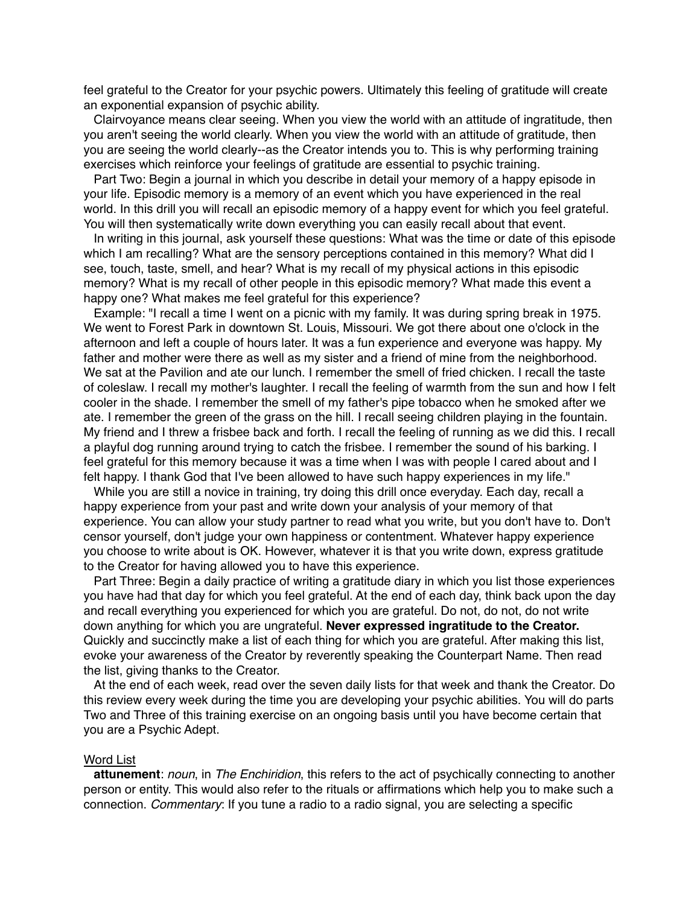feel grateful to the Creator for your psychic powers. Ultimately this feeling of gratitude will create an exponential expansion of psychic ability.

Clairvoyance means clear seeing. When you view the world with an attitude of ingratitude, then you aren't seeing the world clearly. When you view the world with an attitude of gratitude, then you are seeing the world clearly--as the Creator intends you to. This is why performing training exercises which reinforce your feelings of gratitude are essential to psychic training.

Part Two: Begin a journal in which you describe in detail your memory of a happy episode in your life. Episodic memory is a memory of an event which you have experienced in the real world. In this drill you will recall an episodic memory of a happy event for which you feel grateful. You will then systematically write down everything you can easily recall about that event.

In writing in this journal, ask yourself these questions: What was the time or date of this episode which I am recalling? What are the sensory perceptions contained in this memory? What did I see, touch, taste, smell, and hear? What is my recall of my physical actions in this episodic memory? What is my recall of other people in this episodic memory? What made this event a happy one? What makes me feel grateful for this experience?

Example: "I recall a time I went on a picnic with my family. It was during spring break in 1975. We went to Forest Park in downtown St. Louis, Missouri. We got there about one o'clock in the afternoon and left a couple of hours later. It was a fun experience and everyone was happy. My father and mother were there as well as my sister and a friend of mine from the neighborhood. We sat at the Pavilion and ate our lunch. I remember the smell of fried chicken. I recall the taste of coleslaw. I recall my mother's laughter. I recall the feeling of warmth from the sun and how I felt cooler in the shade. I remember the smell of my father's pipe tobacco when he smoked after we ate. I remember the green of the grass on the hill. I recall seeing children playing in the fountain. My friend and I threw a frisbee back and forth. I recall the feeling of running as we did this. I recall a playful dog running around trying to catch the frisbee. I remember the sound of his barking. I feel grateful for this memory because it was a time when I was with people I cared about and I felt happy. I thank God that I've been allowed to have such happy experiences in my life."

While you are still a novice in training, try doing this drill once everyday. Each day, recall a happy experience from your past and write down your analysis of your memory of that experience. You can allow your study partner to read what you write, but you don't have to. Don't censor yourself, don't judge your own happiness or contentment. Whatever happy experience you choose to write about is OK. However, whatever it is that you write down, express gratitude to the Creator for having allowed you to have this experience.

Part Three: Begin a daily practice of writing a gratitude diary in which you list those experiences you have had that day for which you feel grateful. At the end of each day, think back upon the day and recall everything you experienced for which you are grateful. Do not, do not, do not write down anything for which you are ungrateful. **Never expressed ingratitude to the Creator.** Quickly and succinctly make a list of each thing for which you are grateful. After making this list, evoke your awareness of the Creator by reverently speaking the Counterpart Name. Then read the list, giving thanks to the Creator.

At the end of each week, read over the seven daily lists for that week and thank the Creator. Do this review every week during the time you are developing your psychic abilities. You will do parts Two and Three of this training exercise on an ongoing basis until you have become certain that you are a Psychic Adept.

### Word List

**attunement**: *noun*, in *The Enchiridion*, this refers to the act of psychically connecting to another person or entity. This would also refer to the rituals or affirmations which help you to make such a connection. *Commentary*: If you tune a radio to a radio signal, you are selecting a specific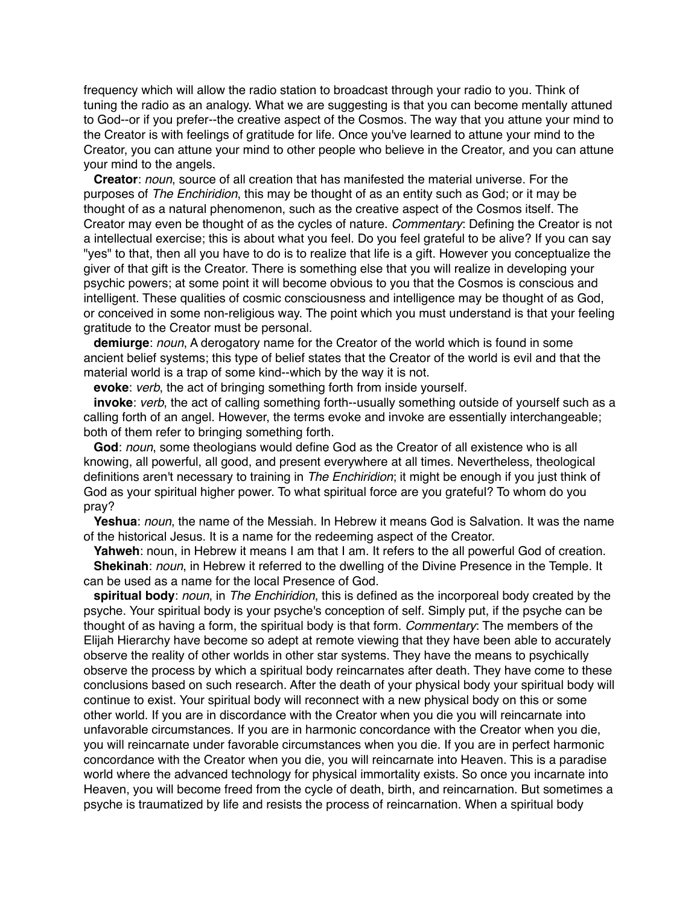frequency which will allow the radio station to broadcast through your radio to you. Think of tuning the radio as an analogy. What we are suggesting is that you can become mentally attuned to God--or if you prefer--the creative aspect of the Cosmos. The way that you attune your mind to the Creator is with feelings of gratitude for life. Once you've learned to attune your mind to the Creator, you can attune your mind to other people who believe in the Creator, and you can attune your mind to the angels.

**Creator**: *noun*, source of all creation that has manifested the material universe. For the purposes of *The Enchiridion*, this may be thought of as an entity such as God; or it may be thought of as a natural phenomenon, such as the creative aspect of the Cosmos itself. The Creator may even be thought of as the cycles of nature. *Commentary*: Defining the Creator is not a intellectual exercise; this is about what you feel. Do you feel grateful to be alive? If you can say "yes" to that, then all you have to do is to realize that life is a gift. However you conceptualize the giver of that gift is the Creator. There is something else that you will realize in developing your psychic powers; at some point it will become obvious to you that the Cosmos is conscious and intelligent. These qualities of cosmic consciousness and intelligence may be thought of as God, or conceived in some non-religious way. The point which you must understand is that your feeling gratitude to the Creator must be personal.

**demiurge**: *noun*, A derogatory name for the Creator of the world which is found in some ancient belief systems; this type of belief states that the Creator of the world is evil and that the material world is a trap of some kind--which by the way it is not.

**evoke**: *verb*, the act of bringing something forth from inside yourself.

**invoke**: *verb*, the act of calling something forth--usually something outside of yourself such as a calling forth of an angel. However, the terms evoke and invoke are essentially interchangeable; both of them refer to bringing something forth.

**God**: *noun*, some theologians would define God as the Creator of all existence who is all knowing, all powerful, all good, and present everywhere at all times. Nevertheless, theological definitions aren't necessary to training in *The Enchiridion*; it might be enough if you just think of God as your spiritual higher power. To what spiritual force are you grateful? To whom do you pray?

**Yeshua**: *noun*, the name of the Messiah. In Hebrew it means God is Salvation. It was the name of the historical Jesus. It is a name for the redeeming aspect of the Creator.

**Yahweh**: noun, in Hebrew it means I am that I am. It refers to the all powerful God of creation. **Shekinah**: *noun*, in Hebrew it referred to the dwelling of the Divine Presence in the Temple. It can be used as a name for the local Presence of God.

**spiritual body**: *noun*, in *The Enchiridion*, this is defined as the incorporeal body created by the psyche. Your spiritual body is your psyche's conception of self. Simply put, if the psyche can be thought of as having a form, the spiritual body is that form. *Commentary*: The members of the Elijah Hierarchy have become so adept at remote viewing that they have been able to accurately observe the reality of other worlds in other star systems. They have the means to psychically observe the process by which a spiritual body reincarnates after death. They have come to these conclusions based on such research. After the death of your physical body your spiritual body will continue to exist. Your spiritual body will reconnect with a new physical body on this or some other world. If you are in discordance with the Creator when you die you will reincarnate into unfavorable circumstances. If you are in harmonic concordance with the Creator when you die, you will reincarnate under favorable circumstances when you die. If you are in perfect harmonic concordance with the Creator when you die, you will reincarnate into Heaven. This is a paradise world where the advanced technology for physical immortality exists. So once you incarnate into Heaven, you will become freed from the cycle of death, birth, and reincarnation. But sometimes a psyche is traumatized by life and resists the process of reincarnation. When a spiritual body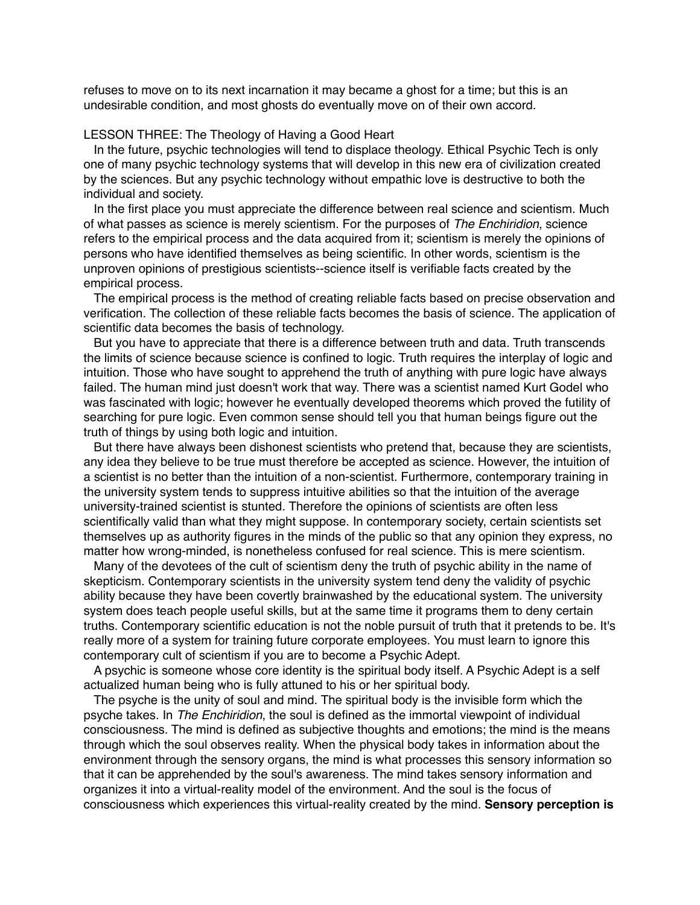refuses to move on to its next incarnation it may became a ghost for a time; but this is an undesirable condition, and most ghosts do eventually move on of their own accord.

# LESSON THREE: The Theology of Having a Good Heart

In the future, psychic technologies will tend to displace theology. Ethical Psychic Tech is only one of many psychic technology systems that will develop in this new era of civilization created by the sciences. But any psychic technology without empathic love is destructive to both the individual and society.

In the first place you must appreciate the difference between real science and scientism. Much of what passes as science is merely scientism. For the purposes of *The Enchiridion*, science refers to the empirical process and the data acquired from it; scientism is merely the opinions of persons who have identified themselves as being scientific. In other words, scientism is the unproven opinions of prestigious scientists--science itself is verifiable facts created by the empirical process.

The empirical process is the method of creating reliable facts based on precise observation and verification. The collection of these reliable facts becomes the basis of science. The application of scientific data becomes the basis of technology.

But you have to appreciate that there is a difference between truth and data. Truth transcends the limits of science because science is confined to logic. Truth requires the interplay of logic and intuition. Those who have sought to apprehend the truth of anything with pure logic have always failed. The human mind just doesn't work that way. There was a scientist named Kurt Godel who was fascinated with logic; however he eventually developed theorems which proved the futility of searching for pure logic. Even common sense should tell you that human beings figure out the truth of things by using both logic and intuition.

But there have always been dishonest scientists who pretend that, because they are scientists, any idea they believe to be true must therefore be accepted as science. However, the intuition of a scientist is no better than the intuition of a non-scientist. Furthermore, contemporary training in the university system tends to suppress intuitive abilities so that the intuition of the average university-trained scientist is stunted. Therefore the opinions of scientists are often less scientifically valid than what they might suppose. In contemporary society, certain scientists set themselves up as authority figures in the minds of the public so that any opinion they express, no matter how wrong-minded, is nonetheless confused for real science. This is mere scientism.

Many of the devotees of the cult of scientism deny the truth of psychic ability in the name of skepticism. Contemporary scientists in the university system tend deny the validity of psychic ability because they have been covertly brainwashed by the educational system. The university system does teach people useful skills, but at the same time it programs them to deny certain truths. Contemporary scientific education is not the noble pursuit of truth that it pretends to be. It's really more of a system for training future corporate employees. You must learn to ignore this contemporary cult of scientism if you are to become a Psychic Adept.

A psychic is someone whose core identity is the spiritual body itself. A Psychic Adept is a self actualized human being who is fully attuned to his or her spiritual body.

The psyche is the unity of soul and mind. The spiritual body is the invisible form which the psyche takes. In *The Enchiridion*, the soul is defined as the immortal viewpoint of individual consciousness. The mind is defined as subjective thoughts and emotions; the mind is the means through which the soul observes reality. When the physical body takes in information about the environment through the sensory organs, the mind is what processes this sensory information so that it can be apprehended by the soul's awareness. The mind takes sensory information and organizes it into a virtual-reality model of the environment. And the soul is the focus of consciousness which experiences this virtual-reality created by the mind. **Sensory perception is**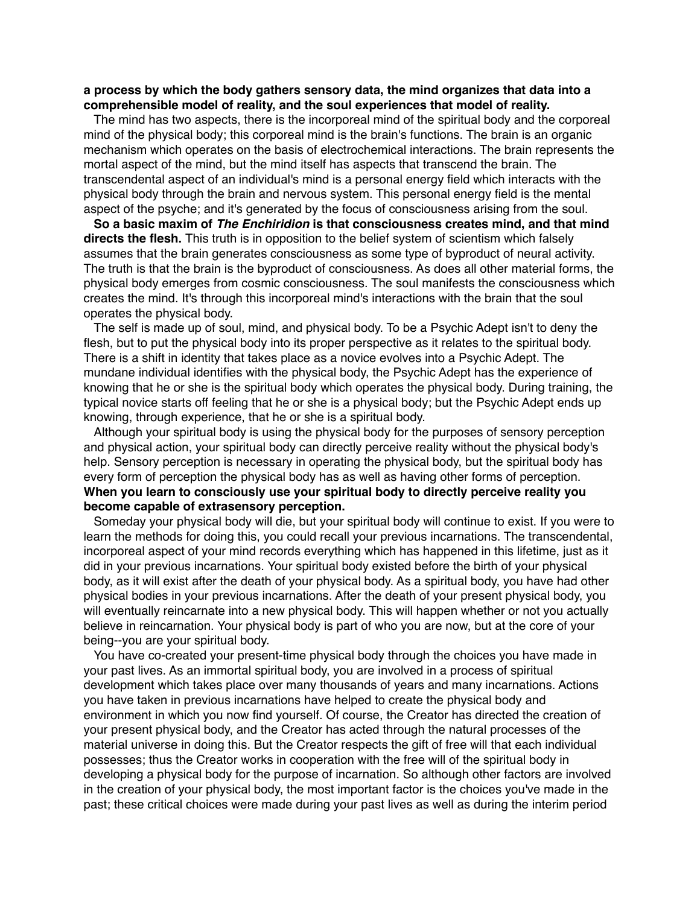# **a process by which the body gathers sensory data, the mind organizes that data into a comprehensible model of reality, and the soul experiences that model of reality.**

The mind has two aspects, there is the incorporeal mind of the spiritual body and the corporeal mind of the physical body; this corporeal mind is the brain's functions. The brain is an organic mechanism which operates on the basis of electrochemical interactions. The brain represents the mortal aspect of the mind, but the mind itself has aspects that transcend the brain. The transcendental aspect of an individual's mind is a personal energy field which interacts with the physical body through the brain and nervous system. This personal energy field is the mental aspect of the psyche; and it's generated by the focus of consciousness arising from the soul.

**So a basic maxim of** *The Enchiridion* **is that consciousness creates mind, and that mind directs the flesh.** This truth is in opposition to the belief system of scientism which falsely assumes that the brain generates consciousness as some type of byproduct of neural activity. The truth is that the brain is the byproduct of consciousness. As does all other material forms, the physical body emerges from cosmic consciousness. The soul manifests the consciousness which creates the mind. It's through this incorporeal mind's interactions with the brain that the soul operates the physical body.

The self is made up of soul, mind, and physical body. To be a Psychic Adept isn't to deny the flesh, but to put the physical body into its proper perspective as it relates to the spiritual body. There is a shift in identity that takes place as a novice evolves into a Psychic Adept. The mundane individual identifies with the physical body, the Psychic Adept has the experience of knowing that he or she is the spiritual body which operates the physical body. During training, the typical novice starts off feeling that he or she is a physical body; but the Psychic Adept ends up knowing, through experience, that he or she is a spiritual body.

Although your spiritual body is using the physical body for the purposes of sensory perception and physical action, your spiritual body can directly perceive reality without the physical body's help. Sensory perception is necessary in operating the physical body, but the spiritual body has every form of perception the physical body has as well as having other forms of perception. **When you learn to consciously use your spiritual body to directly perceive reality you become capable of extrasensory perception.** 

Someday your physical body will die, but your spiritual body will continue to exist. If you were to learn the methods for doing this, you could recall your previous incarnations. The transcendental, incorporeal aspect of your mind records everything which has happened in this lifetime, just as it did in your previous incarnations. Your spiritual body existed before the birth of your physical body, as it will exist after the death of your physical body. As a spiritual body, you have had other physical bodies in your previous incarnations. After the death of your present physical body, you will eventually reincarnate into a new physical body. This will happen whether or not you actually believe in reincarnation. Your physical body is part of who you are now, but at the core of your being--you are your spiritual body.

You have co-created your present-time physical body through the choices you have made in your past lives. As an immortal spiritual body, you are involved in a process of spiritual development which takes place over many thousands of years and many incarnations. Actions you have taken in previous incarnations have helped to create the physical body and environment in which you now find yourself. Of course, the Creator has directed the creation of your present physical body, and the Creator has acted through the natural processes of the material universe in doing this. But the Creator respects the gift of free will that each individual possesses; thus the Creator works in cooperation with the free will of the spiritual body in developing a physical body for the purpose of incarnation. So although other factors are involved in the creation of your physical body, the most important factor is the choices you've made in the past; these critical choices were made during your past lives as well as during the interim period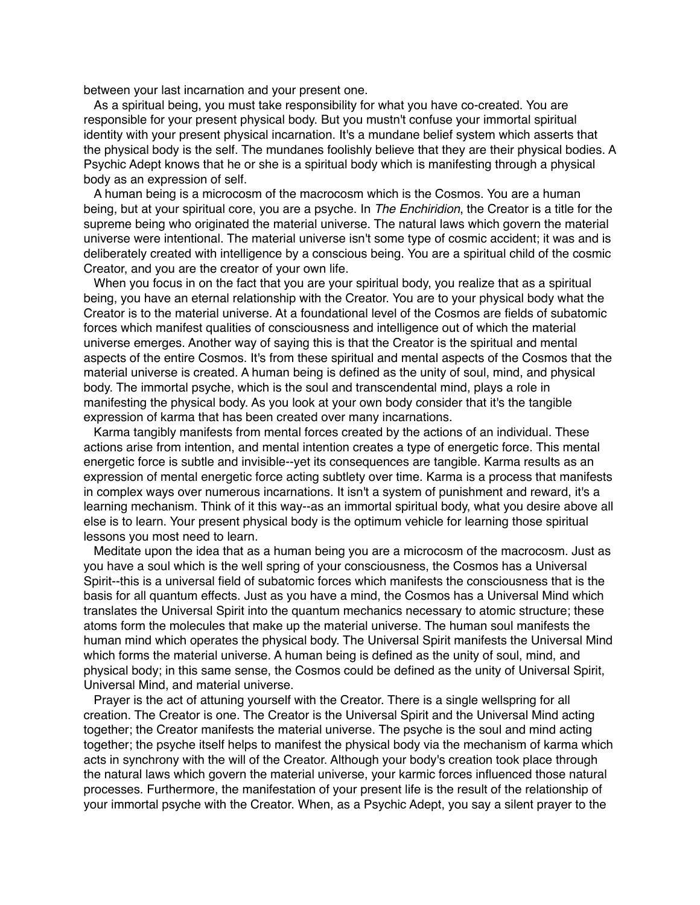between your last incarnation and your present one.

As a spiritual being, you must take responsibility for what you have co-created. You are responsible for your present physical body. But you mustn't confuse your immortal spiritual identity with your present physical incarnation. It's a mundane belief system which asserts that the physical body is the self. The mundanes foolishly believe that they are their physical bodies. A Psychic Adept knows that he or she is a spiritual body which is manifesting through a physical body as an expression of self.

A human being is a microcosm of the macrocosm which is the Cosmos. You are a human being, but at your spiritual core, you are a psyche. In *The Enchiridion*, the Creator is a title for the supreme being who originated the material universe. The natural laws which govern the material universe were intentional. The material universe isn't some type of cosmic accident; it was and is deliberately created with intelligence by a conscious being. You are a spiritual child of the cosmic Creator, and you are the creator of your own life.

When you focus in on the fact that you are your spiritual body, you realize that as a spiritual being, you have an eternal relationship with the Creator. You are to your physical body what the Creator is to the material universe. At a foundational level of the Cosmos are fields of subatomic forces which manifest qualities of consciousness and intelligence out of which the material universe emerges. Another way of saying this is that the Creator is the spiritual and mental aspects of the entire Cosmos. It's from these spiritual and mental aspects of the Cosmos that the material universe is created. A human being is defined as the unity of soul, mind, and physical body. The immortal psyche, which is the soul and transcendental mind, plays a role in manifesting the physical body. As you look at your own body consider that it's the tangible expression of karma that has been created over many incarnations.

Karma tangibly manifests from mental forces created by the actions of an individual. These actions arise from intention, and mental intention creates a type of energetic force. This mental energetic force is subtle and invisible--yet its consequences are tangible. Karma results as an expression of mental energetic force acting subtlety over time. Karma is a process that manifests in complex ways over numerous incarnations. It isn't a system of punishment and reward, it's a learning mechanism. Think of it this way--as an immortal spiritual body, what you desire above all else is to learn. Your present physical body is the optimum vehicle for learning those spiritual lessons you most need to learn.

Meditate upon the idea that as a human being you are a microcosm of the macrocosm. Just as you have a soul which is the well spring of your consciousness, the Cosmos has a Universal Spirit--this is a universal field of subatomic forces which manifests the consciousness that is the basis for all quantum effects. Just as you have a mind, the Cosmos has a Universal Mind which translates the Universal Spirit into the quantum mechanics necessary to atomic structure; these atoms form the molecules that make up the material universe. The human soul manifests the human mind which operates the physical body. The Universal Spirit manifests the Universal Mind which forms the material universe. A human being is defined as the unity of soul, mind, and physical body; in this same sense, the Cosmos could be defined as the unity of Universal Spirit, Universal Mind, and material universe.

Prayer is the act of attuning yourself with the Creator. There is a single wellspring for all creation. The Creator is one. The Creator is the Universal Spirit and the Universal Mind acting together; the Creator manifests the material universe. The psyche is the soul and mind acting together; the psyche itself helps to manifest the physical body via the mechanism of karma which acts in synchrony with the will of the Creator. Although your body's creation took place through the natural laws which govern the material universe, your karmic forces influenced those natural processes. Furthermore, the manifestation of your present life is the result of the relationship of your immortal psyche with the Creator. When, as a Psychic Adept, you say a silent prayer to the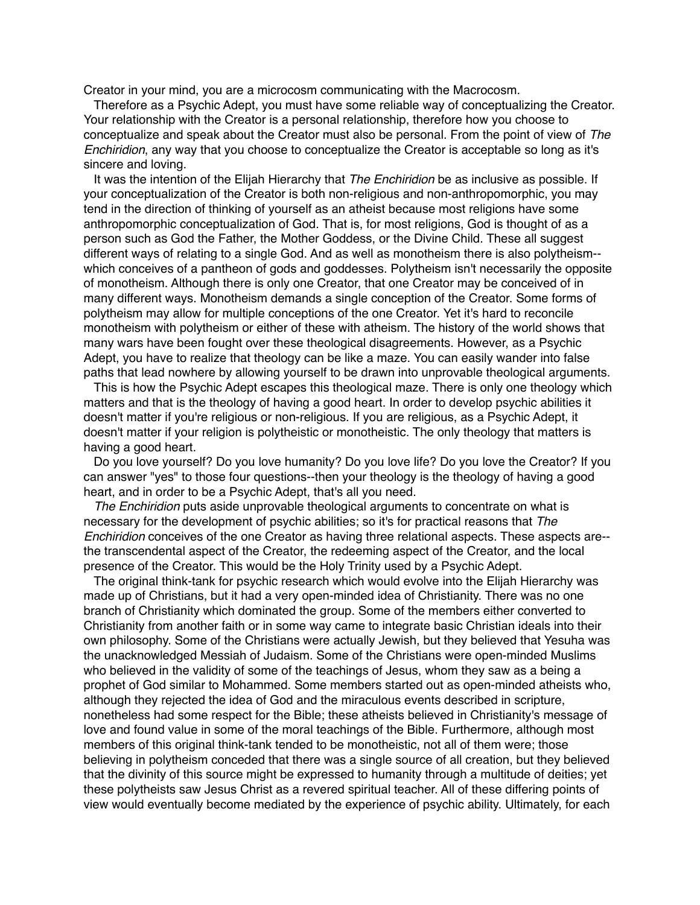Creator in your mind, you are a microcosm communicating with the Macrocosm.

Therefore as a Psychic Adept, you must have some reliable way of conceptualizing the Creator. Your relationship with the Creator is a personal relationship, therefore how you choose to conceptualize and speak about the Creator must also be personal. From the point of view of *The Enchiridion*, any way that you choose to conceptualize the Creator is acceptable so long as it's sincere and loving.

It was the intention of the Elijah Hierarchy that *The Enchiridion* be as inclusive as possible. If your conceptualization of the Creator is both non-religious and non-anthropomorphic, you may tend in the direction of thinking of yourself as an atheist because most religions have some anthropomorphic conceptualization of God. That is, for most religions, God is thought of as a person such as God the Father, the Mother Goddess, or the Divine Child. These all suggest different ways of relating to a single God. And as well as monotheism there is also polytheism- which conceives of a pantheon of gods and goddesses. Polytheism isn't necessarily the opposite of monotheism. Although there is only one Creator, that one Creator may be conceived of in many different ways. Monotheism demands a single conception of the Creator. Some forms of polytheism may allow for multiple conceptions of the one Creator. Yet it's hard to reconcile monotheism with polytheism or either of these with atheism. The history of the world shows that many wars have been fought over these theological disagreements. However, as a Psychic Adept, you have to realize that theology can be like a maze. You can easily wander into false paths that lead nowhere by allowing yourself to be drawn into unprovable theological arguments.

This is how the Psychic Adept escapes this theological maze. There is only one theology which matters and that is the theology of having a good heart. In order to develop psychic abilities it doesn't matter if you're religious or non-religious. If you are religious, as a Psychic Adept, it doesn't matter if your religion is polytheistic or monotheistic. The only theology that matters is having a good heart.

Do you love yourself? Do you love humanity? Do you love life? Do you love the Creator? If you can answer "yes" to those four questions--then your theology is the theology of having a good heart, and in order to be a Psychic Adept, that's all you need.

*The Enchiridion* puts aside unprovable theological arguments to concentrate on what is necessary for the development of psychic abilities; so it's for practical reasons that *The Enchiridion* conceives of the one Creator as having three relational aspects. These aspects are- the transcendental aspect of the Creator, the redeeming aspect of the Creator, and the local presence of the Creator. This would be the Holy Trinity used by a Psychic Adept.

The original think-tank for psychic research which would evolve into the Elijah Hierarchy was made up of Christians, but it had a very open-minded idea of Christianity. There was no one branch of Christianity which dominated the group. Some of the members either converted to Christianity from another faith or in some way came to integrate basic Christian ideals into their own philosophy. Some of the Christians were actually Jewish, but they believed that Yesuha was the unacknowledged Messiah of Judaism. Some of the Christians were open-minded Muslims who believed in the validity of some of the teachings of Jesus, whom they saw as a being a prophet of God similar to Mohammed. Some members started out as open-minded atheists who, although they rejected the idea of God and the miraculous events described in scripture, nonetheless had some respect for the Bible; these atheists believed in Christianity's message of love and found value in some of the moral teachings of the Bible. Furthermore, although most members of this original think-tank tended to be monotheistic, not all of them were; those believing in polytheism conceded that there was a single source of all creation, but they believed that the divinity of this source might be expressed to humanity through a multitude of deities; yet these polytheists saw Jesus Christ as a revered spiritual teacher. All of these differing points of view would eventually become mediated by the experience of psychic ability. Ultimately, for each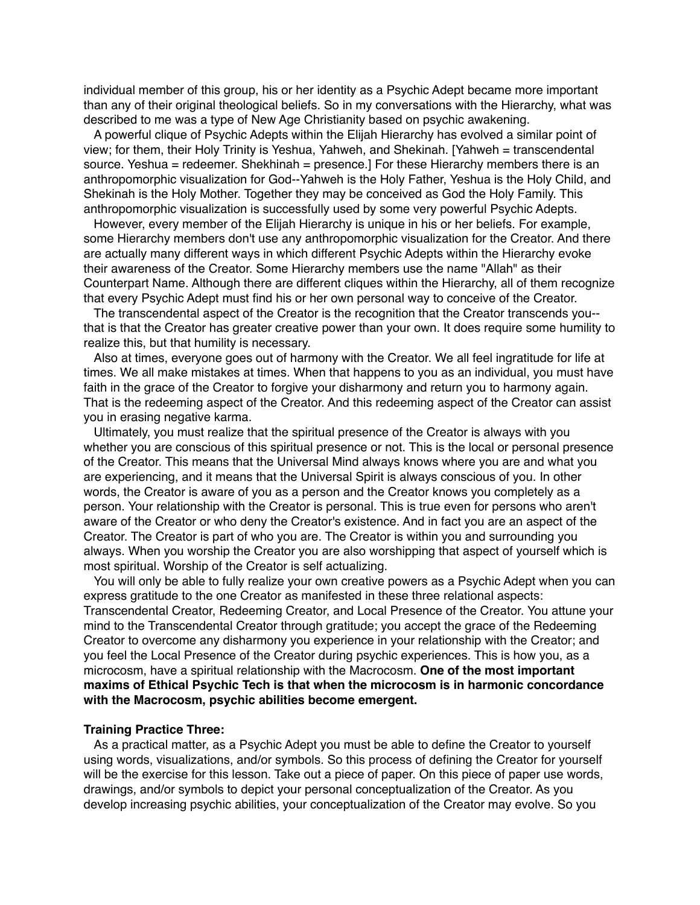individual member of this group, his or her identity as a Psychic Adept became more important than any of their original theological beliefs. So in my conversations with the Hierarchy, what was described to me was a type of New Age Christianity based on psychic awakening.

A powerful clique of Psychic Adepts within the Elijah Hierarchy has evolved a similar point of view; for them, their Holy Trinity is Yeshua, Yahweh, and Shekinah. [Yahweh = transcendental source. Yeshua = redeemer. Shekhinah = presence.] For these Hierarchy members there is an anthropomorphic visualization for God--Yahweh is the Holy Father, Yeshua is the Holy Child, and Shekinah is the Holy Mother. Together they may be conceived as God the Holy Family. This anthropomorphic visualization is successfully used by some very powerful Psychic Adepts.

However, every member of the Elijah Hierarchy is unique in his or her beliefs. For example, some Hierarchy members don't use any anthropomorphic visualization for the Creator. And there are actually many different ways in which different Psychic Adepts within the Hierarchy evoke their awareness of the Creator. Some Hierarchy members use the name "Allah" as their Counterpart Name. Although there are different cliques within the Hierarchy, all of them recognize that every Psychic Adept must find his or her own personal way to conceive of the Creator.

The transcendental aspect of the Creator is the recognition that the Creator transcends you- that is that the Creator has greater creative power than your own. It does require some humility to realize this, but that humility is necessary.

Also at times, everyone goes out of harmony with the Creator. We all feel ingratitude for life at times. We all make mistakes at times. When that happens to you as an individual, you must have faith in the grace of the Creator to forgive your disharmony and return you to harmony again. That is the redeeming aspect of the Creator. And this redeeming aspect of the Creator can assist you in erasing negative karma.

Ultimately, you must realize that the spiritual presence of the Creator is always with you whether you are conscious of this spiritual presence or not. This is the local or personal presence of the Creator. This means that the Universal Mind always knows where you are and what you are experiencing, and it means that the Universal Spirit is always conscious of you. In other words, the Creator is aware of you as a person and the Creator knows you completely as a person. Your relationship with the Creator is personal. This is true even for persons who aren't aware of the Creator or who deny the Creator's existence. And in fact you are an aspect of the Creator. The Creator is part of who you are. The Creator is within you and surrounding you always. When you worship the Creator you are also worshipping that aspect of yourself which is most spiritual. Worship of the Creator is self actualizing.

You will only be able to fully realize your own creative powers as a Psychic Adept when you can express gratitude to the one Creator as manifested in these three relational aspects: Transcendental Creator, Redeeming Creator, and Local Presence of the Creator. You attune your mind to the Transcendental Creator through gratitude; you accept the grace of the Redeeming Creator to overcome any disharmony you experience in your relationship with the Creator; and you feel the Local Presence of the Creator during psychic experiences. This is how you, as a microcosm, have a spiritual relationship with the Macrocosm. **One of the most important maxims of Ethical Psychic Tech is that when the microcosm is in harmonic concordance with the Macrocosm, psychic abilities become emergent.** 

### **Training Practice Three:**

As a practical matter, as a Psychic Adept you must be able to define the Creator to yourself using words, visualizations, and/or symbols. So this process of defining the Creator for yourself will be the exercise for this lesson. Take out a piece of paper. On this piece of paper use words, drawings, and/or symbols to depict your personal conceptualization of the Creator. As you develop increasing psychic abilities, your conceptualization of the Creator may evolve. So you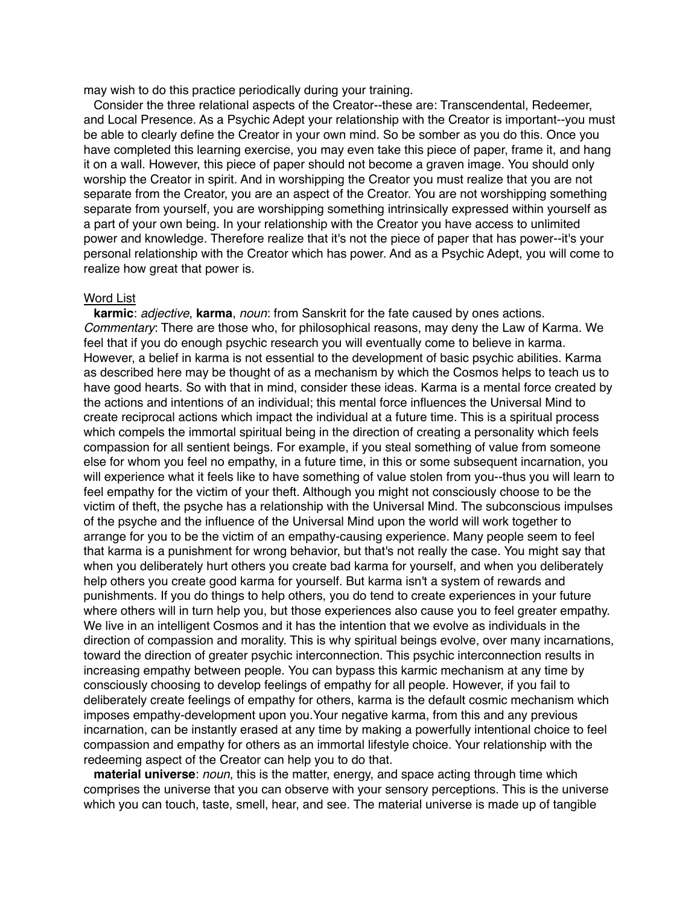may wish to do this practice periodically during your training.

Consider the three relational aspects of the Creator--these are: Transcendental, Redeemer, and Local Presence. As a Psychic Adept your relationship with the Creator is important--you must be able to clearly define the Creator in your own mind. So be somber as you do this. Once you have completed this learning exercise, you may even take this piece of paper, frame it, and hang it on a wall. However, this piece of paper should not become a graven image. You should only worship the Creator in spirit. And in worshipping the Creator you must realize that you are not separate from the Creator, you are an aspect of the Creator. You are not worshipping something separate from yourself, you are worshipping something intrinsically expressed within yourself as a part of your own being. In your relationship with the Creator you have access to unlimited power and knowledge. Therefore realize that it's not the piece of paper that has power--it's your personal relationship with the Creator which has power. And as a Psychic Adept, you will come to realize how great that power is.

### Word List

**karmic**: *adjective*, **karma**, *noun*: from Sanskrit for the fate caused by ones actions. *Commentary*: There are those who, for philosophical reasons, may deny the Law of Karma. We feel that if you do enough psychic research you will eventually come to believe in karma. However, a belief in karma is not essential to the development of basic psychic abilities. Karma as described here may be thought of as a mechanism by which the Cosmos helps to teach us to have good hearts. So with that in mind, consider these ideas. Karma is a mental force created by the actions and intentions of an individual; this mental force influences the Universal Mind to create reciprocal actions which impact the individual at a future time. This is a spiritual process which compels the immortal spiritual being in the direction of creating a personality which feels compassion for all sentient beings. For example, if you steal something of value from someone else for whom you feel no empathy, in a future time, in this or some subsequent incarnation, you will experience what it feels like to have something of value stolen from you--thus you will learn to feel empathy for the victim of your theft. Although you might not consciously choose to be the victim of theft, the psyche has a relationship with the Universal Mind. The subconscious impulses of the psyche and the influence of the Universal Mind upon the world will work together to arrange for you to be the victim of an empathy-causing experience. Many people seem to feel that karma is a punishment for wrong behavior, but that's not really the case. You might say that when you deliberately hurt others you create bad karma for yourself, and when you deliberately help others you create good karma for yourself. But karma isn't a system of rewards and punishments. If you do things to help others, you do tend to create experiences in your future where others will in turn help you, but those experiences also cause you to feel greater empathy. We live in an intelligent Cosmos and it has the intention that we evolve as individuals in the direction of compassion and morality. This is why spiritual beings evolve, over many incarnations, toward the direction of greater psychic interconnection. This psychic interconnection results in increasing empathy between people. You can bypass this karmic mechanism at any time by consciously choosing to develop feelings of empathy for all people. However, if you fail to deliberately create feelings of empathy for others, karma is the default cosmic mechanism which imposes empathy-development upon you.Your negative karma, from this and any previous incarnation, can be instantly erased at any time by making a powerfully intentional choice to feel compassion and empathy for others as an immortal lifestyle choice. Your relationship with the redeeming aspect of the Creator can help you to do that.

**material universe**: *noun*, this is the matter, energy, and space acting through time which comprises the universe that you can observe with your sensory perceptions. This is the universe which you can touch, taste, smell, hear, and see. The material universe is made up of tangible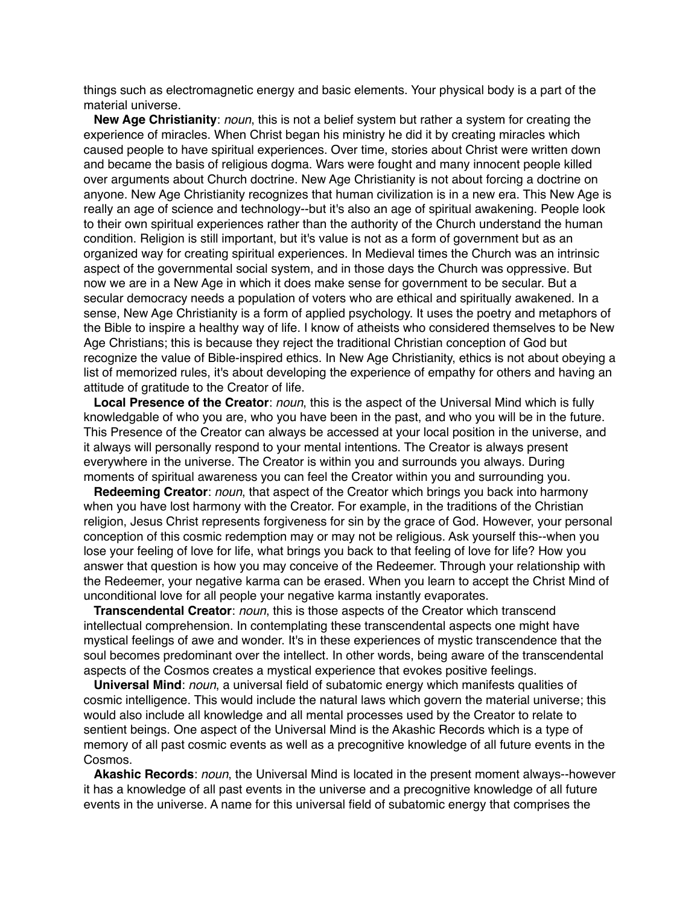things such as electromagnetic energy and basic elements. Your physical body is a part of the material universe.

**New Age Christianity**: *noun*, this is not a belief system but rather a system for creating the experience of miracles. When Christ began his ministry he did it by creating miracles which caused people to have spiritual experiences. Over time, stories about Christ were written down and became the basis of religious dogma. Wars were fought and many innocent people killed over arguments about Church doctrine. New Age Christianity is not about forcing a doctrine on anyone. New Age Christianity recognizes that human civilization is in a new era. This New Age is really an age of science and technology--but it's also an age of spiritual awakening. People look to their own spiritual experiences rather than the authority of the Church understand the human condition. Religion is still important, but it's value is not as a form of government but as an organized way for creating spiritual experiences. In Medieval times the Church was an intrinsic aspect of the governmental social system, and in those days the Church was oppressive. But now we are in a New Age in which it does make sense for government to be secular. But a secular democracy needs a population of voters who are ethical and spiritually awakened. In a sense, New Age Christianity is a form of applied psychology. It uses the poetry and metaphors of the Bible to inspire a healthy way of life. I know of atheists who considered themselves to be New Age Christians; this is because they reject the traditional Christian conception of God but recognize the value of Bible-inspired ethics. In New Age Christianity, ethics is not about obeying a list of memorized rules, it's about developing the experience of empathy for others and having an attitude of gratitude to the Creator of life.

**Local Presence of the Creator**: *noun*, this is the aspect of the Universal Mind which is fully knowledgable of who you are, who you have been in the past, and who you will be in the future. This Presence of the Creator can always be accessed at your local position in the universe, and it always will personally respond to your mental intentions. The Creator is always present everywhere in the universe. The Creator is within you and surrounds you always. During moments of spiritual awareness you can feel the Creator within you and surrounding you.

**Redeeming Creator**: *noun*, that aspect of the Creator which brings you back into harmony when you have lost harmony with the Creator. For example, in the traditions of the Christian religion, Jesus Christ represents forgiveness for sin by the grace of God. However, your personal conception of this cosmic redemption may or may not be religious. Ask yourself this--when you lose your feeling of love for life, what brings you back to that feeling of love for life? How you answer that question is how you may conceive of the Redeemer. Through your relationship with the Redeemer, your negative karma can be erased. When you learn to accept the Christ Mind of unconditional love for all people your negative karma instantly evaporates.

**Transcendental Creator**: *noun*, this is those aspects of the Creator which transcend intellectual comprehension. In contemplating these transcendental aspects one might have mystical feelings of awe and wonder. It's in these experiences of mystic transcendence that the soul becomes predominant over the intellect. In other words, being aware of the transcendental aspects of the Cosmos creates a mystical experience that evokes positive feelings.

**Universal Mind**: *noun*, a universal field of subatomic energy which manifests qualities of cosmic intelligence. This would include the natural laws which govern the material universe; this would also include all knowledge and all mental processes used by the Creator to relate to sentient beings. One aspect of the Universal Mind is the Akashic Records which is a type of memory of all past cosmic events as well as a precognitive knowledge of all future events in the Cosmos.

**Akashic Records**: *noun*, the Universal Mind is located in the present moment always--however it has a knowledge of all past events in the universe and a precognitive knowledge of all future events in the universe. A name for this universal field of subatomic energy that comprises the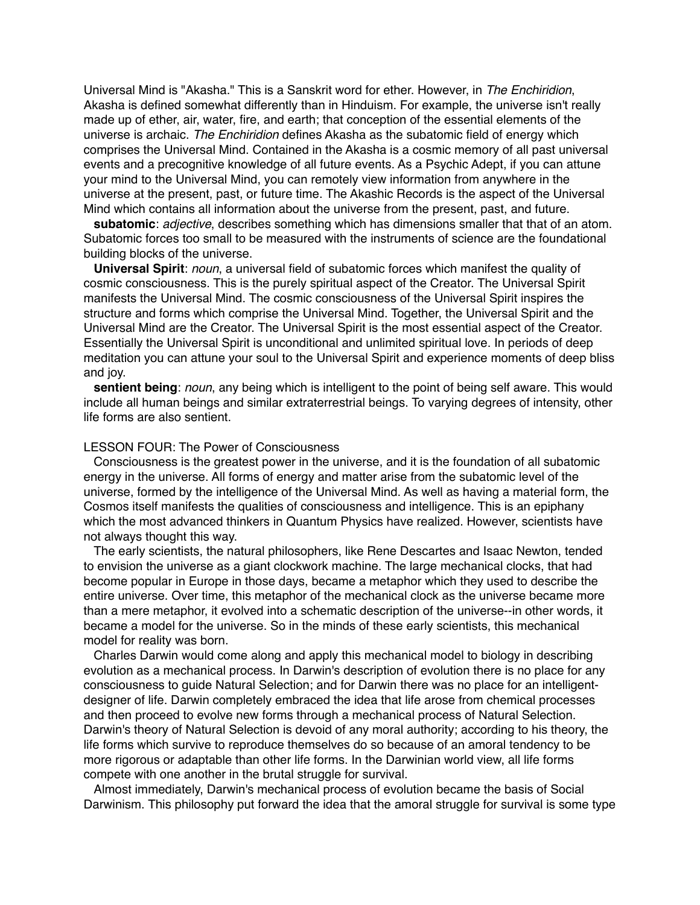Universal Mind is "Akasha." This is a Sanskrit word for ether. However, in *The Enchiridion*, Akasha is defined somewhat differently than in Hinduism. For example, the universe isn't really made up of ether, air, water, fire, and earth; that conception of the essential elements of the universe is archaic. *The Enchiridion* defines Akasha as the subatomic field of energy which comprises the Universal Mind. Contained in the Akasha is a cosmic memory of all past universal events and a precognitive knowledge of all future events. As a Psychic Adept, if you can attune your mind to the Universal Mind, you can remotely view information from anywhere in the universe at the present, past, or future time. The Akashic Records is the aspect of the Universal Mind which contains all information about the universe from the present, past, and future.

**subatomic**: *adjective*, describes something which has dimensions smaller that that of an atom. Subatomic forces too small to be measured with the instruments of science are the foundational building blocks of the universe.

**Universal Spirit**: *noun*, a universal field of subatomic forces which manifest the quality of cosmic consciousness. This is the purely spiritual aspect of the Creator. The Universal Spirit manifests the Universal Mind. The cosmic consciousness of the Universal Spirit inspires the structure and forms which comprise the Universal Mind. Together, the Universal Spirit and the Universal Mind are the Creator. The Universal Spirit is the most essential aspect of the Creator. Essentially the Universal Spirit is unconditional and unlimited spiritual love. In periods of deep meditation you can attune your soul to the Universal Spirit and experience moments of deep bliss and joy.

**sentient being**: *noun*, any being which is intelligent to the point of being self aware. This would include all human beings and similar extraterrestrial beings. To varying degrees of intensity, other life forms are also sentient.

## LESSON FOUR: The Power of Consciousness

Consciousness is the greatest power in the universe, and it is the foundation of all subatomic energy in the universe. All forms of energy and matter arise from the subatomic level of the universe, formed by the intelligence of the Universal Mind. As well as having a material form, the Cosmos itself manifests the qualities of consciousness and intelligence. This is an epiphany which the most advanced thinkers in Quantum Physics have realized. However, scientists have not always thought this way.

The early scientists, the natural philosophers, like Rene Descartes and Isaac Newton, tended to envision the universe as a giant clockwork machine. The large mechanical clocks, that had become popular in Europe in those days, became a metaphor which they used to describe the entire universe. Over time, this metaphor of the mechanical clock as the universe became more than a mere metaphor, it evolved into a schematic description of the universe--in other words, it became a model for the universe. So in the minds of these early scientists, this mechanical model for reality was born.

Charles Darwin would come along and apply this mechanical model to biology in describing evolution as a mechanical process. In Darwin's description of evolution there is no place for any consciousness to guide Natural Selection; and for Darwin there was no place for an intelligentdesigner of life. Darwin completely embraced the idea that life arose from chemical processes and then proceed to evolve new forms through a mechanical process of Natural Selection. Darwin's theory of Natural Selection is devoid of any moral authority; according to his theory, the life forms which survive to reproduce themselves do so because of an amoral tendency to be more rigorous or adaptable than other life forms. In the Darwinian world view, all life forms compete with one another in the brutal struggle for survival.

Almost immediately, Darwin's mechanical process of evolution became the basis of Social Darwinism. This philosophy put forward the idea that the amoral struggle for survival is some type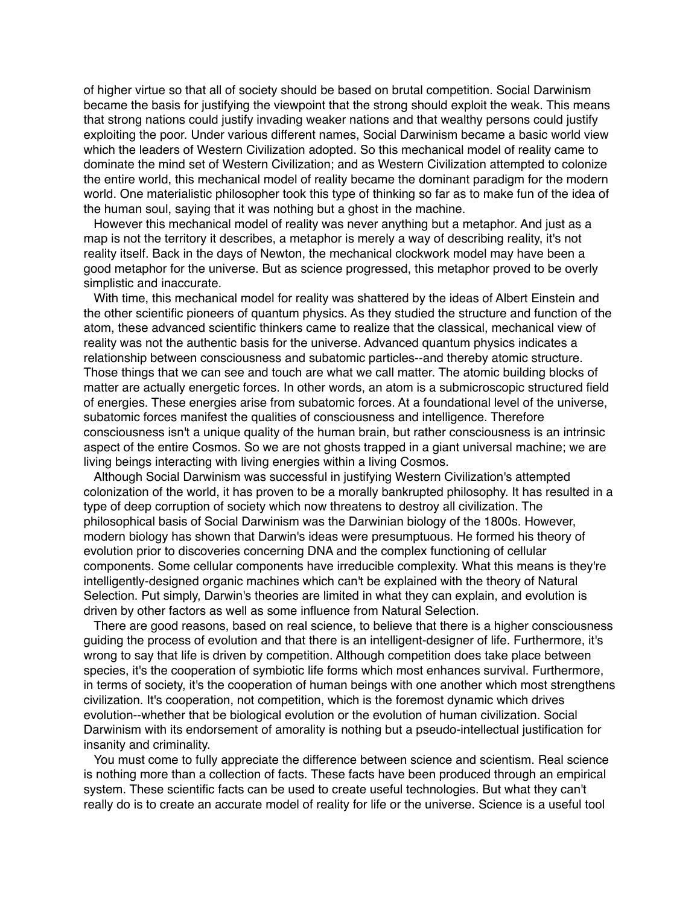of higher virtue so that all of society should be based on brutal competition. Social Darwinism became the basis for justifying the viewpoint that the strong should exploit the weak. This means that strong nations could justify invading weaker nations and that wealthy persons could justify exploiting the poor. Under various different names, Social Darwinism became a basic world view which the leaders of Western Civilization adopted. So this mechanical model of reality came to dominate the mind set of Western Civilization; and as Western Civilization attempted to colonize the entire world, this mechanical model of reality became the dominant paradigm for the modern world. One materialistic philosopher took this type of thinking so far as to make fun of the idea of the human soul, saying that it was nothing but a ghost in the machine.

However this mechanical model of reality was never anything but a metaphor. And just as a map is not the territory it describes, a metaphor is merely a way of describing reality, it's not reality itself. Back in the days of Newton, the mechanical clockwork model may have been a good metaphor for the universe. But as science progressed, this metaphor proved to be overly simplistic and inaccurate.

With time, this mechanical model for reality was shattered by the ideas of Albert Einstein and the other scientific pioneers of quantum physics. As they studied the structure and function of the atom, these advanced scientific thinkers came to realize that the classical, mechanical view of reality was not the authentic basis for the universe. Advanced quantum physics indicates a relationship between consciousness and subatomic particles--and thereby atomic structure. Those things that we can see and touch are what we call matter. The atomic building blocks of matter are actually energetic forces. In other words, an atom is a submicroscopic structured field of energies. These energies arise from subatomic forces. At a foundational level of the universe, subatomic forces manifest the qualities of consciousness and intelligence. Therefore consciousness isn't a unique quality of the human brain, but rather consciousness is an intrinsic aspect of the entire Cosmos. So we are not ghosts trapped in a giant universal machine; we are living beings interacting with living energies within a living Cosmos.

Although Social Darwinism was successful in justifying Western Civilization's attempted colonization of the world, it has proven to be a morally bankrupted philosophy. It has resulted in a type of deep corruption of society which now threatens to destroy all civilization. The philosophical basis of Social Darwinism was the Darwinian biology of the 1800s. However, modern biology has shown that Darwin's ideas were presumptuous. He formed his theory of evolution prior to discoveries concerning DNA and the complex functioning of cellular components. Some cellular components have irreducible complexity. What this means is they're intelligently-designed organic machines which can't be explained with the theory of Natural Selection. Put simply, Darwin's theories are limited in what they can explain, and evolution is driven by other factors as well as some influence from Natural Selection.

There are good reasons, based on real science, to believe that there is a higher consciousness guiding the process of evolution and that there is an intelligent-designer of life. Furthermore, it's wrong to say that life is driven by competition. Although competition does take place between species, it's the cooperation of symbiotic life forms which most enhances survival. Furthermore, in terms of society, it's the cooperation of human beings with one another which most strengthens civilization. It's cooperation, not competition, which is the foremost dynamic which drives evolution--whether that be biological evolution or the evolution of human civilization. Social Darwinism with its endorsement of amorality is nothing but a pseudo-intellectual justification for insanity and criminality.

You must come to fully appreciate the difference between science and scientism. Real science is nothing more than a collection of facts. These facts have been produced through an empirical system. These scientific facts can be used to create useful technologies. But what they can't really do is to create an accurate model of reality for life or the universe. Science is a useful tool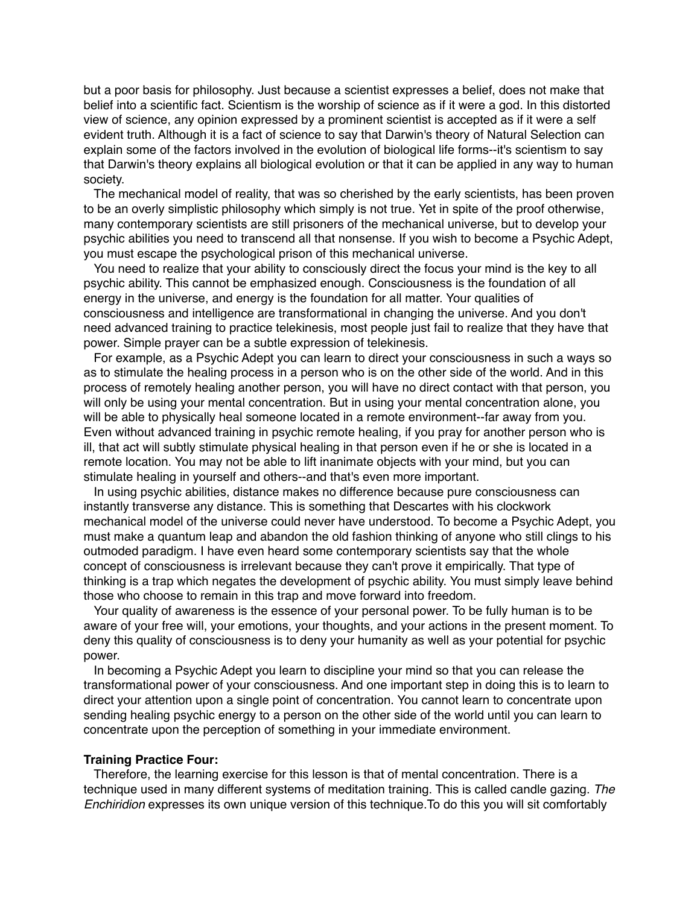but a poor basis for philosophy. Just because a scientist expresses a belief, does not make that belief into a scientific fact. Scientism is the worship of science as if it were a god. In this distorted view of science, any opinion expressed by a prominent scientist is accepted as if it were a self evident truth. Although it is a fact of science to say that Darwin's theory of Natural Selection can explain some of the factors involved in the evolution of biological life forms--it's scientism to say that Darwin's theory explains all biological evolution or that it can be applied in any way to human society.

The mechanical model of reality, that was so cherished by the early scientists, has been proven to be an overly simplistic philosophy which simply is not true. Yet in spite of the proof otherwise, many contemporary scientists are still prisoners of the mechanical universe, but to develop your psychic abilities you need to transcend all that nonsense. If you wish to become a Psychic Adept, you must escape the psychological prison of this mechanical universe.

You need to realize that your ability to consciously direct the focus your mind is the key to all psychic ability. This cannot be emphasized enough. Consciousness is the foundation of all energy in the universe, and energy is the foundation for all matter. Your qualities of consciousness and intelligence are transformational in changing the universe. And you don't need advanced training to practice telekinesis, most people just fail to realize that they have that power. Simple prayer can be a subtle expression of telekinesis.

For example, as a Psychic Adept you can learn to direct your consciousness in such a ways so as to stimulate the healing process in a person who is on the other side of the world. And in this process of remotely healing another person, you will have no direct contact with that person, you will only be using your mental concentration. But in using your mental concentration alone, you will be able to physically heal someone located in a remote environment--far away from you. Even without advanced training in psychic remote healing, if you pray for another person who is ill, that act will subtly stimulate physical healing in that person even if he or she is located in a remote location. You may not be able to lift inanimate objects with your mind, but you can stimulate healing in yourself and others--and that's even more important.

In using psychic abilities, distance makes no difference because pure consciousness can instantly transverse any distance. This is something that Descartes with his clockwork mechanical model of the universe could never have understood. To become a Psychic Adept, you must make a quantum leap and abandon the old fashion thinking of anyone who still clings to his outmoded paradigm. I have even heard some contemporary scientists say that the whole concept of consciousness is irrelevant because they can't prove it empirically. That type of thinking is a trap which negates the development of psychic ability. You must simply leave behind those who choose to remain in this trap and move forward into freedom.

Your quality of awareness is the essence of your personal power. To be fully human is to be aware of your free will, your emotions, your thoughts, and your actions in the present moment. To deny this quality of consciousness is to deny your humanity as well as your potential for psychic power.

In becoming a Psychic Adept you learn to discipline your mind so that you can release the transformational power of your consciousness. And one important step in doing this is to learn to direct your attention upon a single point of concentration. You cannot learn to concentrate upon sending healing psychic energy to a person on the other side of the world until you can learn to concentrate upon the perception of something in your immediate environment.

### **Training Practice Four:**

Therefore, the learning exercise for this lesson is that of mental concentration. There is a technique used in many different systems of meditation training. This is called candle gazing. *The Enchiridion* expresses its own unique version of this technique.To do this you will sit comfortably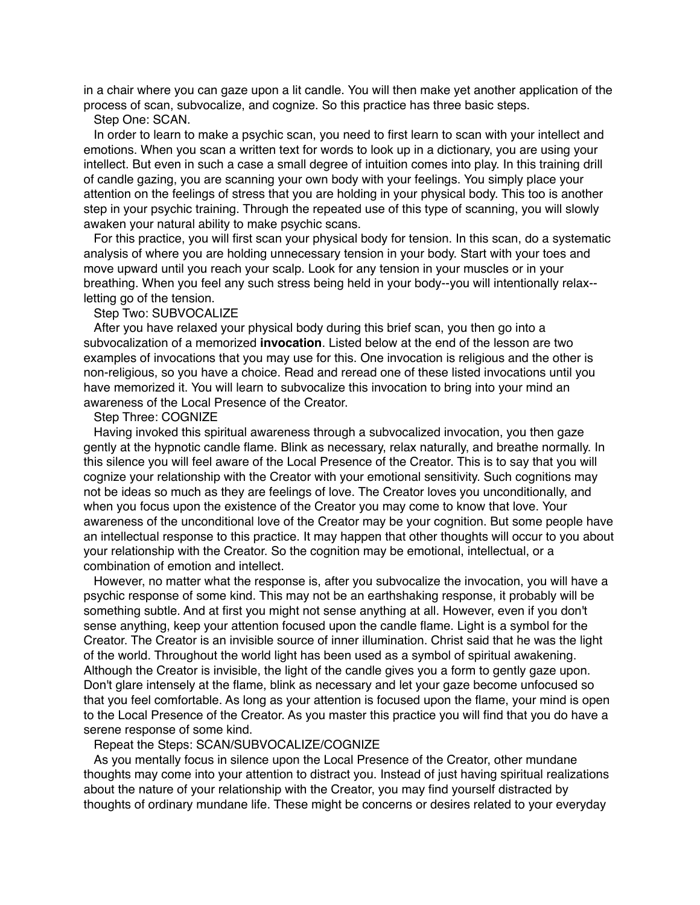in a chair where you can gaze upon a lit candle. You will then make yet another application of the process of scan, subvocalize, and cognize. So this practice has three basic steps.

# Step One: SCAN.

In order to learn to make a psychic scan, you need to first learn to scan with your intellect and emotions. When you scan a written text for words to look up in a dictionary, you are using your intellect. But even in such a case a small degree of intuition comes into play. In this training drill of candle gazing, you are scanning your own body with your feelings. You simply place your attention on the feelings of stress that you are holding in your physical body. This too is another step in your psychic training. Through the repeated use of this type of scanning, you will slowly awaken your natural ability to make psychic scans.

For this practice, you will first scan your physical body for tension. In this scan, do a systematic analysis of where you are holding unnecessary tension in your body. Start with your toes and move upward until you reach your scalp. Look for any tension in your muscles or in your breathing. When you feel any such stress being held in your body--you will intentionally relax- letting go of the tension.

### Step Two: SUBVOCALIZE

After you have relaxed your physical body during this brief scan, you then go into a subvocalization of a memorized **invocation**. Listed below at the end of the lesson are two examples of invocations that you may use for this. One invocation is religious and the other is non-religious, so you have a choice. Read and reread one of these listed invocations until you have memorized it. You will learn to subvocalize this invocation to bring into your mind an awareness of the Local Presence of the Creator.

# Step Three: COGNIZE

Having invoked this spiritual awareness through a subvocalized invocation, you then gaze gently at the hypnotic candle flame. Blink as necessary, relax naturally, and breathe normally. In this silence you will feel aware of the Local Presence of the Creator. This is to say that you will cognize your relationship with the Creator with your emotional sensitivity. Such cognitions may not be ideas so much as they are feelings of love. The Creator loves you unconditionally, and when you focus upon the existence of the Creator you may come to know that love. Your awareness of the unconditional love of the Creator may be your cognition. But some people have an intellectual response to this practice. It may happen that other thoughts will occur to you about your relationship with the Creator. So the cognition may be emotional, intellectual, or a combination of emotion and intellect.

However, no matter what the response is, after you subvocalize the invocation, you will have a psychic response of some kind. This may not be an earthshaking response, it probably will be something subtle. And at first you might not sense anything at all. However, even if you don't sense anything, keep your attention focused upon the candle flame. Light is a symbol for the Creator. The Creator is an invisible source of inner illumination. Christ said that he was the light of the world. Throughout the world light has been used as a symbol of spiritual awakening. Although the Creator is invisible, the light of the candle gives you a form to gently gaze upon. Don't glare intensely at the flame, blink as necessary and let your gaze become unfocused so that you feel comfortable. As long as your attention is focused upon the flame, your mind is open to the Local Presence of the Creator. As you master this practice you will find that you do have a serene response of some kind.

# Repeat the Steps: SCAN/SUBVOCALIZE/COGNIZE

As you mentally focus in silence upon the Local Presence of the Creator, other mundane thoughts may come into your attention to distract you. Instead of just having spiritual realizations about the nature of your relationship with the Creator, you may find yourself distracted by thoughts of ordinary mundane life. These might be concerns or desires related to your everyday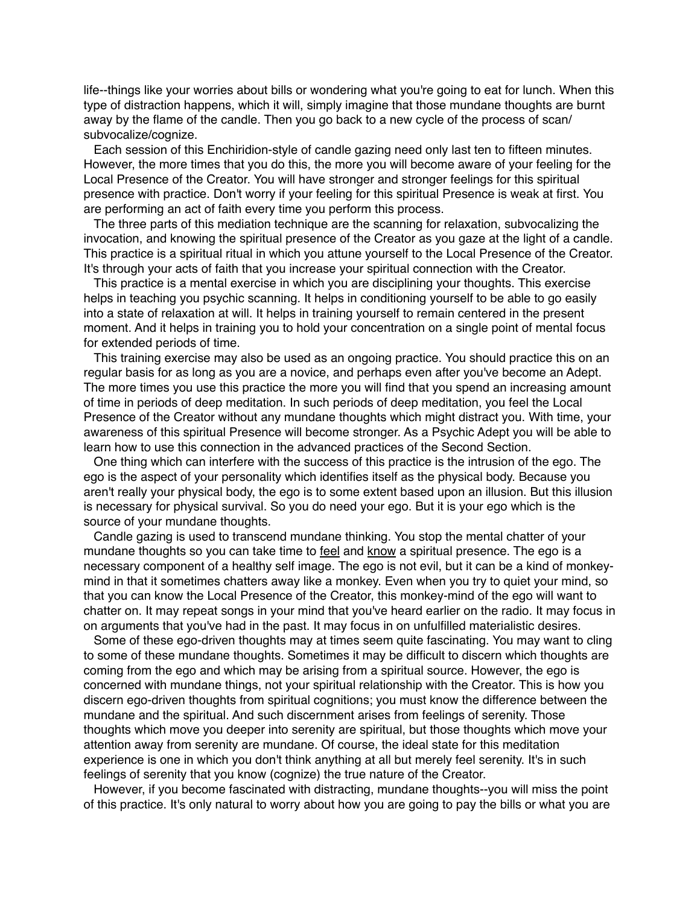life--things like your worries about bills or wondering what you're going to eat for lunch. When this type of distraction happens, which it will, simply imagine that those mundane thoughts are burnt away by the flame of the candle. Then you go back to a new cycle of the process of scan/ subvocalize/cognize.

Each session of this Enchiridion-style of candle gazing need only last ten to fifteen minutes. However, the more times that you do this, the more you will become aware of your feeling for the Local Presence of the Creator. You will have stronger and stronger feelings for this spiritual presence with practice. Don't worry if your feeling for this spiritual Presence is weak at first. You are performing an act of faith every time you perform this process.

The three parts of this mediation technique are the scanning for relaxation, subvocalizing the invocation, and knowing the spiritual presence of the Creator as you gaze at the light of a candle. This practice is a spiritual ritual in which you attune yourself to the Local Presence of the Creator. It's through your acts of faith that you increase your spiritual connection with the Creator.

This practice is a mental exercise in which you are disciplining your thoughts. This exercise helps in teaching you psychic scanning. It helps in conditioning yourself to be able to go easily into a state of relaxation at will. It helps in training yourself to remain centered in the present moment. And it helps in training you to hold your concentration on a single point of mental focus for extended periods of time.

This training exercise may also be used as an ongoing practice. You should practice this on an regular basis for as long as you are a novice, and perhaps even after you've become an Adept. The more times you use this practice the more you will find that you spend an increasing amount of time in periods of deep meditation. In such periods of deep meditation, you feel the Local Presence of the Creator without any mundane thoughts which might distract you. With time, your awareness of this spiritual Presence will become stronger. As a Psychic Adept you will be able to learn how to use this connection in the advanced practices of the Second Section.

One thing which can interfere with the success of this practice is the intrusion of the ego. The ego is the aspect of your personality which identifies itself as the physical body. Because you aren't really your physical body, the ego is to some extent based upon an illusion. But this illusion is necessary for physical survival. So you do need your ego. But it is your ego which is the source of your mundane thoughts.

Candle gazing is used to transcend mundane thinking. You stop the mental chatter of your mundane thoughts so you can take time to feel and know a spiritual presence. The ego is a necessary component of a healthy self image. The ego is not evil, but it can be a kind of monkeymind in that it sometimes chatters away like a monkey. Even when you try to quiet your mind, so that you can know the Local Presence of the Creator, this monkey-mind of the ego will want to chatter on. It may repeat songs in your mind that you've heard earlier on the radio. It may focus in on arguments that you've had in the past. It may focus in on unfulfilled materialistic desires.

Some of these ego-driven thoughts may at times seem quite fascinating. You may want to cling to some of these mundane thoughts. Sometimes it may be difficult to discern which thoughts are coming from the ego and which may be arising from a spiritual source. However, the ego is concerned with mundane things, not your spiritual relationship with the Creator. This is how you discern ego-driven thoughts from spiritual cognitions; you must know the difference between the mundane and the spiritual. And such discernment arises from feelings of serenity. Those thoughts which move you deeper into serenity are spiritual, but those thoughts which move your attention away from serenity are mundane. Of course, the ideal state for this meditation experience is one in which you don't think anything at all but merely feel serenity. It's in such feelings of serenity that you know (cognize) the true nature of the Creator.

However, if you become fascinated with distracting, mundane thoughts--you will miss the point of this practice. It's only natural to worry about how you are going to pay the bills or what you are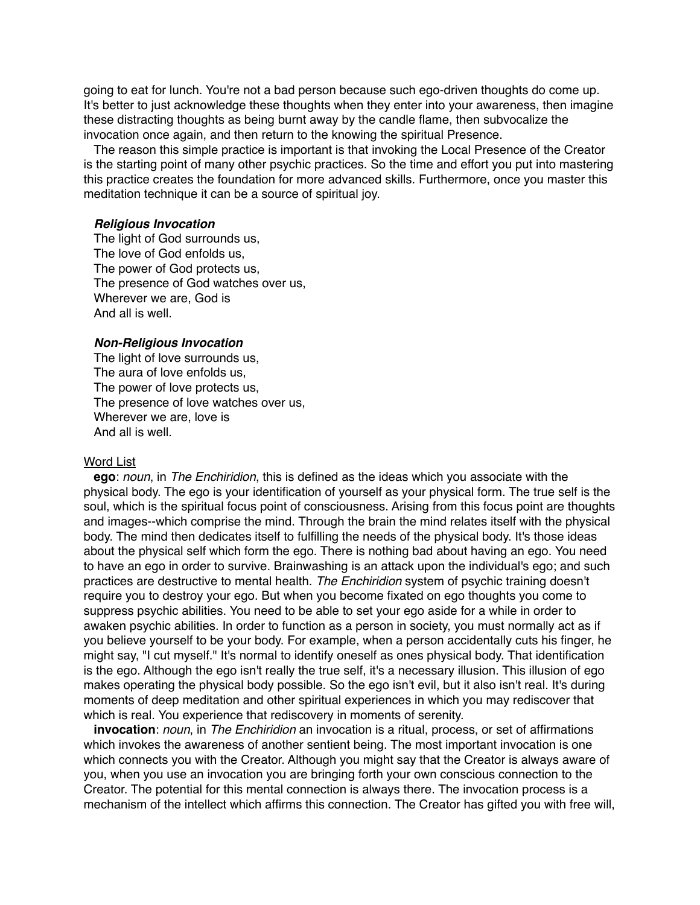going to eat for lunch. You're not a bad person because such ego-driven thoughts do come up. It's better to just acknowledge these thoughts when they enter into your awareness, then imagine these distracting thoughts as being burnt away by the candle flame, then subvocalize the invocation once again, and then return to the knowing the spiritual Presence.

The reason this simple practice is important is that invoking the Local Presence of the Creator is the starting point of many other psychic practices. So the time and effort you put into mastering this practice creates the foundation for more advanced skills. Furthermore, once you master this meditation technique it can be a source of spiritual joy.

### *Religious Invocation*

The light of God surrounds us, The love of God enfolds us, The power of God protects us, The presence of God watches over us, Wherever we are, God is And all is well.

### *Non-Religious Invocation*

The light of love surrounds us, The aura of love enfolds us, The power of love protects us, The presence of love watches over us, Wherever we are, love is And all is well.

#### Word List

**ego**: *noun*, in *The Enchiridion*, this is defined as the ideas which you associate with the physical body. The ego is your identification of yourself as your physical form. The true self is the soul, which is the spiritual focus point of consciousness. Arising from this focus point are thoughts and images--which comprise the mind. Through the brain the mind relates itself with the physical body. The mind then dedicates itself to fulfilling the needs of the physical body. It's those ideas about the physical self which form the ego. There is nothing bad about having an ego. You need to have an ego in order to survive. Brainwashing is an attack upon the individual's ego; and such practices are destructive to mental health. *The Enchiridion* system of psychic training doesn't require you to destroy your ego. But when you become fixated on ego thoughts you come to suppress psychic abilities. You need to be able to set your ego aside for a while in order to awaken psychic abilities. In order to function as a person in society, you must normally act as if you believe yourself to be your body. For example, when a person accidentally cuts his finger, he might say, "I cut myself." It's normal to identify oneself as ones physical body. That identification is the ego. Although the ego isn't really the true self, it's a necessary illusion. This illusion of ego makes operating the physical body possible. So the ego isn't evil, but it also isn't real. It's during moments of deep meditation and other spiritual experiences in which you may rediscover that which is real. You experience that rediscovery in moments of serenity.

**invocation**: *noun*, in *The Enchiridion* an invocation is a ritual, process, or set of affirmations which invokes the awareness of another sentient being. The most important invocation is one which connects you with the Creator. Although you might say that the Creator is always aware of you, when you use an invocation you are bringing forth your own conscious connection to the Creator. The potential for this mental connection is always there. The invocation process is a mechanism of the intellect which affirms this connection. The Creator has gifted you with free will,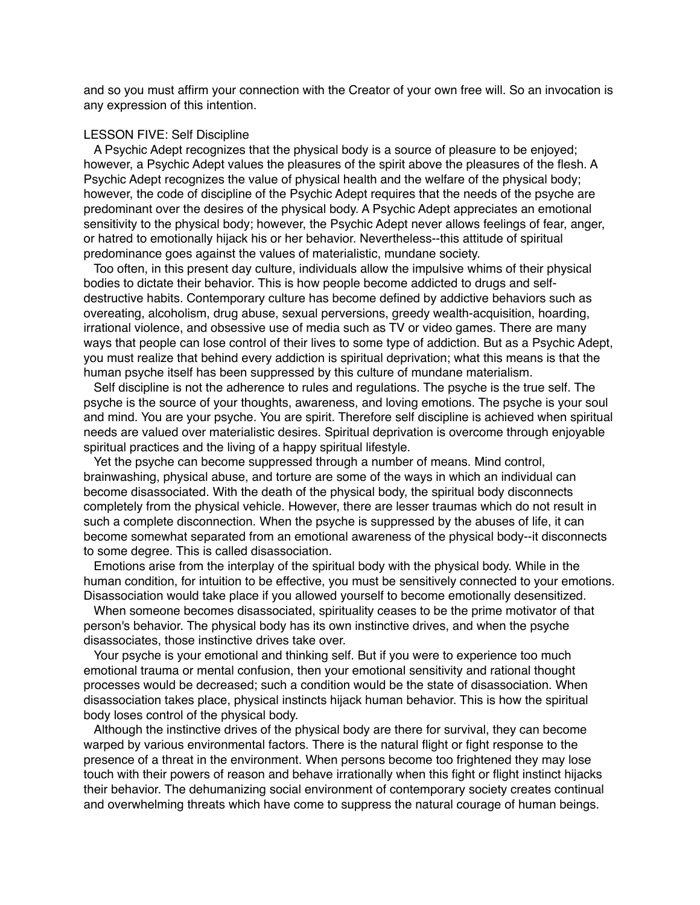and so you must affirm your connection with the Creator of your own free will. So an invocation is any expression of this intention.

# LESSON FIVE: Self Discipline

A Psychic Adept recognizes that the physical body is a source of pleasure to be enjoyed; however, a Psychic Adept values the pleasures of the spirit above the pleasures of the flesh. A Psychic Adept recognizes the value of physical health and the welfare of the physical body; however, the code of discipline of the Psychic Adept requires that the needs of the psyche are predominant over the desires of the physical body. A Psychic Adept appreciates an emotional sensitivity to the physical body; however, the Psychic Adept never allows feelings of fear, anger, or hatred to emotionally hijack his or her behavior. Nevertheless--this attitude of spiritual predominance goes against the values of materialistic, mundane society.

Too often, in this present day culture, individuals allow the impulsive whims of their physical bodies to dictate their behavior. This is how people become addicted to drugs and selfdestructive habits. Contemporary culture has become defined by addictive behaviors such as overeating, alcoholism, drug abuse, sexual perversions, greedy wealth-acquisition, hoarding, irrational violence, and obsessive use of media such as TV or video games. There are many ways that people can lose control of their lives to some type of addiction. But as a Psychic Adept, you must realize that behind every addiction is spiritual deprivation; what this means is that the human psyche itself has been suppressed by this culture of mundane materialism.

Self discipline is not the adherence to rules and regulations. The psyche is the true self. The psyche is the source of your thoughts, awareness, and loving emotions. The psyche is your soul and mind. You are your psyche. You are spirit. Therefore self discipline is achieved when spiritual needs are valued over materialistic desires. Spiritual deprivation is overcome through enjoyable spiritual practices and the living of a happy spiritual lifestyle.

Yet the psyche can become suppressed through a number of means. Mind control, brainwashing, physical abuse, and torture are some of the ways in which an individual can become disassociated. With the death of the physical body, the spiritual body disconnects completely from the physical vehicle. However, there are lesser traumas which do not result in such a complete disconnection. When the psyche is suppressed by the abuses of life, it can become somewhat separated from an emotional awareness of the physical body--it disconnects to some degree. This is called disassociation.

Emotions arise from the interplay of the spiritual body with the physical body. While in the human condition, for intuition to be effective, you must be sensitively connected to your emotions. Disassociation would take place if you allowed yourself to become emotionally desensitized.

When someone becomes disassociated, spirituality ceases to be the prime motivator of that person's behavior. The physical body has its own instinctive drives, and when the psyche disassociates, those instinctive drives take over.

Your psyche is your emotional and thinking self. But if you were to experience too much emotional trauma or mental confusion, then your emotional sensitivity and rational thought processes would be decreased; such a condition would be the state of disassociation. When disassociation takes place, physical instincts hijack human behavior. This is how the spiritual body loses control of the physical body.

Although the instinctive drives of the physical body are there for survival, they can become warped by various environmental factors. There is the natural flight or fight response to the presence of a threat in the environment. When persons become too frightened they may lose touch with their powers of reason and behave irrationally when this fight or flight instinct hijacks their behavior. The dehumanizing social environment of contemporary society creates continual and overwhelming threats which have come to suppress the natural courage of human beings.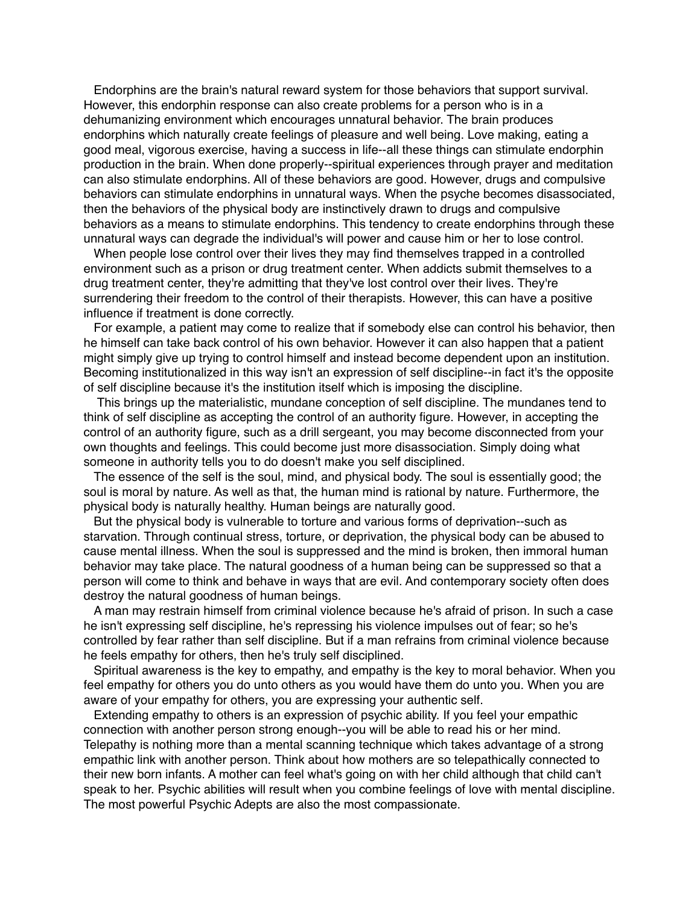Endorphins are the brain's natural reward system for those behaviors that support survival. However, this endorphin response can also create problems for a person who is in a dehumanizing environment which encourages unnatural behavior. The brain produces endorphins which naturally create feelings of pleasure and well being. Love making, eating a good meal, vigorous exercise, having a success in life--all these things can stimulate endorphin production in the brain. When done properly--spiritual experiences through prayer and meditation can also stimulate endorphins. All of these behaviors are good. However, drugs and compulsive behaviors can stimulate endorphins in unnatural ways. When the psyche becomes disassociated, then the behaviors of the physical body are instinctively drawn to drugs and compulsive behaviors as a means to stimulate endorphins. This tendency to create endorphins through these unnatural ways can degrade the individual's will power and cause him or her to lose control.

When people lose control over their lives they may find themselves trapped in a controlled environment such as a prison or drug treatment center. When addicts submit themselves to a drug treatment center, they're admitting that they've lost control over their lives. They're surrendering their freedom to the control of their therapists. However, this can have a positive influence if treatment is done correctly.

For example, a patient may come to realize that if somebody else can control his behavior, then he himself can take back control of his own behavior. However it can also happen that a patient might simply give up trying to control himself and instead become dependent upon an institution. Becoming institutionalized in this way isn't an expression of self discipline--in fact it's the opposite of self discipline because it's the institution itself which is imposing the discipline.

This brings up the materialistic, mundane conception of self discipline. The mundanes tend to think of self discipline as accepting the control of an authority figure. However, in accepting the control of an authority figure, such as a drill sergeant, you may become disconnected from your own thoughts and feelings. This could become just more disassociation. Simply doing what someone in authority tells you to do doesn't make you self disciplined.

The essence of the self is the soul, mind, and physical body. The soul is essentially good; the soul is moral by nature. As well as that, the human mind is rational by nature. Furthermore, the physical body is naturally healthy. Human beings are naturally good.

But the physical body is vulnerable to torture and various forms of deprivation--such as starvation. Through continual stress, torture, or deprivation, the physical body can be abused to cause mental illness. When the soul is suppressed and the mind is broken, then immoral human behavior may take place. The natural goodness of a human being can be suppressed so that a person will come to think and behave in ways that are evil. And contemporary society often does destroy the natural goodness of human beings.

A man may restrain himself from criminal violence because he's afraid of prison. In such a case he isn't expressing self discipline, he's repressing his violence impulses out of fear; so he's controlled by fear rather than self discipline. But if a man refrains from criminal violence because he feels empathy for others, then he's truly self disciplined.

Spiritual awareness is the key to empathy, and empathy is the key to moral behavior. When you feel empathy for others you do unto others as you would have them do unto you. When you are aware of your empathy for others, you are expressing your authentic self.

Extending empathy to others is an expression of psychic ability. If you feel your empathic connection with another person strong enough--you will be able to read his or her mind. Telepathy is nothing more than a mental scanning technique which takes advantage of a strong empathic link with another person. Think about how mothers are so telepathically connected to their new born infants. A mother can feel what's going on with her child although that child can't speak to her. Psychic abilities will result when you combine feelings of love with mental discipline. The most powerful Psychic Adepts are also the most compassionate.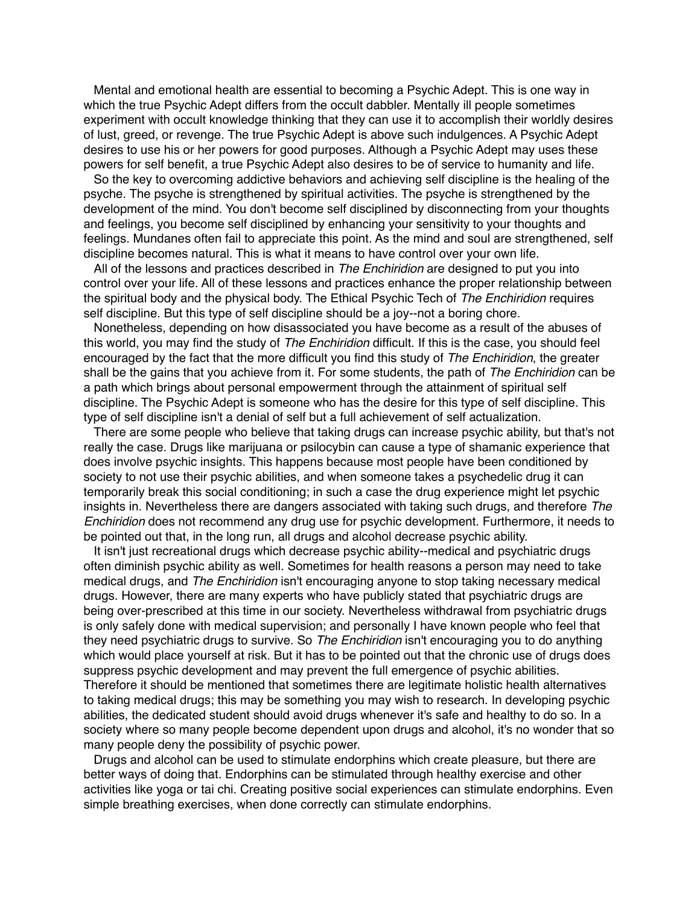Mental and emotional health are essential to becoming a Psychic Adept. This is one way in which the true Psychic Adept differs from the occult dabbler. Mentally ill people sometimes experiment with occult knowledge thinking that they can use it to accomplish their worldly desires of lust, greed, or revenge. The true Psychic Adept is above such indulgences. A Psychic Adept desires to use his or her powers for good purposes. Although a Psychic Adept may uses these powers for self benefit, a true Psychic Adept also desires to be of service to humanity and life.

So the key to overcoming addictive behaviors and achieving self discipline is the healing of the psyche. The psyche is strengthened by spiritual activities. The psyche is strengthened by the development of the mind. You don't become self disciplined by disconnecting from your thoughts and feelings, you become self disciplined by enhancing your sensitivity to your thoughts and feelings. Mundanes often fail to appreciate this point. As the mind and soul are strengthened, self discipline becomes natural. This is what it means to have control over your own life.

All of the lessons and practices described in *The Enchiridion* are designed to put you into control over your life. All of these lessons and practices enhance the proper relationship between the spiritual body and the physical body. The Ethical Psychic Tech of *The Enchiridion* requires self discipline. But this type of self discipline should be a joy--not a boring chore.

Nonetheless, depending on how disassociated you have become as a result of the abuses of this world, you may find the study of *The Enchiridion* difficult. If this is the case, you should feel encouraged by the fact that the more difficult you find this study of *The Enchiridion*, the greater shall be the gains that you achieve from it. For some students, the path of *The Enchiridion* can be a path which brings about personal empowerment through the attainment of spiritual self discipline. The Psychic Adept is someone who has the desire for this type of self discipline. This type of self discipline isn't a denial of self but a full achievement of self actualization.

There are some people who believe that taking drugs can increase psychic ability, but that's not really the case. Drugs like marijuana or psilocybin can cause a type of shamanic experience that does involve psychic insights. This happens because most people have been conditioned by society to not use their psychic abilities, and when someone takes a psychedelic drug it can temporarily break this social conditioning; in such a case the drug experience might let psychic insights in. Nevertheless there are dangers associated with taking such drugs, and therefore *The Enchiridion* does not recommend any drug use for psychic development. Furthermore, it needs to be pointed out that, in the long run, all drugs and alcohol decrease psychic ability.

It isn't just recreational drugs which decrease psychic ability--medical and psychiatric drugs often diminish psychic ability as well. Sometimes for health reasons a person may need to take medical drugs, and *The Enchiridion* isn't encouraging anyone to stop taking necessary medical drugs. However, there are many experts who have publicly stated that psychiatric drugs are being over-prescribed at this time in our society. Nevertheless withdrawal from psychiatric drugs is only safely done with medical supervision; and personally I have known people who feel that they need psychiatric drugs to survive. So *The Enchiridion* isn't encouraging you to do anything which would place yourself at risk. But it has to be pointed out that the chronic use of drugs does suppress psychic development and may prevent the full emergence of psychic abilities. Therefore it should be mentioned that sometimes there are legitimate holistic health alternatives to taking medical drugs; this may be something you may wish to research. In developing psychic abilities, the dedicated student should avoid drugs whenever it's safe and healthy to do so. In a society where so many people become dependent upon drugs and alcohol, it's no wonder that so many people deny the possibility of psychic power.

Drugs and alcohol can be used to stimulate endorphins which create pleasure, but there are better ways of doing that. Endorphins can be stimulated through healthy exercise and other activities like yoga or tai chi. Creating positive social experiences can stimulate endorphins. Even simple breathing exercises, when done correctly can stimulate endorphins.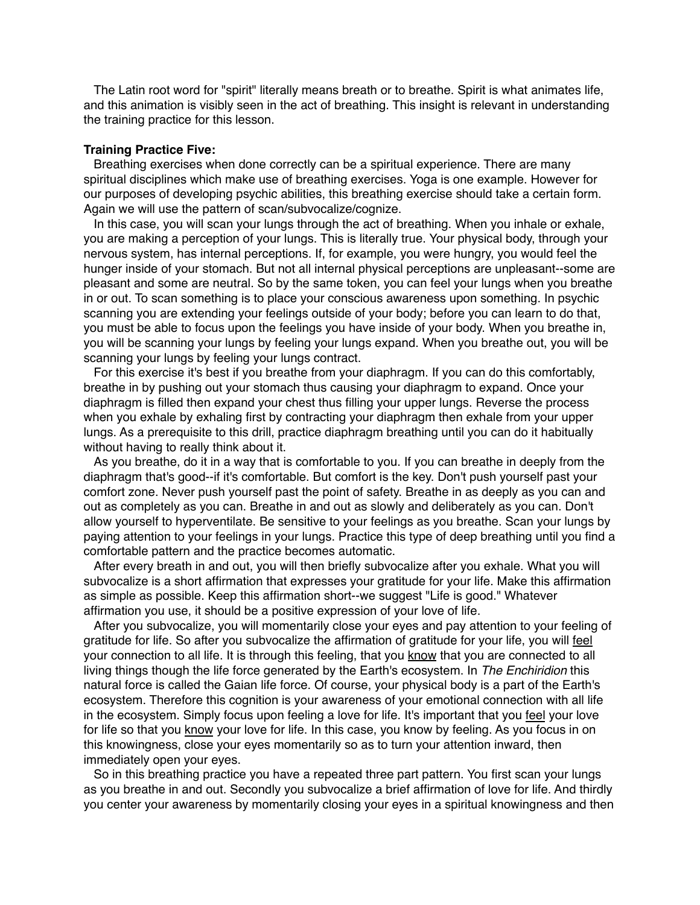The Latin root word for "spirit" literally means breath or to breathe. Spirit is what animates life, and this animation is visibly seen in the act of breathing. This insight is relevant in understanding the training practice for this lesson.

# **Training Practice Five:**

Breathing exercises when done correctly can be a spiritual experience. There are many spiritual disciplines which make use of breathing exercises. Yoga is one example. However for our purposes of developing psychic abilities, this breathing exercise should take a certain form. Again we will use the pattern of scan/subvocalize/cognize.

In this case, you will scan your lungs through the act of breathing. When you inhale or exhale, you are making a perception of your lungs. This is literally true. Your physical body, through your nervous system, has internal perceptions. If, for example, you were hungry, you would feel the hunger inside of your stomach. But not all internal physical perceptions are unpleasant--some are pleasant and some are neutral. So by the same token, you can feel your lungs when you breathe in or out. To scan something is to place your conscious awareness upon something. In psychic scanning you are extending your feelings outside of your body; before you can learn to do that, you must be able to focus upon the feelings you have inside of your body. When you breathe in, you will be scanning your lungs by feeling your lungs expand. When you breathe out, you will be scanning your lungs by feeling your lungs contract.

For this exercise it's best if you breathe from your diaphragm. If you can do this comfortably, breathe in by pushing out your stomach thus causing your diaphragm to expand. Once your diaphragm is filled then expand your chest thus filling your upper lungs. Reverse the process when you exhale by exhaling first by contracting your diaphragm then exhale from your upper lungs. As a prerequisite to this drill, practice diaphragm breathing until you can do it habitually without having to really think about it.

As you breathe, do it in a way that is comfortable to you. If you can breathe in deeply from the diaphragm that's good--if it's comfortable. But comfort is the key. Don't push yourself past your comfort zone. Never push yourself past the point of safety. Breathe in as deeply as you can and out as completely as you can. Breathe in and out as slowly and deliberately as you can. Don't allow yourself to hyperventilate. Be sensitive to your feelings as you breathe. Scan your lungs by paying attention to your feelings in your lungs. Practice this type of deep breathing until you find a comfortable pattern and the practice becomes automatic.

After every breath in and out, you will then briefly subvocalize after you exhale. What you will subvocalize is a short affirmation that expresses your gratitude for your life. Make this affirmation as simple as possible. Keep this affirmation short--we suggest "Life is good." Whatever affirmation you use, it should be a positive expression of your love of life.

After you subvocalize, you will momentarily close your eyes and pay attention to your feeling of gratitude for life. So after you subvocalize the affirmation of gratitude for your life, you will feel your connection to all life. It is through this feeling, that you know that you are connected to all living things though the life force generated by the Earth's ecosystem. In *The Enchiridion* this natural force is called the Gaian life force. Of course, your physical body is a part of the Earth's ecosystem. Therefore this cognition is your awareness of your emotional connection with all life in the ecosystem. Simply focus upon feeling a love for life. It's important that you feel your love for life so that you know your love for life. In this case, you know by feeling. As you focus in on this knowingness, close your eyes momentarily so as to turn your attention inward, then immediately open your eyes.

So in this breathing practice you have a repeated three part pattern. You first scan your lungs as you breathe in and out. Secondly you subvocalize a brief affirmation of love for life. And thirdly you center your awareness by momentarily closing your eyes in a spiritual knowingness and then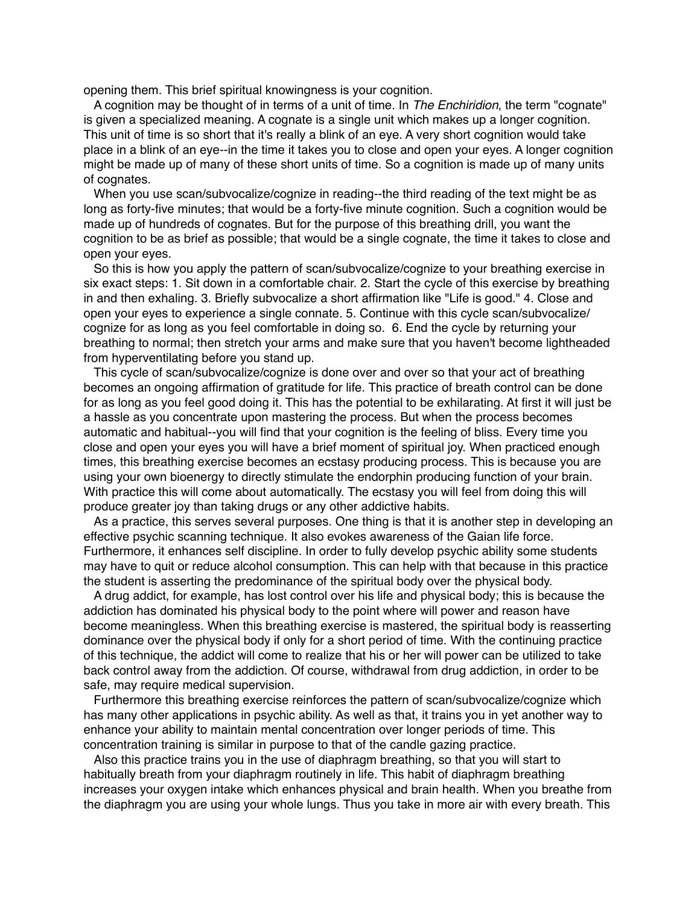opening them. This brief spiritual knowingness is your cognition.

A cognition may be thought of in terms of a unit of time. In *The Enchiridion*, the term "cognate" is given a specialized meaning. A cognate is a single unit which makes up a longer cognition. This unit of time is so short that it's really a blink of an eye. A very short cognition would take place in a blink of an eye--in the time it takes you to close and open your eyes. A longer cognition might be made up of many of these short units of time. So a cognition is made up of many units of cognates.

When you use scan/subvocalize/cognize in reading--the third reading of the text might be as long as forty-five minutes; that would be a forty-five minute cognition. Such a cognition would be made up of hundreds of cognates. But for the purpose of this breathing drill, you want the cognition to be as brief as possible; that would be a single cognate, the time it takes to close and open your eyes.

So this is how you apply the pattern of scan/subvocalize/cognize to your breathing exercise in six exact steps: 1. Sit down in a comfortable chair. 2. Start the cycle of this exercise by breathing in and then exhaling. 3. Briefly subvocalize a short affirmation like "Life is good." 4. Close and open your eyes to experience a single connate. 5. Continue with this cycle scan/subvocalize/ cognize for as long as you feel comfortable in doing so. 6. End the cycle by returning your breathing to normal; then stretch your arms and make sure that you haven't become lightheaded from hyperventilating before you stand up.

This cycle of scan/subvocalize/cognize is done over and over so that your act of breathing becomes an ongoing affirmation of gratitude for life. This practice of breath control can be done for as long as you feel good doing it. This has the potential to be exhilarating. At first it will just be a hassle as you concentrate upon mastering the process. But when the process becomes automatic and habitual--you will find that your cognition is the feeling of bliss. Every time you close and open your eyes you will have a brief moment of spiritual joy. When practiced enough times, this breathing exercise becomes an ecstasy producing process. This is because you are using your own bioenergy to directly stimulate the endorphin producing function of your brain. With practice this will come about automatically. The ecstasy you will feel from doing this will produce greater joy than taking drugs or any other addictive habits.

As a practice, this serves several purposes. One thing is that it is another step in developing an effective psychic scanning technique. It also evokes awareness of the Gaian life force. Furthermore, it enhances self discipline. In order to fully develop psychic ability some students may have to quit or reduce alcohol consumption. This can help with that because in this practice the student is asserting the predominance of the spiritual body over the physical body.

A drug addict, for example, has lost control over his life and physical body; this is because the addiction has dominated his physical body to the point where will power and reason have become meaningless. When this breathing exercise is mastered, the spiritual body is reasserting dominance over the physical body if only for a short period of time. With the continuing practice of this technique, the addict will come to realize that his or her will power can be utilized to take back control away from the addiction. Of course, withdrawal from drug addiction, in order to be safe, may require medical supervision.

Furthermore this breathing exercise reinforces the pattern of scan/subvocalize/cognize which has many other applications in psychic ability. As well as that, it trains you in yet another way to enhance your ability to maintain mental concentration over longer periods of time. This concentration training is similar in purpose to that of the candle gazing practice.

Also this practice trains you in the use of diaphragm breathing, so that you will start to habitually breath from your diaphragm routinely in life. This habit of diaphragm breathing increases your oxygen intake which enhances physical and brain health. When you breathe from the diaphragm you are using your whole lungs. Thus you take in more air with every breath. This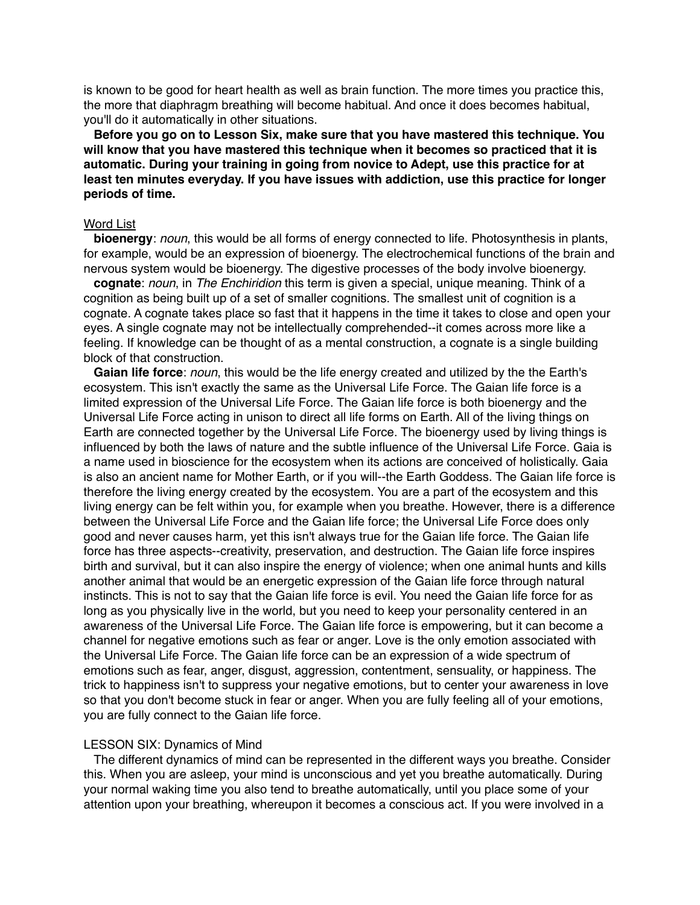is known to be good for heart health as well as brain function. The more times you practice this, the more that diaphragm breathing will become habitual. And once it does becomes habitual, you'll do it automatically in other situations.

**Before you go on to Lesson Six, make sure that you have mastered this technique. You will know that you have mastered this technique when it becomes so practiced that it is automatic. During your training in going from novice to Adept, use this practice for at least ten minutes everyday. If you have issues with addiction, use this practice for longer periods of time.**

### Word List

**bioenergy**: *noun*, this would be all forms of energy connected to life. Photosynthesis in plants, for example, would be an expression of bioenergy. The electrochemical functions of the brain and nervous system would be bioenergy. The digestive processes of the body involve bioenergy.

**cognate**: *noun*, in *The Enchiridion* this term is given a special, unique meaning. Think of a cognition as being built up of a set of smaller cognitions. The smallest unit of cognition is a cognate. A cognate takes place so fast that it happens in the time it takes to close and open your eyes. A single cognate may not be intellectually comprehended--it comes across more like a feeling. If knowledge can be thought of as a mental construction, a cognate is a single building block of that construction.

**Gaian life force**: *noun*, this would be the life energy created and utilized by the the Earth's ecosystem. This isn't exactly the same as the Universal Life Force. The Gaian life force is a limited expression of the Universal Life Force. The Gaian life force is both bioenergy and the Universal Life Force acting in unison to direct all life forms on Earth. All of the living things on Earth are connected together by the Universal Life Force. The bioenergy used by living things is influenced by both the laws of nature and the subtle influence of the Universal Life Force. Gaia is a name used in bioscience for the ecosystem when its actions are conceived of holistically. Gaia is also an ancient name for Mother Earth, or if you will--the Earth Goddess. The Gaian life force is therefore the living energy created by the ecosystem. You are a part of the ecosystem and this living energy can be felt within you, for example when you breathe. However, there is a difference between the Universal Life Force and the Gaian life force; the Universal Life Force does only good and never causes harm, yet this isn't always true for the Gaian life force. The Gaian life force has three aspects--creativity, preservation, and destruction. The Gaian life force inspires birth and survival, but it can also inspire the energy of violence; when one animal hunts and kills another animal that would be an energetic expression of the Gaian life force through natural instincts. This is not to say that the Gaian life force is evil. You need the Gaian life force for as long as you physically live in the world, but you need to keep your personality centered in an awareness of the Universal Life Force. The Gaian life force is empowering, but it can become a channel for negative emotions such as fear or anger. Love is the only emotion associated with the Universal Life Force. The Gaian life force can be an expression of a wide spectrum of emotions such as fear, anger, disgust, aggression, contentment, sensuality, or happiness. The trick to happiness isn't to suppress your negative emotions, but to center your awareness in love so that you don't become stuck in fear or anger. When you are fully feeling all of your emotions, you are fully connect to the Gaian life force.

### LESSON SIX: Dynamics of Mind

The different dynamics of mind can be represented in the different ways you breathe. Consider this. When you are asleep, your mind is unconscious and yet you breathe automatically. During your normal waking time you also tend to breathe automatically, until you place some of your attention upon your breathing, whereupon it becomes a conscious act. If you were involved in a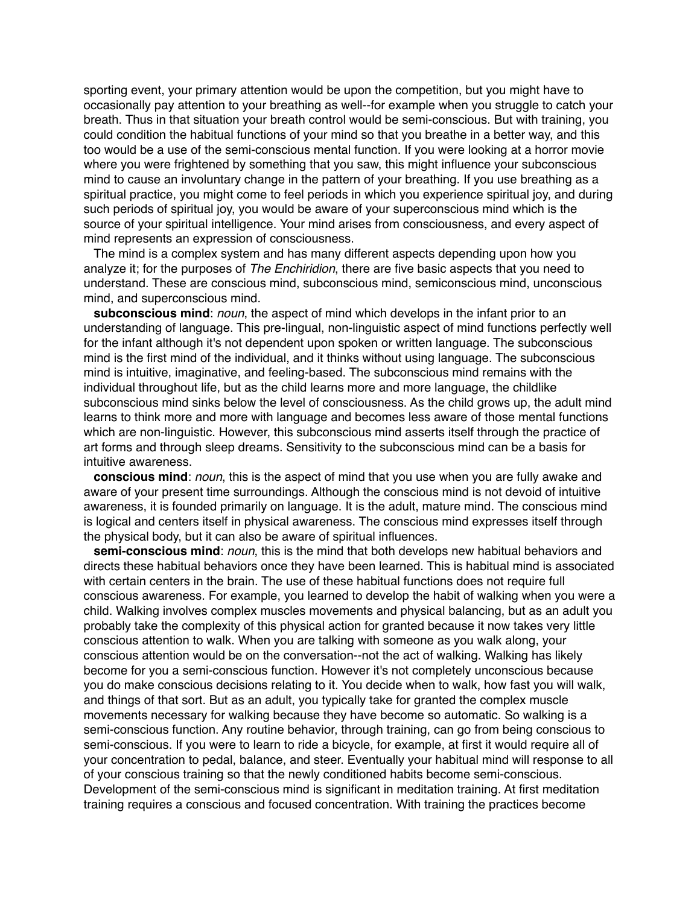sporting event, your primary attention would be upon the competition, but you might have to occasionally pay attention to your breathing as well--for example when you struggle to catch your breath. Thus in that situation your breath control would be semi-conscious. But with training, you could condition the habitual functions of your mind so that you breathe in a better way, and this too would be a use of the semi-conscious mental function. If you were looking at a horror movie where you were frightened by something that you saw, this might influence your subconscious mind to cause an involuntary change in the pattern of your breathing. If you use breathing as a spiritual practice, you might come to feel periods in which you experience spiritual joy, and during such periods of spiritual joy, you would be aware of your superconscious mind which is the source of your spiritual intelligence. Your mind arises from consciousness, and every aspect of mind represents an expression of consciousness.

The mind is a complex system and has many different aspects depending upon how you analyze it; for the purposes of *The Enchiridion*, there are five basic aspects that you need to understand. These are conscious mind, subconscious mind, semiconscious mind, unconscious mind, and superconscious mind.

**subconscious mind**: *noun*, the aspect of mind which develops in the infant prior to an understanding of language. This pre-lingual, non-linguistic aspect of mind functions perfectly well for the infant although it's not dependent upon spoken or written language. The subconscious mind is the first mind of the individual, and it thinks without using language. The subconscious mind is intuitive, imaginative, and feeling-based. The subconscious mind remains with the individual throughout life, but as the child learns more and more language, the childlike subconscious mind sinks below the level of consciousness. As the child grows up, the adult mind learns to think more and more with language and becomes less aware of those mental functions which are non-linguistic. However, this subconscious mind asserts itself through the practice of art forms and through sleep dreams. Sensitivity to the subconscious mind can be a basis for intuitive awareness.

**conscious mind**: *noun*, this is the aspect of mind that you use when you are fully awake and aware of your present time surroundings. Although the conscious mind is not devoid of intuitive awareness, it is founded primarily on language. It is the adult, mature mind. The conscious mind is logical and centers itself in physical awareness. The conscious mind expresses itself through the physical body, but it can also be aware of spiritual influences.

**semi-conscious mind**: *noun*, this is the mind that both develops new habitual behaviors and directs these habitual behaviors once they have been learned. This is habitual mind is associated with certain centers in the brain. The use of these habitual functions does not require full conscious awareness. For example, you learned to develop the habit of walking when you were a child. Walking involves complex muscles movements and physical balancing, but as an adult you probably take the complexity of this physical action for granted because it now takes very little conscious attention to walk. When you are talking with someone as you walk along, your conscious attention would be on the conversation--not the act of walking. Walking has likely become for you a semi-conscious function. However it's not completely unconscious because you do make conscious decisions relating to it. You decide when to walk, how fast you will walk, and things of that sort. But as an adult, you typically take for granted the complex muscle movements necessary for walking because they have become so automatic. So walking is a semi-conscious function. Any routine behavior, through training, can go from being conscious to semi-conscious. If you were to learn to ride a bicycle, for example, at first it would require all of your concentration to pedal, balance, and steer. Eventually your habitual mind will response to all of your conscious training so that the newly conditioned habits become semi-conscious. Development of the semi-conscious mind is significant in meditation training. At first meditation training requires a conscious and focused concentration. With training the practices become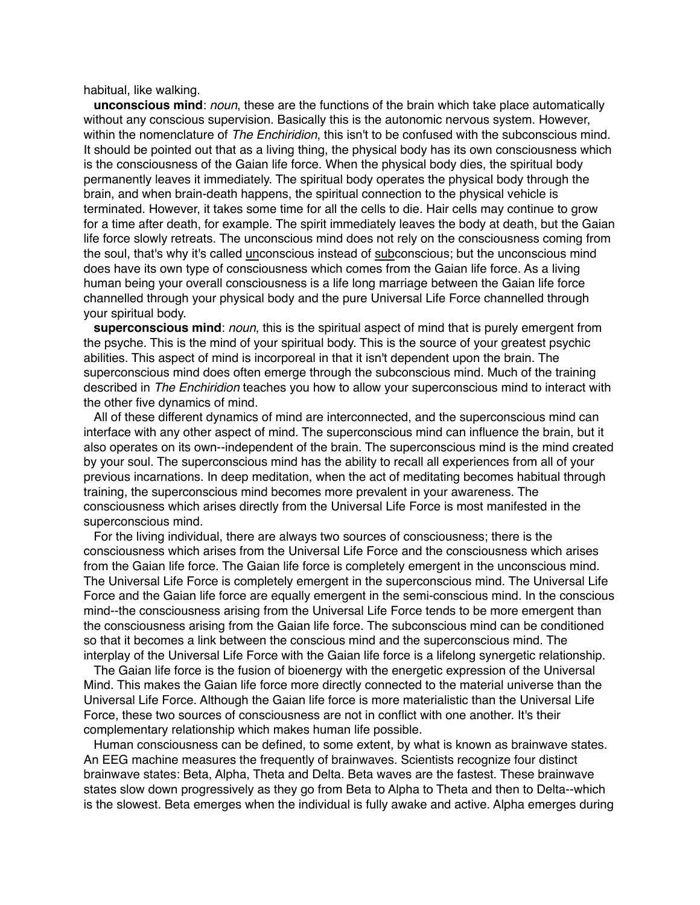habitual, like walking.

**unconscious mind**: *noun*, these are the functions of the brain which take place automatically without any conscious supervision. Basically this is the autonomic nervous system. However, within the nomenclature of *The Enchiridion*, this isn't to be confused with the subconscious mind. It should be pointed out that as a living thing, the physical body has its own consciousness which is the consciousness of the Gaian life force. When the physical body dies, the spiritual body permanently leaves it immediately. The spiritual body operates the physical body through the brain, and when brain-death happens, the spiritual connection to the physical vehicle is terminated. However, it takes some time for all the cells to die. Hair cells may continue to grow for a time after death, for example. The spirit immediately leaves the body at death, but the Gaian life force slowly retreats. The unconscious mind does not rely on the consciousness coming from the soul, that's why it's called unconscious instead of subconscious; but the unconscious mind does have its own type of consciousness which comes from the Gaian life force. As a living human being your overall consciousness is a life long marriage between the Gaian life force channelled through your physical body and the pure Universal Life Force channelled through your spiritual body.

**superconscious mind**: *noun*, this is the spiritual aspect of mind that is purely emergent from the psyche. This is the mind of your spiritual body. This is the source of your greatest psychic abilities. This aspect of mind is incorporeal in that it isn't dependent upon the brain. The superconscious mind does often emerge through the subconscious mind. Much of the training described in *The Enchiridion* teaches you how to allow your superconscious mind to interact with the other five dynamics of mind.

All of these different dynamics of mind are interconnected, and the superconscious mind can interface with any other aspect of mind. The superconscious mind can influence the brain, but it also operates on its own--independent of the brain. The superconscious mind is the mind created by your soul. The superconscious mind has the ability to recall all experiences from all of your previous incarnations. In deep meditation, when the act of meditating becomes habitual through training, the superconscious mind becomes more prevalent in your awareness. The consciousness which arises directly from the Universal Life Force is most manifested in the superconscious mind.

For the living individual, there are always two sources of consciousness; there is the consciousness which arises from the Universal Life Force and the consciousness which arises from the Gaian life force. The Gaian life force is completely emergent in the unconscious mind. The Universal Life Force is completely emergent in the superconscious mind. The Universal Life Force and the Gaian life force are equally emergent in the semi-conscious mind. In the conscious mind--the consciousness arising from the Universal Life Force tends to be more emergent than the consciousness arising from the Gaian life force. The subconscious mind can be conditioned so that it becomes a link between the conscious mind and the superconscious mind. The interplay of the Universal Life Force with the Gaian life force is a lifelong synergetic relationship.

The Gaian life force is the fusion of bioenergy with the energetic expression of the Universal Mind. This makes the Gaian life force more directly connected to the material universe than the Universal Life Force. Although the Gaian life force is more materialistic than the Universal Life Force, these two sources of consciousness are not in conflict with one another. It's their complementary relationship which makes human life possible.

Human consciousness can be defined, to some extent, by what is known as brainwave states. An EEG machine measures the frequently of brainwaves. Scientists recognize four distinct brainwave states: Beta, Alpha, Theta and Delta. Beta waves are the fastest. These brainwave states slow down progressively as they go from Beta to Alpha to Theta and then to Delta--which is the slowest. Beta emerges when the individual is fully awake and active. Alpha emerges during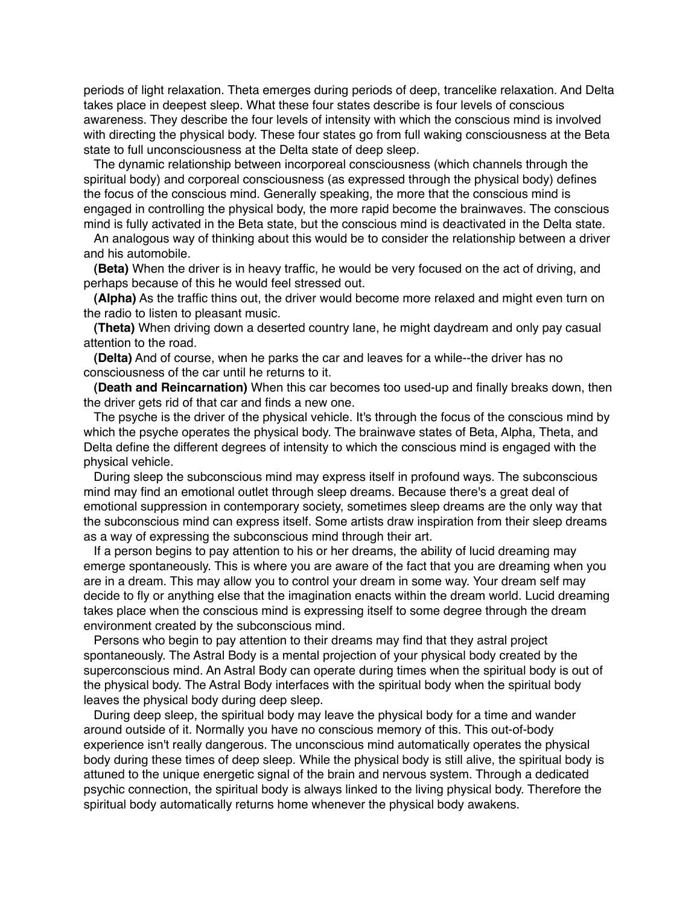periods of light relaxation. Theta emerges during periods of deep, trancelike relaxation. And Delta takes place in deepest sleep. What these four states describe is four levels of conscious awareness. They describe the four levels of intensity with which the conscious mind is involved with directing the physical body. These four states go from full waking consciousness at the Beta state to full unconsciousness at the Delta state of deep sleep.

The dynamic relationship between incorporeal consciousness (which channels through the spiritual body) and corporeal consciousness (as expressed through the physical body) defines the focus of the conscious mind. Generally speaking, the more that the conscious mind is engaged in controlling the physical body, the more rapid become the brainwaves. The conscious mind is fully activated in the Beta state, but the conscious mind is deactivated in the Delta state.

An analogous way of thinking about this would be to consider the relationship between a driver and his automobile.

**(Beta)** When the driver is in heavy traffic, he would be very focused on the act of driving, and perhaps because of this he would feel stressed out.

**(Alpha)** As the traffic thins out, the driver would become more relaxed and might even turn on the radio to listen to pleasant music.

**(Theta)** When driving down a deserted country lane, he might daydream and only pay casual attention to the road.

**(Delta)** And of course, when he parks the car and leaves for a while--the driver has no consciousness of the car until he returns to it.

**(Death and Reincarnation)** When this car becomes too used-up and finally breaks down, then the driver gets rid of that car and finds a new one.

The psyche is the driver of the physical vehicle. It's through the focus of the conscious mind by which the psyche operates the physical body. The brainwave states of Beta, Alpha, Theta, and Delta define the different degrees of intensity to which the conscious mind is engaged with the physical vehicle.

During sleep the subconscious mind may express itself in profound ways. The subconscious mind may find an emotional outlet through sleep dreams. Because there's a great deal of emotional suppression in contemporary society, sometimes sleep dreams are the only way that the subconscious mind can express itself. Some artists draw inspiration from their sleep dreams as a way of expressing the subconscious mind through their art.

If a person begins to pay attention to his or her dreams, the ability of lucid dreaming may emerge spontaneously. This is where you are aware of the fact that you are dreaming when you are in a dream. This may allow you to control your dream in some way. Your dream self may decide to fly or anything else that the imagination enacts within the dream world. Lucid dreaming takes place when the conscious mind is expressing itself to some degree through the dream environment created by the subconscious mind.

Persons who begin to pay attention to their dreams may find that they astral project spontaneously. The Astral Body is a mental projection of your physical body created by the superconscious mind. An Astral Body can operate during times when the spiritual body is out of the physical body. The Astral Body interfaces with the spiritual body when the spiritual body leaves the physical body during deep sleep.

During deep sleep, the spiritual body may leave the physical body for a time and wander around outside of it. Normally you have no conscious memory of this. This out-of-body experience isn't really dangerous. The unconscious mind automatically operates the physical body during these times of deep sleep. While the physical body is still alive, the spiritual body is attuned to the unique energetic signal of the brain and nervous system. Through a dedicated psychic connection, the spiritual body is always linked to the living physical body. Therefore the spiritual body automatically returns home whenever the physical body awakens.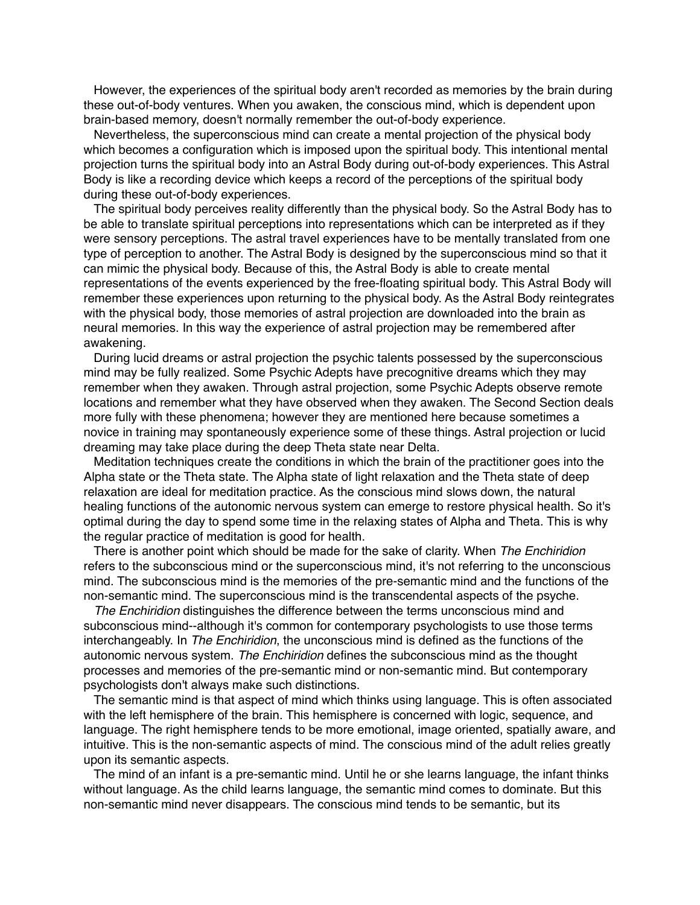However, the experiences of the spiritual body aren't recorded as memories by the brain during these out-of-body ventures. When you awaken, the conscious mind, which is dependent upon brain-based memory, doesn't normally remember the out-of-body experience.

Nevertheless, the superconscious mind can create a mental projection of the physical body which becomes a configuration which is imposed upon the spiritual body. This intentional mental projection turns the spiritual body into an Astral Body during out-of-body experiences. This Astral Body is like a recording device which keeps a record of the perceptions of the spiritual body during these out-of-body experiences.

The spiritual body perceives reality differently than the physical body. So the Astral Body has to be able to translate spiritual perceptions into representations which can be interpreted as if they were sensory perceptions. The astral travel experiences have to be mentally translated from one type of perception to another. The Astral Body is designed by the superconscious mind so that it can mimic the physical body. Because of this, the Astral Body is able to create mental representations of the events experienced by the free-floating spiritual body. This Astral Body will remember these experiences upon returning to the physical body. As the Astral Body reintegrates with the physical body, those memories of astral projection are downloaded into the brain as neural memories. In this way the experience of astral projection may be remembered after awakening.

During lucid dreams or astral projection the psychic talents possessed by the superconscious mind may be fully realized. Some Psychic Adepts have precognitive dreams which they may remember when they awaken. Through astral projection, some Psychic Adepts observe remote locations and remember what they have observed when they awaken. The Second Section deals more fully with these phenomena; however they are mentioned here because sometimes a novice in training may spontaneously experience some of these things. Astral projection or lucid dreaming may take place during the deep Theta state near Delta.

Meditation techniques create the conditions in which the brain of the practitioner goes into the Alpha state or the Theta state. The Alpha state of light relaxation and the Theta state of deep relaxation are ideal for meditation practice. As the conscious mind slows down, the natural healing functions of the autonomic nervous system can emerge to restore physical health. So it's optimal during the day to spend some time in the relaxing states of Alpha and Theta. This is why the regular practice of meditation is good for health.

There is another point which should be made for the sake of clarity. When *The Enchiridion* refers to the subconscious mind or the superconscious mind, it's not referring to the unconscious mind. The subconscious mind is the memories of the pre-semantic mind and the functions of the non-semantic mind. The superconscious mind is the transcendental aspects of the psyche.

*The Enchiridion* distinguishes the difference between the terms unconscious mind and subconscious mind--although it's common for contemporary psychologists to use those terms interchangeably. In *The Enchiridion*, the unconscious mind is defined as the functions of the autonomic nervous system. *The Enchiridion* defines the subconscious mind as the thought processes and memories of the pre-semantic mind or non-semantic mind. But contemporary psychologists don't always make such distinctions.

The semantic mind is that aspect of mind which thinks using language. This is often associated with the left hemisphere of the brain. This hemisphere is concerned with logic, sequence, and language. The right hemisphere tends to be more emotional, image oriented, spatially aware, and intuitive. This is the non-semantic aspects of mind. The conscious mind of the adult relies greatly upon its semantic aspects.

The mind of an infant is a pre-semantic mind. Until he or she learns language, the infant thinks without language. As the child learns language, the semantic mind comes to dominate. But this non-semantic mind never disappears. The conscious mind tends to be semantic, but its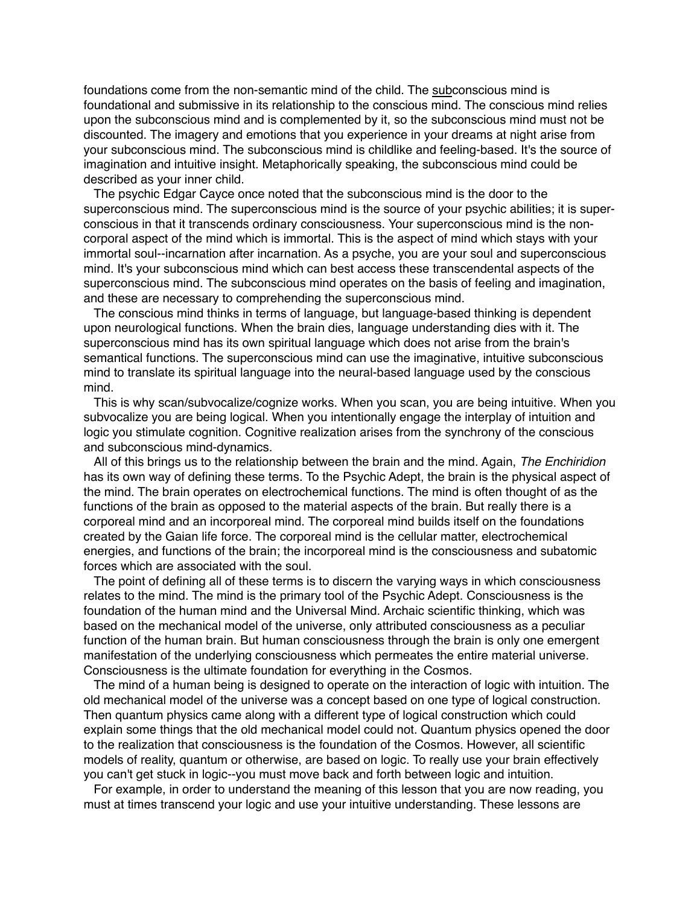foundations come from the non-semantic mind of the child. The subconscious mind is foundational and submissive in its relationship to the conscious mind. The conscious mind relies upon the subconscious mind and is complemented by it, so the subconscious mind must not be discounted. The imagery and emotions that you experience in your dreams at night arise from your subconscious mind. The subconscious mind is childlike and feeling-based. It's the source of imagination and intuitive insight. Metaphorically speaking, the subconscious mind could be described as your inner child.

The psychic Edgar Cayce once noted that the subconscious mind is the door to the superconscious mind. The superconscious mind is the source of your psychic abilities; it is superconscious in that it transcends ordinary consciousness. Your superconscious mind is the noncorporal aspect of the mind which is immortal. This is the aspect of mind which stays with your immortal soul--incarnation after incarnation. As a psyche, you are your soul and superconscious mind. It's your subconscious mind which can best access these transcendental aspects of the superconscious mind. The subconscious mind operates on the basis of feeling and imagination, and these are necessary to comprehending the superconscious mind.

The conscious mind thinks in terms of language, but language-based thinking is dependent upon neurological functions. When the brain dies, language understanding dies with it. The superconscious mind has its own spiritual language which does not arise from the brain's semantical functions. The superconscious mind can use the imaginative, intuitive subconscious mind to translate its spiritual language into the neural-based language used by the conscious mind.

This is why scan/subvocalize/cognize works. When you scan, you are being intuitive. When you subvocalize you are being logical. When you intentionally engage the interplay of intuition and logic you stimulate cognition. Cognitive realization arises from the synchrony of the conscious and subconscious mind-dynamics.

All of this brings us to the relationship between the brain and the mind. Again, *The Enchiridion* has its own way of defining these terms. To the Psychic Adept, the brain is the physical aspect of the mind. The brain operates on electrochemical functions. The mind is often thought of as the functions of the brain as opposed to the material aspects of the brain. But really there is a corporeal mind and an incorporeal mind. The corporeal mind builds itself on the foundations created by the Gaian life force. The corporeal mind is the cellular matter, electrochemical energies, and functions of the brain; the incorporeal mind is the consciousness and subatomic forces which are associated with the soul.

The point of defining all of these terms is to discern the varying ways in which consciousness relates to the mind. The mind is the primary tool of the Psychic Adept. Consciousness is the foundation of the human mind and the Universal Mind. Archaic scientific thinking, which was based on the mechanical model of the universe, only attributed consciousness as a peculiar function of the human brain. But human consciousness through the brain is only one emergent manifestation of the underlying consciousness which permeates the entire material universe. Consciousness is the ultimate foundation for everything in the Cosmos.

The mind of a human being is designed to operate on the interaction of logic with intuition. The old mechanical model of the universe was a concept based on one type of logical construction. Then quantum physics came along with a different type of logical construction which could explain some things that the old mechanical model could not. Quantum physics opened the door to the realization that consciousness is the foundation of the Cosmos. However, all scientific models of reality, quantum or otherwise, are based on logic. To really use your brain effectively you can't get stuck in logic--you must move back and forth between logic and intuition.

For example, in order to understand the meaning of this lesson that you are now reading, you must at times transcend your logic and use your intuitive understanding. These lessons are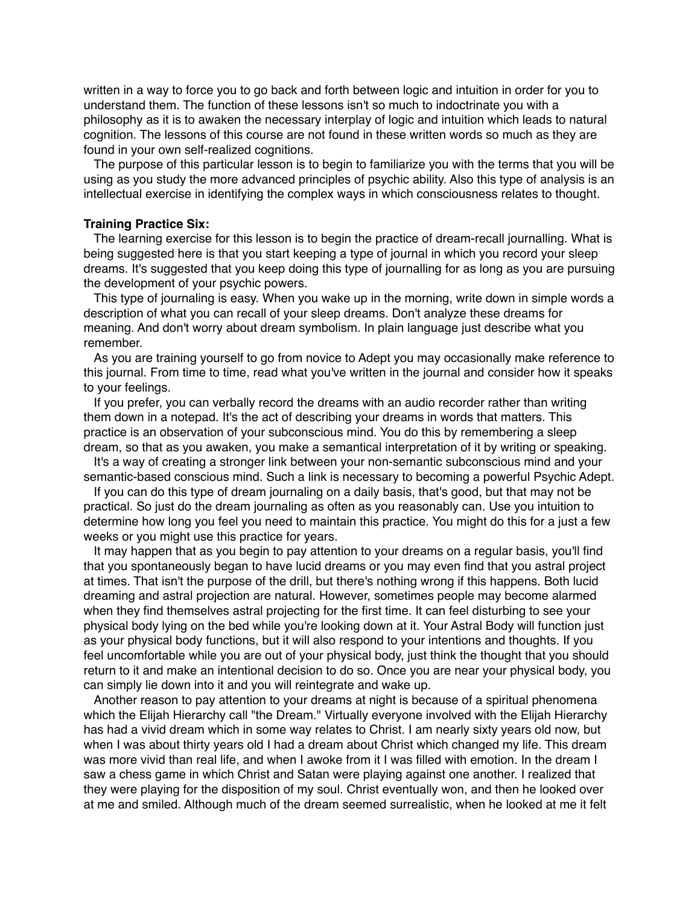written in a way to force you to go back and forth between logic and intuition in order for you to understand them. The function of these lessons isn't so much to indoctrinate you with a philosophy as it is to awaken the necessary interplay of logic and intuition which leads to natural cognition. The lessons of this course are not found in these written words so much as they are found in your own self-realized cognitions.

The purpose of this particular lesson is to begin to familiarize you with the terms that you will be using as you study the more advanced principles of psychic ability. Also this type of analysis is an intellectual exercise in identifying the complex ways in which consciousness relates to thought.

### **Training Practice Six:**

The learning exercise for this lesson is to begin the practice of dream-recall journalling. What is being suggested here is that you start keeping a type of journal in which you record your sleep dreams. It's suggested that you keep doing this type of journalling for as long as you are pursuing the development of your psychic powers.

This type of journaling is easy. When you wake up in the morning, write down in simple words a description of what you can recall of your sleep dreams. Don't analyze these dreams for meaning. And don't worry about dream symbolism. In plain language just describe what you remember.

As you are training yourself to go from novice to Adept you may occasionally make reference to this journal. From time to time, read what you've written in the journal and consider how it speaks to your feelings.

If you prefer, you can verbally record the dreams with an audio recorder rather than writing them down in a notepad. It's the act of describing your dreams in words that matters. This practice is an observation of your subconscious mind. You do this by remembering a sleep dream, so that as you awaken, you make a semantical interpretation of it by writing or speaking.

It's a way of creating a stronger link between your non-semantic subconscious mind and your semantic-based conscious mind. Such a link is necessary to becoming a powerful Psychic Adept.

If you can do this type of dream journaling on a daily basis, that's good, but that may not be practical. So just do the dream journaling as often as you reasonably can. Use you intuition to determine how long you feel you need to maintain this practice. You might do this for a just a few weeks or you might use this practice for years.

It may happen that as you begin to pay attention to your dreams on a regular basis, you'll find that you spontaneously began to have lucid dreams or you may even find that you astral project at times. That isn't the purpose of the drill, but there's nothing wrong if this happens. Both lucid dreaming and astral projection are natural. However, sometimes people may become alarmed when they find themselves astral projecting for the first time. It can feel disturbing to see your physical body lying on the bed while you're looking down at it. Your Astral Body will function just as your physical body functions, but it will also respond to your intentions and thoughts. If you feel uncomfortable while you are out of your physical body, just think the thought that you should return to it and make an intentional decision to do so. Once you are near your physical body, you can simply lie down into it and you will reintegrate and wake up.

Another reason to pay attention to your dreams at night is because of a spiritual phenomena which the Elijah Hierarchy call "the Dream." Virtually everyone involved with the Elijah Hierarchy has had a vivid dream which in some way relates to Christ. I am nearly sixty years old now, but when I was about thirty years old I had a dream about Christ which changed my life. This dream was more vivid than real life, and when I awoke from it I was filled with emotion. In the dream I saw a chess game in which Christ and Satan were playing against one another. I realized that they were playing for the disposition of my soul. Christ eventually won, and then he looked over at me and smiled. Although much of the dream seemed surrealistic, when he looked at me it felt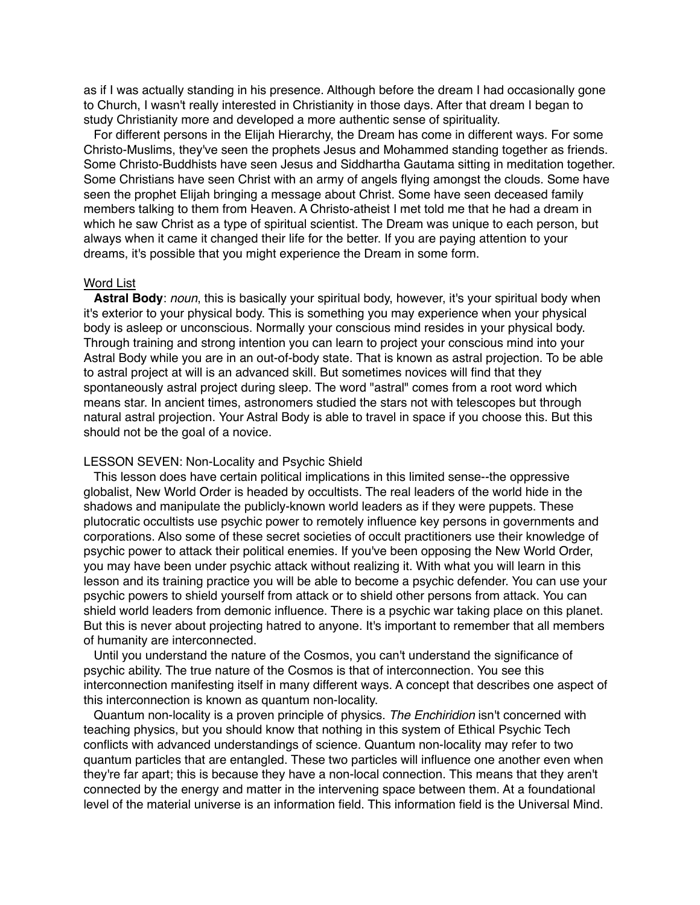as if I was actually standing in his presence. Although before the dream I had occasionally gone to Church, I wasn't really interested in Christianity in those days. After that dream I began to study Christianity more and developed a more authentic sense of spirituality.

For different persons in the Elijah Hierarchy, the Dream has come in different ways. For some Christo-Muslims, they've seen the prophets Jesus and Mohammed standing together as friends. Some Christo-Buddhists have seen Jesus and Siddhartha Gautama sitting in meditation together. Some Christians have seen Christ with an army of angels flying amongst the clouds. Some have seen the prophet Elijah bringing a message about Christ. Some have seen deceased family members talking to them from Heaven. A Christo-atheist I met told me that he had a dream in which he saw Christ as a type of spiritual scientist. The Dream was unique to each person, but always when it came it changed their life for the better. If you are paying attention to your dreams, it's possible that you might experience the Dream in some form.

# Word List

**Astral Body**: *noun*, this is basically your spiritual body, however, it's your spiritual body when it's exterior to your physical body. This is something you may experience when your physical body is asleep or unconscious. Normally your conscious mind resides in your physical body. Through training and strong intention you can learn to project your conscious mind into your Astral Body while you are in an out-of-body state. That is known as astral projection. To be able to astral project at will is an advanced skill. But sometimes novices will find that they spontaneously astral project during sleep. The word "astral" comes from a root word which means star. In ancient times, astronomers studied the stars not with telescopes but through natural astral projection. Your Astral Body is able to travel in space if you choose this. But this should not be the goal of a novice.

# LESSON SEVEN: Non-Locality and Psychic Shield

This lesson does have certain political implications in this limited sense--the oppressive globalist, New World Order is headed by occultists. The real leaders of the world hide in the shadows and manipulate the publicly-known world leaders as if they were puppets. These plutocratic occultists use psychic power to remotely influence key persons in governments and corporations. Also some of these secret societies of occult practitioners use their knowledge of psychic power to attack their political enemies. If you've been opposing the New World Order, you may have been under psychic attack without realizing it. With what you will learn in this lesson and its training practice you will be able to become a psychic defender. You can use your psychic powers to shield yourself from attack or to shield other persons from attack. You can shield world leaders from demonic influence. There is a psychic war taking place on this planet. But this is never about projecting hatred to anyone. It's important to remember that all members of humanity are interconnected.

Until you understand the nature of the Cosmos, you can't understand the significance of psychic ability. The true nature of the Cosmos is that of interconnection. You see this interconnection manifesting itself in many different ways. A concept that describes one aspect of this interconnection is known as quantum non-locality.

Quantum non-locality is a proven principle of physics. *The Enchiridion* isn't concerned with teaching physics, but you should know that nothing in this system of Ethical Psychic Tech conflicts with advanced understandings of science. Quantum non-locality may refer to two quantum particles that are entangled. These two particles will influence one another even when they're far apart; this is because they have a non-local connection. This means that they aren't connected by the energy and matter in the intervening space between them. At a foundational level of the material universe is an information field. This information field is the Universal Mind.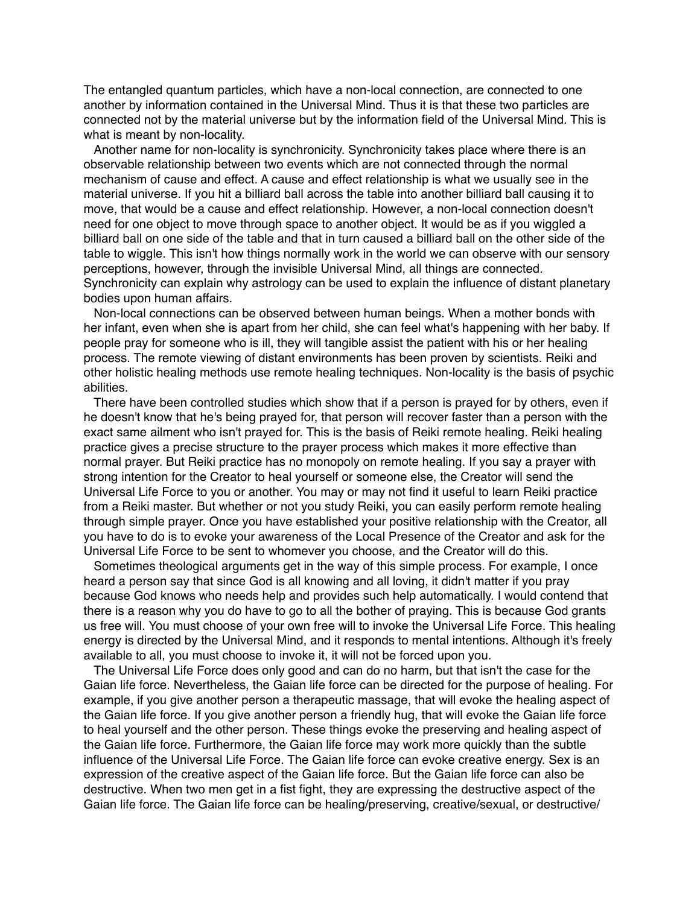The entangled quantum particles, which have a non-local connection, are connected to one another by information contained in the Universal Mind. Thus it is that these two particles are connected not by the material universe but by the information field of the Universal Mind. This is what is meant by non-locality.

Another name for non-locality is synchronicity. Synchronicity takes place where there is an observable relationship between two events which are not connected through the normal mechanism of cause and effect. A cause and effect relationship is what we usually see in the material universe. If you hit a billiard ball across the table into another billiard ball causing it to move, that would be a cause and effect relationship. However, a non-local connection doesn't need for one object to move through space to another object. It would be as if you wiggled a billiard ball on one side of the table and that in turn caused a billiard ball on the other side of the table to wiggle. This isn't how things normally work in the world we can observe with our sensory perceptions, however, through the invisible Universal Mind, all things are connected. Synchronicity can explain why astrology can be used to explain the influence of distant planetary bodies upon human affairs.

Non-local connections can be observed between human beings. When a mother bonds with her infant, even when she is apart from her child, she can feel what's happening with her baby. If people pray for someone who is ill, they will tangible assist the patient with his or her healing process. The remote viewing of distant environments has been proven by scientists. Reiki and other holistic healing methods use remote healing techniques. Non-locality is the basis of psychic abilities.

There have been controlled studies which show that if a person is prayed for by others, even if he doesn't know that he's being prayed for, that person will recover faster than a person with the exact same ailment who isn't prayed for. This is the basis of Reiki remote healing. Reiki healing practice gives a precise structure to the prayer process which makes it more effective than normal prayer. But Reiki practice has no monopoly on remote healing. If you say a prayer with strong intention for the Creator to heal yourself or someone else, the Creator will send the Universal Life Force to you or another. You may or may not find it useful to learn Reiki practice from a Reiki master. But whether or not you study Reiki, you can easily perform remote healing through simple prayer. Once you have established your positive relationship with the Creator, all you have to do is to evoke your awareness of the Local Presence of the Creator and ask for the Universal Life Force to be sent to whomever you choose, and the Creator will do this.

Sometimes theological arguments get in the way of this simple process. For example, I once heard a person say that since God is all knowing and all loving, it didn't matter if you pray because God knows who needs help and provides such help automatically. I would contend that there is a reason why you do have to go to all the bother of praying. This is because God grants us free will. You must choose of your own free will to invoke the Universal Life Force. This healing energy is directed by the Universal Mind, and it responds to mental intentions. Although it's freely available to all, you must choose to invoke it, it will not be forced upon you.

The Universal Life Force does only good and can do no harm, but that isn't the case for the Gaian life force. Nevertheless, the Gaian life force can be directed for the purpose of healing. For example, if you give another person a therapeutic massage, that will evoke the healing aspect of the Gaian life force. If you give another person a friendly hug, that will evoke the Gaian life force to heal yourself and the other person. These things evoke the preserving and healing aspect of the Gaian life force. Furthermore, the Gaian life force may work more quickly than the subtle influence of the Universal Life Force. The Gaian life force can evoke creative energy. Sex is an expression of the creative aspect of the Gaian life force. But the Gaian life force can also be destructive. When two men get in a fist fight, they are expressing the destructive aspect of the Gaian life force. The Gaian life force can be healing/preserving, creative/sexual, or destructive/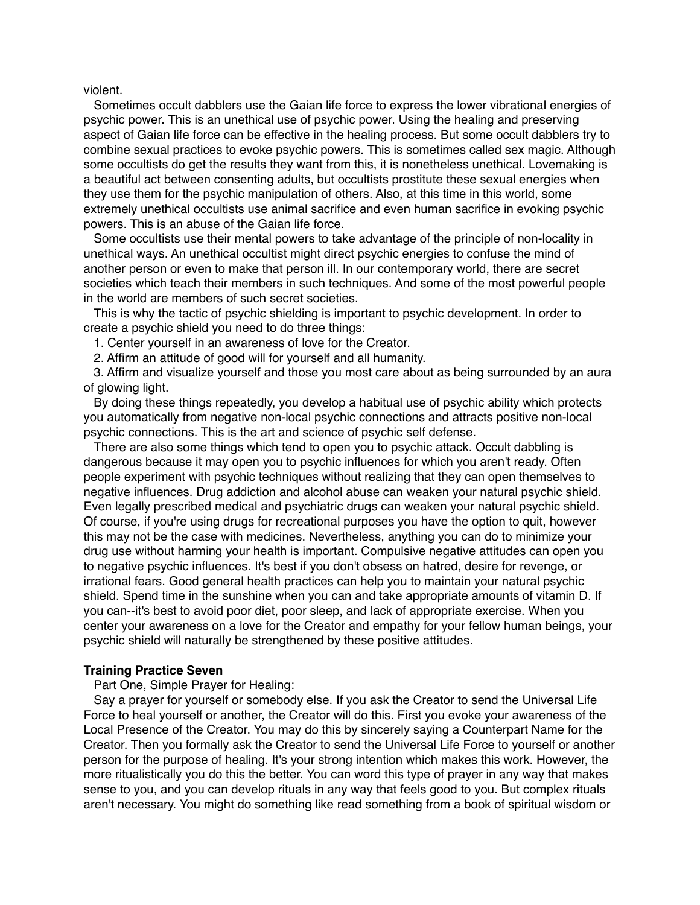violent.

Sometimes occult dabblers use the Gaian life force to express the lower vibrational energies of psychic power. This is an unethical use of psychic power. Using the healing and preserving aspect of Gaian life force can be effective in the healing process. But some occult dabblers try to combine sexual practices to evoke psychic powers. This is sometimes called sex magic. Although some occultists do get the results they want from this, it is nonetheless unethical. Lovemaking is a beautiful act between consenting adults, but occultists prostitute these sexual energies when they use them for the psychic manipulation of others. Also, at this time in this world, some extremely unethical occultists use animal sacrifice and even human sacrifice in evoking psychic powers. This is an abuse of the Gaian life force.

Some occultists use their mental powers to take advantage of the principle of non-locality in unethical ways. An unethical occultist might direct psychic energies to confuse the mind of another person or even to make that person ill. In our contemporary world, there are secret societies which teach their members in such techniques. And some of the most powerful people in the world are members of such secret societies.

This is why the tactic of psychic shielding is important to psychic development. In order to create a psychic shield you need to do three things:

1. Center yourself in an awareness of love for the Creator.

2. Affirm an attitude of good will for yourself and all humanity.

3. Affirm and visualize yourself and those you most care about as being surrounded by an aura of glowing light.

By doing these things repeatedly, you develop a habitual use of psychic ability which protects you automatically from negative non-local psychic connections and attracts positive non-local psychic connections. This is the art and science of psychic self defense.

There are also some things which tend to open you to psychic attack. Occult dabbling is dangerous because it may open you to psychic influences for which you aren't ready. Often people experiment with psychic techniques without realizing that they can open themselves to negative influences. Drug addiction and alcohol abuse can weaken your natural psychic shield. Even legally prescribed medical and psychiatric drugs can weaken your natural psychic shield. Of course, if you're using drugs for recreational purposes you have the option to quit, however this may not be the case with medicines. Nevertheless, anything you can do to minimize your drug use without harming your health is important. Compulsive negative attitudes can open you to negative psychic influences. It's best if you don't obsess on hatred, desire for revenge, or irrational fears. Good general health practices can help you to maintain your natural psychic shield. Spend time in the sunshine when you can and take appropriate amounts of vitamin D. If you can--it's best to avoid poor diet, poor sleep, and lack of appropriate exercise. When you center your awareness on a love for the Creator and empathy for your fellow human beings, your psychic shield will naturally be strengthened by these positive attitudes.

#### **Training Practice Seven**

Part One, Simple Prayer for Healing:

Say a prayer for yourself or somebody else. If you ask the Creator to send the Universal Life Force to heal yourself or another, the Creator will do this. First you evoke your awareness of the Local Presence of the Creator. You may do this by sincerely saying a Counterpart Name for the Creator. Then you formally ask the Creator to send the Universal Life Force to yourself or another person for the purpose of healing. It's your strong intention which makes this work. However, the more ritualistically you do this the better. You can word this type of prayer in any way that makes sense to you, and you can develop rituals in any way that feels good to you. But complex rituals aren't necessary. You might do something like read something from a book of spiritual wisdom or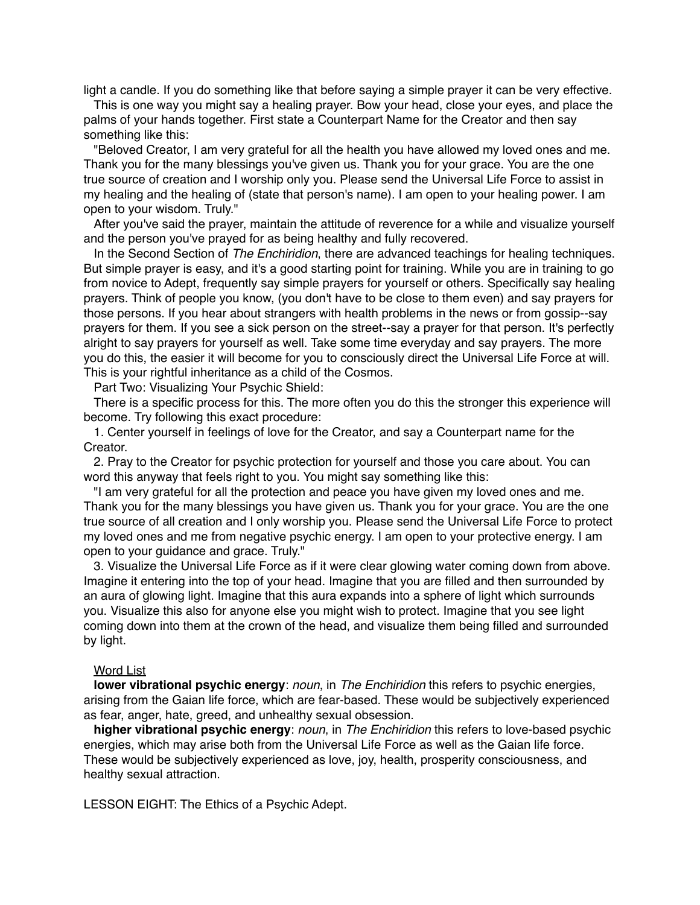light a candle. If you do something like that before saying a simple prayer it can be very effective.

This is one way you might say a healing prayer. Bow your head, close your eyes, and place the palms of your hands together. First state a Counterpart Name for the Creator and then say something like this:

"Beloved Creator, I am very grateful for all the health you have allowed my loved ones and me. Thank you for the many blessings you've given us. Thank you for your grace. You are the one true source of creation and I worship only you. Please send the Universal Life Force to assist in my healing and the healing of (state that person's name). I am open to your healing power. I am open to your wisdom. Truly."

After you've said the prayer, maintain the attitude of reverence for a while and visualize yourself and the person you've prayed for as being healthy and fully recovered.

In the Second Section of *The Enchiridion*, there are advanced teachings for healing techniques. But simple prayer is easy, and it's a good starting point for training. While you are in training to go from novice to Adept, frequently say simple prayers for yourself or others. Specifically say healing prayers. Think of people you know, (you don't have to be close to them even) and say prayers for those persons. If you hear about strangers with health problems in the news or from gossip--say prayers for them. If you see a sick person on the street--say a prayer for that person. It's perfectly alright to say prayers for yourself as well. Take some time everyday and say prayers. The more you do this, the easier it will become for you to consciously direct the Universal Life Force at will. This is your rightful inheritance as a child of the Cosmos.

Part Two: Visualizing Your Psychic Shield:

There is a specific process for this. The more often you do this the stronger this experience will become. Try following this exact procedure:

1. Center yourself in feelings of love for the Creator, and say a Counterpart name for the Creator.

2. Pray to the Creator for psychic protection for yourself and those you care about. You can word this anyway that feels right to you. You might say something like this:

"I am very grateful for all the protection and peace you have given my loved ones and me. Thank you for the many blessings you have given us. Thank you for your grace. You are the one true source of all creation and I only worship you. Please send the Universal Life Force to protect my loved ones and me from negative psychic energy. I am open to your protective energy. I am open to your guidance and grace. Truly."

3. Visualize the Universal Life Force as if it were clear glowing water coming down from above. Imagine it entering into the top of your head. Imagine that you are filled and then surrounded by an aura of glowing light. Imagine that this aura expands into a sphere of light which surrounds you. Visualize this also for anyone else you might wish to protect. Imagine that you see light coming down into them at the crown of the head, and visualize them being filled and surrounded by light.

#### Word List

**lower vibrational psychic energy**: *noun*, in *The Enchiridion* this refers to psychic energies, arising from the Gaian life force, which are fear-based. These would be subjectively experienced as fear, anger, hate, greed, and unhealthy sexual obsession.

**higher vibrational psychic energy**: *noun*, in *The Enchiridion* this refers to love-based psychic energies, which may arise both from the Universal Life Force as well as the Gaian life force. These would be subjectively experienced as love, joy, health, prosperity consciousness, and healthy sexual attraction.

LESSON EIGHT: The Ethics of a Psychic Adept.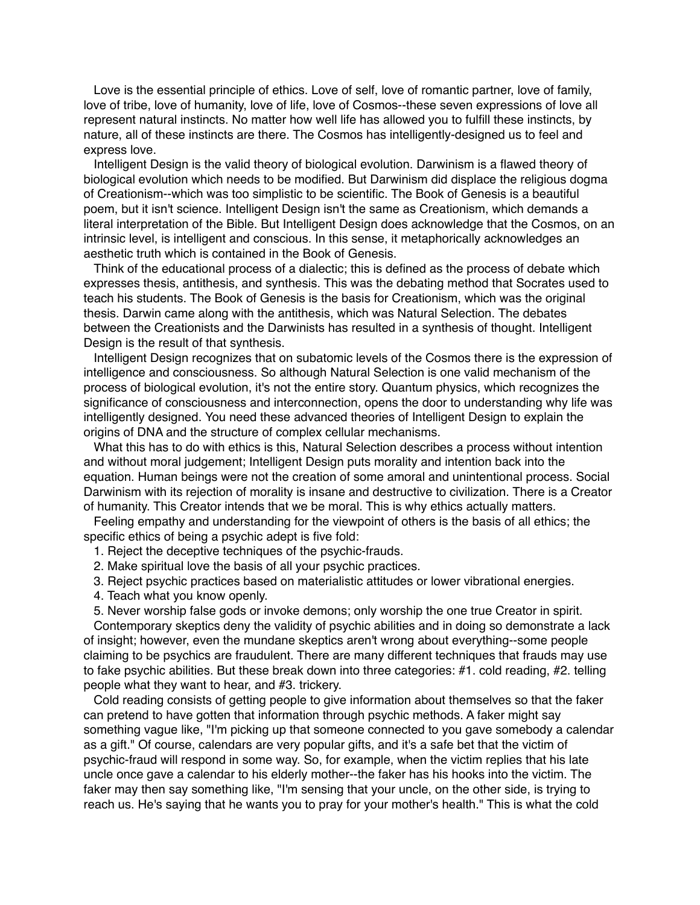Love is the essential principle of ethics. Love of self, love of romantic partner, love of family, love of tribe, love of humanity, love of life, love of Cosmos--these seven expressions of love all represent natural instincts. No matter how well life has allowed you to fulfill these instincts, by nature, all of these instincts are there. The Cosmos has intelligently-designed us to feel and express love.

Intelligent Design is the valid theory of biological evolution. Darwinism is a flawed theory of biological evolution which needs to be modified. But Darwinism did displace the religious dogma of Creationism--which was too simplistic to be scientific. The Book of Genesis is a beautiful poem, but it isn't science. Intelligent Design isn't the same as Creationism, which demands a literal interpretation of the Bible. But Intelligent Design does acknowledge that the Cosmos, on an intrinsic level, is intelligent and conscious. In this sense, it metaphorically acknowledges an aesthetic truth which is contained in the Book of Genesis.

Think of the educational process of a dialectic; this is defined as the process of debate which expresses thesis, antithesis, and synthesis. This was the debating method that Socrates used to teach his students. The Book of Genesis is the basis for Creationism, which was the original thesis. Darwin came along with the antithesis, which was Natural Selection. The debates between the Creationists and the Darwinists has resulted in a synthesis of thought. Intelligent Design is the result of that synthesis.

Intelligent Design recognizes that on subatomic levels of the Cosmos there is the expression of intelligence and consciousness. So although Natural Selection is one valid mechanism of the process of biological evolution, it's not the entire story. Quantum physics, which recognizes the significance of consciousness and interconnection, opens the door to understanding why life was intelligently designed. You need these advanced theories of Intelligent Design to explain the origins of DNA and the structure of complex cellular mechanisms.

What this has to do with ethics is this, Natural Selection describes a process without intention and without moral judgement; Intelligent Design puts morality and intention back into the equation. Human beings were not the creation of some amoral and unintentional process. Social Darwinism with its rejection of morality is insane and destructive to civilization. There is a Creator of humanity. This Creator intends that we be moral. This is why ethics actually matters.

Feeling empathy and understanding for the viewpoint of others is the basis of all ethics; the specific ethics of being a psychic adept is five fold:

1. Reject the deceptive techniques of the psychic-frauds.

- 2. Make spiritual love the basis of all your psychic practices.
- 3. Reject psychic practices based on materialistic attitudes or lower vibrational energies.
- 4. Teach what you know openly.

5. Never worship false gods or invoke demons; only worship the one true Creator in spirit.

Contemporary skeptics deny the validity of psychic abilities and in doing so demonstrate a lack of insight; however, even the mundane skeptics aren't wrong about everything--some people claiming to be psychics are fraudulent. There are many different techniques that frauds may use to fake psychic abilities. But these break down into three categories: #1. cold reading, #2. telling people what they want to hear, and #3. trickery.

Cold reading consists of getting people to give information about themselves so that the faker can pretend to have gotten that information through psychic methods. A faker might say something vague like, "I'm picking up that someone connected to you gave somebody a calendar as a gift." Of course, calendars are very popular gifts, and it's a safe bet that the victim of psychic-fraud will respond in some way. So, for example, when the victim replies that his late uncle once gave a calendar to his elderly mother--the faker has his hooks into the victim. The faker may then say something like, "I'm sensing that your uncle, on the other side, is trying to reach us. He's saying that he wants you to pray for your mother's health." This is what the cold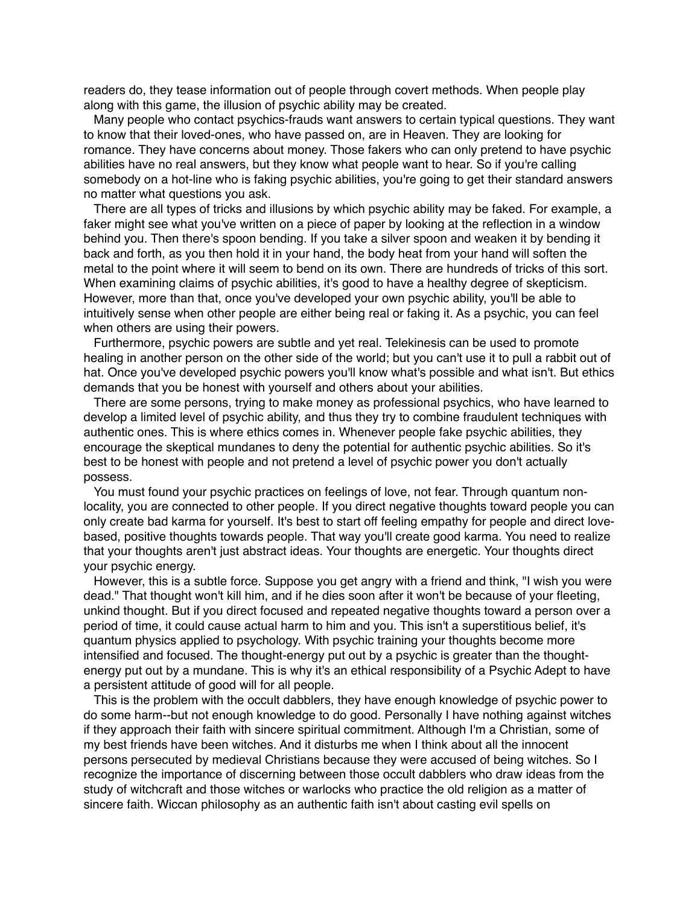readers do, they tease information out of people through covert methods. When people play along with this game, the illusion of psychic ability may be created.

Many people who contact psychics-frauds want answers to certain typical questions. They want to know that their loved-ones, who have passed on, are in Heaven. They are looking for romance. They have concerns about money. Those fakers who can only pretend to have psychic abilities have no real answers, but they know what people want to hear. So if you're calling somebody on a hot-line who is faking psychic abilities, you're going to get their standard answers no matter what questions you ask.

There are all types of tricks and illusions by which psychic ability may be faked. For example, a faker might see what you've written on a piece of paper by looking at the reflection in a window behind you. Then there's spoon bending. If you take a silver spoon and weaken it by bending it back and forth, as you then hold it in your hand, the body heat from your hand will soften the metal to the point where it will seem to bend on its own. There are hundreds of tricks of this sort. When examining claims of psychic abilities, it's good to have a healthy degree of skepticism. However, more than that, once you've developed your own psychic ability, you'll be able to intuitively sense when other people are either being real or faking it. As a psychic, you can feel when others are using their powers.

Furthermore, psychic powers are subtle and yet real. Telekinesis can be used to promote healing in another person on the other side of the world; but you can't use it to pull a rabbit out of hat. Once you've developed psychic powers you'll know what's possible and what isn't. But ethics demands that you be honest with yourself and others about your abilities.

There are some persons, trying to make money as professional psychics, who have learned to develop a limited level of psychic ability, and thus they try to combine fraudulent techniques with authentic ones. This is where ethics comes in. Whenever people fake psychic abilities, they encourage the skeptical mundanes to deny the potential for authentic psychic abilities. So it's best to be honest with people and not pretend a level of psychic power you don't actually possess.

You must found your psychic practices on feelings of love, not fear. Through quantum nonlocality, you are connected to other people. If you direct negative thoughts toward people you can only create bad karma for yourself. It's best to start off feeling empathy for people and direct lovebased, positive thoughts towards people. That way you'll create good karma. You need to realize that your thoughts aren't just abstract ideas. Your thoughts are energetic. Your thoughts direct your psychic energy.

However, this is a subtle force. Suppose you get angry with a friend and think, "I wish you were dead." That thought won't kill him, and if he dies soon after it won't be because of your fleeting, unkind thought. But if you direct focused and repeated negative thoughts toward a person over a period of time, it could cause actual harm to him and you. This isn't a superstitious belief, it's quantum physics applied to psychology. With psychic training your thoughts become more intensified and focused. The thought-energy put out by a psychic is greater than the thoughtenergy put out by a mundane. This is why it's an ethical responsibility of a Psychic Adept to have a persistent attitude of good will for all people.

This is the problem with the occult dabblers, they have enough knowledge of psychic power to do some harm--but not enough knowledge to do good. Personally I have nothing against witches if they approach their faith with sincere spiritual commitment. Although I'm a Christian, some of my best friends have been witches. And it disturbs me when I think about all the innocent persons persecuted by medieval Christians because they were accused of being witches. So I recognize the importance of discerning between those occult dabblers who draw ideas from the study of witchcraft and those witches or warlocks who practice the old religion as a matter of sincere faith. Wiccan philosophy as an authentic faith isn't about casting evil spells on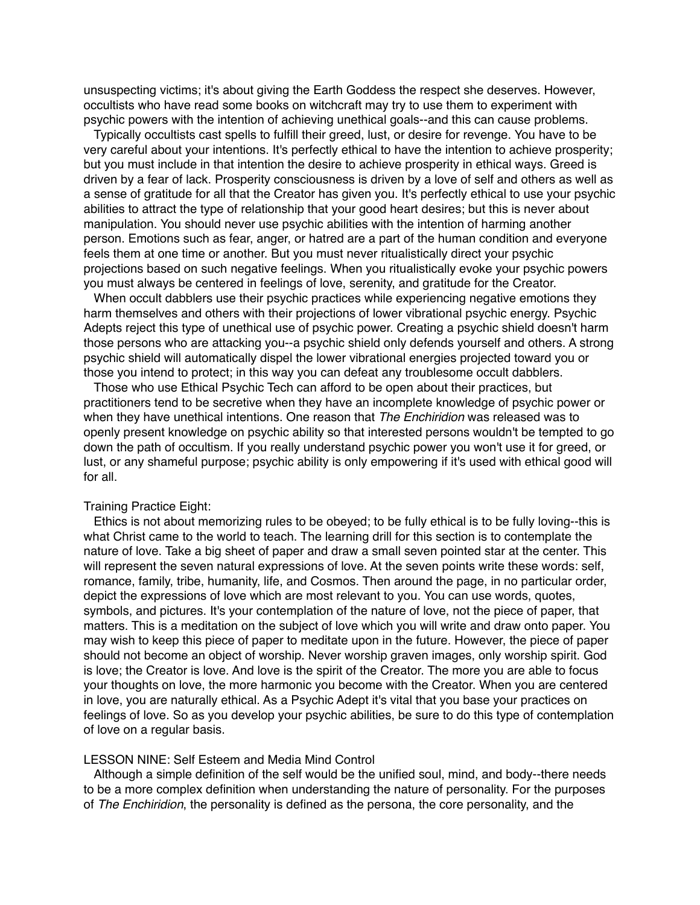unsuspecting victims; it's about giving the Earth Goddess the respect she deserves. However, occultists who have read some books on witchcraft may try to use them to experiment with psychic powers with the intention of achieving unethical goals--and this can cause problems.

Typically occultists cast spells to fulfill their greed, lust, or desire for revenge. You have to be very careful about your intentions. It's perfectly ethical to have the intention to achieve prosperity; but you must include in that intention the desire to achieve prosperity in ethical ways. Greed is driven by a fear of lack. Prosperity consciousness is driven by a love of self and others as well as a sense of gratitude for all that the Creator has given you. It's perfectly ethical to use your psychic abilities to attract the type of relationship that your good heart desires; but this is never about manipulation. You should never use psychic abilities with the intention of harming another person. Emotions such as fear, anger, or hatred are a part of the human condition and everyone feels them at one time or another. But you must never ritualistically direct your psychic projections based on such negative feelings. When you ritualistically evoke your psychic powers you must always be centered in feelings of love, serenity, and gratitude for the Creator.

When occult dabblers use their psychic practices while experiencing negative emotions they harm themselves and others with their projections of lower vibrational psychic energy. Psychic Adepts reject this type of unethical use of psychic power. Creating a psychic shield doesn't harm those persons who are attacking you--a psychic shield only defends yourself and others. A strong psychic shield will automatically dispel the lower vibrational energies projected toward you or those you intend to protect; in this way you can defeat any troublesome occult dabblers.

Those who use Ethical Psychic Tech can afford to be open about their practices, but practitioners tend to be secretive when they have an incomplete knowledge of psychic power or when they have unethical intentions. One reason that *The Enchiridion* was released was to openly present knowledge on psychic ability so that interested persons wouldn't be tempted to go down the path of occultism. If you really understand psychic power you won't use it for greed, or lust, or any shameful purpose; psychic ability is only empowering if it's used with ethical good will for all.

#### Training Practice Eight:

Ethics is not about memorizing rules to be obeyed; to be fully ethical is to be fully loving--this is what Christ came to the world to teach. The learning drill for this section is to contemplate the nature of love. Take a big sheet of paper and draw a small seven pointed star at the center. This will represent the seven natural expressions of love. At the seven points write these words: self, romance, family, tribe, humanity, life, and Cosmos. Then around the page, in no particular order, depict the expressions of love which are most relevant to you. You can use words, quotes, symbols, and pictures. It's your contemplation of the nature of love, not the piece of paper, that matters. This is a meditation on the subject of love which you will write and draw onto paper. You may wish to keep this piece of paper to meditate upon in the future. However, the piece of paper should not become an object of worship. Never worship graven images, only worship spirit. God is love; the Creator is love. And love is the spirit of the Creator. The more you are able to focus your thoughts on love, the more harmonic you become with the Creator. When you are centered in love, you are naturally ethical. As a Psychic Adept it's vital that you base your practices on feelings of love. So as you develop your psychic abilities, be sure to do this type of contemplation of love on a regular basis.

## LESSON NINE: Self Esteem and Media Mind Control

Although a simple definition of the self would be the unified soul, mind, and body--there needs to be a more complex definition when understanding the nature of personality. For the purposes of *The Enchiridion*, the personality is defined as the persona, the core personality, and the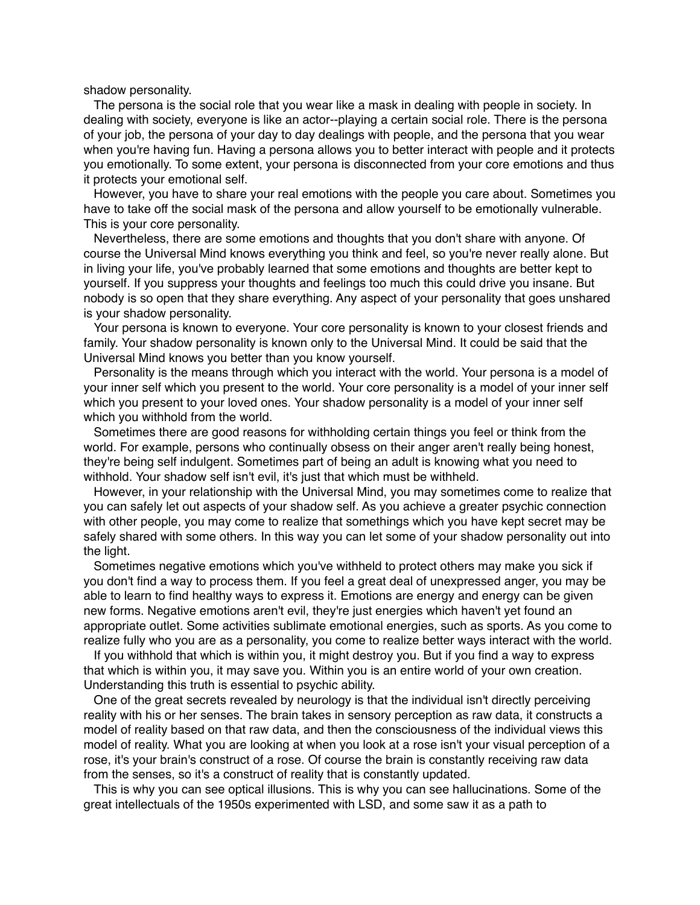shadow personality.

The persona is the social role that you wear like a mask in dealing with people in society. In dealing with society, everyone is like an actor--playing a certain social role. There is the persona of your job, the persona of your day to day dealings with people, and the persona that you wear when you're having fun. Having a persona allows you to better interact with people and it protects you emotionally. To some extent, your persona is disconnected from your core emotions and thus it protects your emotional self.

However, you have to share your real emotions with the people you care about. Sometimes you have to take off the social mask of the persona and allow yourself to be emotionally vulnerable. This is your core personality.

Nevertheless, there are some emotions and thoughts that you don't share with anyone. Of course the Universal Mind knows everything you think and feel, so you're never really alone. But in living your life, you've probably learned that some emotions and thoughts are better kept to yourself. If you suppress your thoughts and feelings too much this could drive you insane. But nobody is so open that they share everything. Any aspect of your personality that goes unshared is your shadow personality.

Your persona is known to everyone. Your core personality is known to your closest friends and family. Your shadow personality is known only to the Universal Mind. It could be said that the Universal Mind knows you better than you know yourself.

Personality is the means through which you interact with the world. Your persona is a model of your inner self which you present to the world. Your core personality is a model of your inner self which you present to your loved ones. Your shadow personality is a model of your inner self which you withhold from the world.

Sometimes there are good reasons for withholding certain things you feel or think from the world. For example, persons who continually obsess on their anger aren't really being honest, they're being self indulgent. Sometimes part of being an adult is knowing what you need to withhold. Your shadow self isn't evil, it's just that which must be withheld.

However, in your relationship with the Universal Mind, you may sometimes come to realize that you can safely let out aspects of your shadow self. As you achieve a greater psychic connection with other people, you may come to realize that somethings which you have kept secret may be safely shared with some others. In this way you can let some of your shadow personality out into the light.

Sometimes negative emotions which you've withheld to protect others may make you sick if you don't find a way to process them. If you feel a great deal of unexpressed anger, you may be able to learn to find healthy ways to express it. Emotions are energy and energy can be given new forms. Negative emotions aren't evil, they're just energies which haven't yet found an appropriate outlet. Some activities sublimate emotional energies, such as sports. As you come to realize fully who you are as a personality, you come to realize better ways interact with the world.

If you withhold that which is within you, it might destroy you. But if you find a way to express that which is within you, it may save you. Within you is an entire world of your own creation. Understanding this truth is essential to psychic ability.

One of the great secrets revealed by neurology is that the individual isn't directly perceiving reality with his or her senses. The brain takes in sensory perception as raw data, it constructs a model of reality based on that raw data, and then the consciousness of the individual views this model of reality. What you are looking at when you look at a rose isn't your visual perception of a rose, it's your brain's construct of a rose. Of course the brain is constantly receiving raw data from the senses, so it's a construct of reality that is constantly updated.

This is why you can see optical illusions. This is why you can see hallucinations. Some of the great intellectuals of the 1950s experimented with LSD, and some saw it as a path to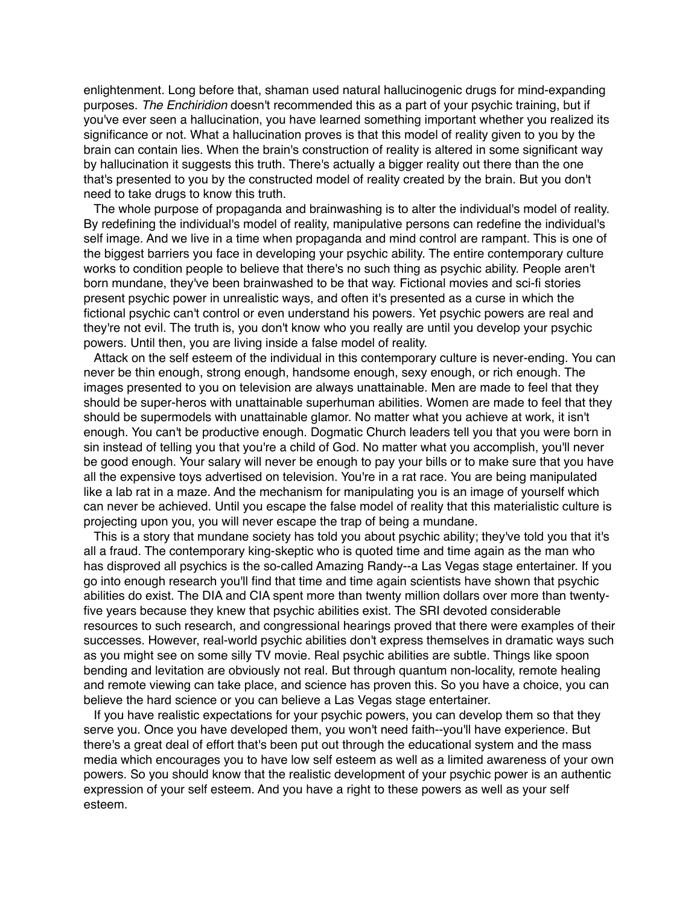enlightenment. Long before that, shaman used natural hallucinogenic drugs for mind-expanding purposes. *The Enchiridion* doesn't recommended this as a part of your psychic training, but if you've ever seen a hallucination, you have learned something important whether you realized its significance or not. What a hallucination proves is that this model of reality given to you by the brain can contain lies. When the brain's construction of reality is altered in some significant way by hallucination it suggests this truth. There's actually a bigger reality out there than the one that's presented to you by the constructed model of reality created by the brain. But you don't need to take drugs to know this truth.

The whole purpose of propaganda and brainwashing is to alter the individual's model of reality. By redefining the individual's model of reality, manipulative persons can redefine the individual's self image. And we live in a time when propaganda and mind control are rampant. This is one of the biggest barriers you face in developing your psychic ability. The entire contemporary culture works to condition people to believe that there's no such thing as psychic ability. People aren't born mundane, they've been brainwashed to be that way. Fictional movies and sci-fi stories present psychic power in unrealistic ways, and often it's presented as a curse in which the fictional psychic can't control or even understand his powers. Yet psychic powers are real and they're not evil. The truth is, you don't know who you really are until you develop your psychic powers. Until then, you are living inside a false model of reality.

Attack on the self esteem of the individual in this contemporary culture is never-ending. You can never be thin enough, strong enough, handsome enough, sexy enough, or rich enough. The images presented to you on television are always unattainable. Men are made to feel that they should be super-heros with unattainable superhuman abilities. Women are made to feel that they should be supermodels with unattainable glamor. No matter what you achieve at work, it isn't enough. You can't be productive enough. Dogmatic Church leaders tell you that you were born in sin instead of telling you that you're a child of God. No matter what you accomplish, you'll never be good enough. Your salary will never be enough to pay your bills or to make sure that you have all the expensive toys advertised on television. You're in a rat race. You are being manipulated like a lab rat in a maze. And the mechanism for manipulating you is an image of yourself which can never be achieved. Until you escape the false model of reality that this materialistic culture is projecting upon you, you will never escape the trap of being a mundane.

This is a story that mundane society has told you about psychic ability; they've told you that it's all a fraud. The contemporary king-skeptic who is quoted time and time again as the man who has disproved all psychics is the so-called Amazing Randy--a Las Vegas stage entertainer. If you go into enough research you'll find that time and time again scientists have shown that psychic abilities do exist. The DIA and CIA spent more than twenty million dollars over more than twentyfive years because they knew that psychic abilities exist. The SRI devoted considerable resources to such research, and congressional hearings proved that there were examples of their successes. However, real-world psychic abilities don't express themselves in dramatic ways such as you might see on some silly TV movie. Real psychic abilities are subtle. Things like spoon bending and levitation are obviously not real. But through quantum non-locality, remote healing and remote viewing can take place, and science has proven this. So you have a choice, you can believe the hard science or you can believe a Las Vegas stage entertainer.

If you have realistic expectations for your psychic powers, you can develop them so that they serve you. Once you have developed them, you won't need faith--you'll have experience. But there's a great deal of effort that's been put out through the educational system and the mass media which encourages you to have low self esteem as well as a limited awareness of your own powers. So you should know that the realistic development of your psychic power is an authentic expression of your self esteem. And you have a right to these powers as well as your self esteem.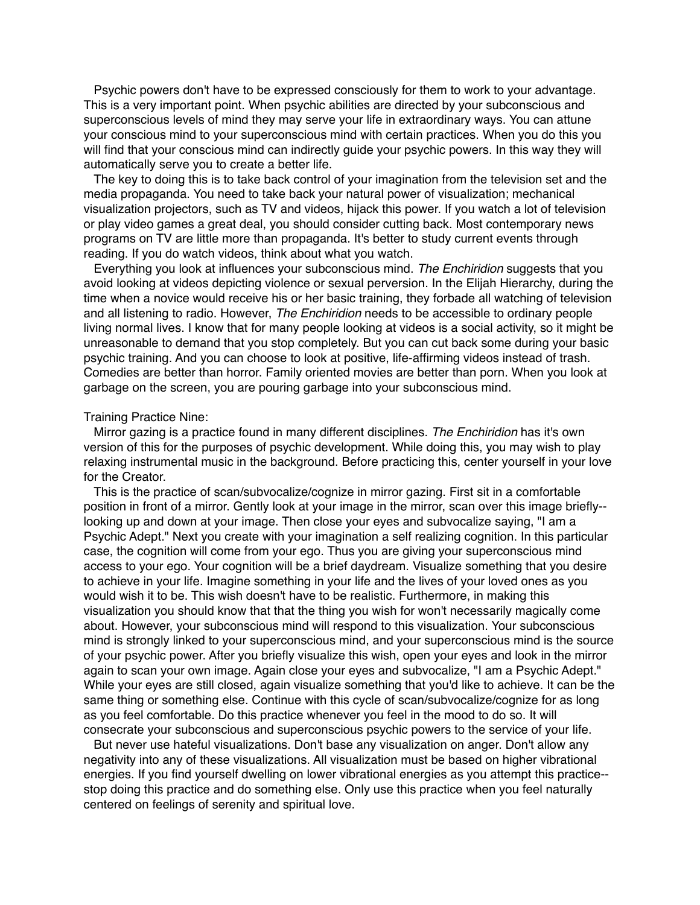Psychic powers don't have to be expressed consciously for them to work to your advantage. This is a very important point. When psychic abilities are directed by your subconscious and superconscious levels of mind they may serve your life in extraordinary ways. You can attune your conscious mind to your superconscious mind with certain practices. When you do this you will find that your conscious mind can indirectly guide your psychic powers. In this way they will automatically serve you to create a better life.

The key to doing this is to take back control of your imagination from the television set and the media propaganda. You need to take back your natural power of visualization; mechanical visualization projectors, such as TV and videos, hijack this power. If you watch a lot of television or play video games a great deal, you should consider cutting back. Most contemporary news programs on TV are little more than propaganda. It's better to study current events through reading. If you do watch videos, think about what you watch.

Everything you look at influences your subconscious mind. *The Enchiridion* suggests that you avoid looking at videos depicting violence or sexual perversion. In the Elijah Hierarchy, during the time when a novice would receive his or her basic training, they forbade all watching of television and all listening to radio. However, *The Enchiridion* needs to be accessible to ordinary people living normal lives. I know that for many people looking at videos is a social activity, so it might be unreasonable to demand that you stop completely. But you can cut back some during your basic psychic training. And you can choose to look at positive, life-affirming videos instead of trash. Comedies are better than horror. Family oriented movies are better than porn. When you look at garbage on the screen, you are pouring garbage into your subconscious mind.

## Training Practice Nine:

Mirror gazing is a practice found in many different disciplines. *The Enchiridion* has it's own version of this for the purposes of psychic development. While doing this, you may wish to play relaxing instrumental music in the background. Before practicing this, center yourself in your love for the Creator.

This is the practice of scan/subvocalize/cognize in mirror gazing. First sit in a comfortable position in front of a mirror. Gently look at your image in the mirror, scan over this image briefly- looking up and down at your image. Then close your eyes and subvocalize saying, "I am a Psychic Adept." Next you create with your imagination a self realizing cognition. In this particular case, the cognition will come from your ego. Thus you are giving your superconscious mind access to your ego. Your cognition will be a brief daydream. Visualize something that you desire to achieve in your life. Imagine something in your life and the lives of your loved ones as you would wish it to be. This wish doesn't have to be realistic. Furthermore, in making this visualization you should know that that the thing you wish for won't necessarily magically come about. However, your subconscious mind will respond to this visualization. Your subconscious mind is strongly linked to your superconscious mind, and your superconscious mind is the source of your psychic power. After you briefly visualize this wish, open your eyes and look in the mirror again to scan your own image. Again close your eyes and subvocalize, "I am a Psychic Adept." While your eyes are still closed, again visualize something that you'd like to achieve. It can be the same thing or something else. Continue with this cycle of scan/subvocalize/cognize for as long as you feel comfortable. Do this practice whenever you feel in the mood to do so. It will consecrate your subconscious and superconscious psychic powers to the service of your life.

But never use hateful visualizations. Don't base any visualization on anger. Don't allow any negativity into any of these visualizations. All visualization must be based on higher vibrational energies. If you find yourself dwelling on lower vibrational energies as you attempt this practice- stop doing this practice and do something else. Only use this practice when you feel naturally centered on feelings of serenity and spiritual love.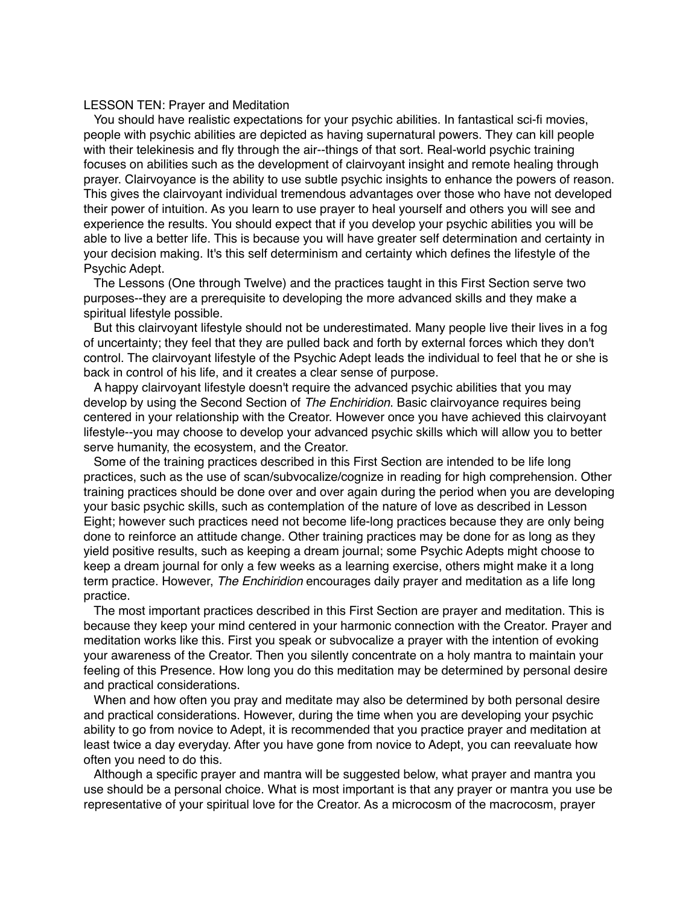### LESSON TEN: Prayer and Meditation

You should have realistic expectations for your psychic abilities. In fantastical sci-fi movies, people with psychic abilities are depicted as having supernatural powers. They can kill people with their telekinesis and fly through the air--things of that sort. Real-world psychic training focuses on abilities such as the development of clairvoyant insight and remote healing through prayer. Clairvoyance is the ability to use subtle psychic insights to enhance the powers of reason. This gives the clairvoyant individual tremendous advantages over those who have not developed their power of intuition. As you learn to use prayer to heal yourself and others you will see and experience the results. You should expect that if you develop your psychic abilities you will be able to live a better life. This is because you will have greater self determination and certainty in your decision making. It's this self determinism and certainty which defines the lifestyle of the Psychic Adept.

The Lessons (One through Twelve) and the practices taught in this First Section serve two purposes--they are a prerequisite to developing the more advanced skills and they make a spiritual lifestyle possible.

But this clairvoyant lifestyle should not be underestimated. Many people live their lives in a fog of uncertainty; they feel that they are pulled back and forth by external forces which they don't control. The clairvoyant lifestyle of the Psychic Adept leads the individual to feel that he or she is back in control of his life, and it creates a clear sense of purpose.

A happy clairvoyant lifestyle doesn't require the advanced psychic abilities that you may develop by using the Second Section of *The Enchiridion*. Basic clairvoyance requires being centered in your relationship with the Creator. However once you have achieved this clairvoyant lifestyle--you may choose to develop your advanced psychic skills which will allow you to better serve humanity, the ecosystem, and the Creator.

Some of the training practices described in this First Section are intended to be life long practices, such as the use of scan/subvocalize/cognize in reading for high comprehension. Other training practices should be done over and over again during the period when you are developing your basic psychic skills, such as contemplation of the nature of love as described in Lesson Eight; however such practices need not become life-long practices because they are only being done to reinforce an attitude change. Other training practices may be done for as long as they yield positive results, such as keeping a dream journal; some Psychic Adepts might choose to keep a dream journal for only a few weeks as a learning exercise, others might make it a long term practice. However, *The Enchiridion* encourages daily prayer and meditation as a life long practice.

The most important practices described in this First Section are prayer and meditation. This is because they keep your mind centered in your harmonic connection with the Creator. Prayer and meditation works like this. First you speak or subvocalize a prayer with the intention of evoking your awareness of the Creator. Then you silently concentrate on a holy mantra to maintain your feeling of this Presence. How long you do this meditation may be determined by personal desire and practical considerations.

When and how often you pray and meditate may also be determined by both personal desire and practical considerations. However, during the time when you are developing your psychic ability to go from novice to Adept, it is recommended that you practice prayer and meditation at least twice a day everyday. After you have gone from novice to Adept, you can reevaluate how often you need to do this.

Although a specific prayer and mantra will be suggested below, what prayer and mantra you use should be a personal choice. What is most important is that any prayer or mantra you use be representative of your spiritual love for the Creator. As a microcosm of the macrocosm, prayer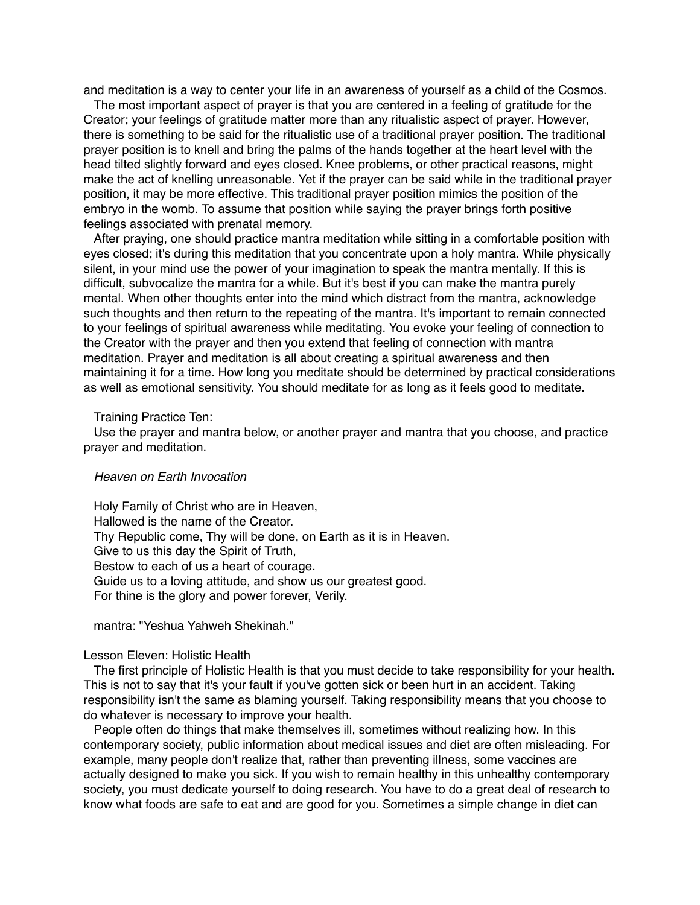and meditation is a way to center your life in an awareness of yourself as a child of the Cosmos.

The most important aspect of prayer is that you are centered in a feeling of gratitude for the Creator; your feelings of gratitude matter more than any ritualistic aspect of prayer. However, there is something to be said for the ritualistic use of a traditional prayer position. The traditional prayer position is to knell and bring the palms of the hands together at the heart level with the head tilted slightly forward and eyes closed. Knee problems, or other practical reasons, might make the act of knelling unreasonable. Yet if the prayer can be said while in the traditional prayer position, it may be more effective. This traditional prayer position mimics the position of the embryo in the womb. To assume that position while saying the prayer brings forth positive feelings associated with prenatal memory.

After praying, one should practice mantra meditation while sitting in a comfortable position with eyes closed; it's during this meditation that you concentrate upon a holy mantra. While physically silent, in your mind use the power of your imagination to speak the mantra mentally. If this is difficult, subvocalize the mantra for a while. But it's best if you can make the mantra purely mental. When other thoughts enter into the mind which distract from the mantra, acknowledge such thoughts and then return to the repeating of the mantra. It's important to remain connected to your feelings of spiritual awareness while meditating. You evoke your feeling of connection to the Creator with the prayer and then you extend that feeling of connection with mantra meditation. Prayer and meditation is all about creating a spiritual awareness and then maintaining it for a time. How long you meditate should be determined by practical considerations as well as emotional sensitivity. You should meditate for as long as it feels good to meditate.

#### Training Practice Ten:

Use the prayer and mantra below, or another prayer and mantra that you choose, and practice prayer and meditation.

## *Heaven on Earth Invocation*

Holy Family of Christ who are in Heaven, Hallowed is the name of the Creator. Thy Republic come, Thy will be done, on Earth as it is in Heaven. Give to us this day the Spirit of Truth, Bestow to each of us a heart of courage. Guide us to a loving attitude, and show us our greatest good. For thine is the glory and power forever, Verily.

mantra: "Yeshua Yahweh Shekinah."

## Lesson Eleven: Holistic Health

The first principle of Holistic Health is that you must decide to take responsibility for your health. This is not to say that it's your fault if you've gotten sick or been hurt in an accident. Taking responsibility isn't the same as blaming yourself. Taking responsibility means that you choose to do whatever is necessary to improve your health.

People often do things that make themselves ill, sometimes without realizing how. In this contemporary society, public information about medical issues and diet are often misleading. For example, many people don't realize that, rather than preventing illness, some vaccines are actually designed to make you sick. If you wish to remain healthy in this unhealthy contemporary society, you must dedicate yourself to doing research. You have to do a great deal of research to know what foods are safe to eat and are good for you. Sometimes a simple change in diet can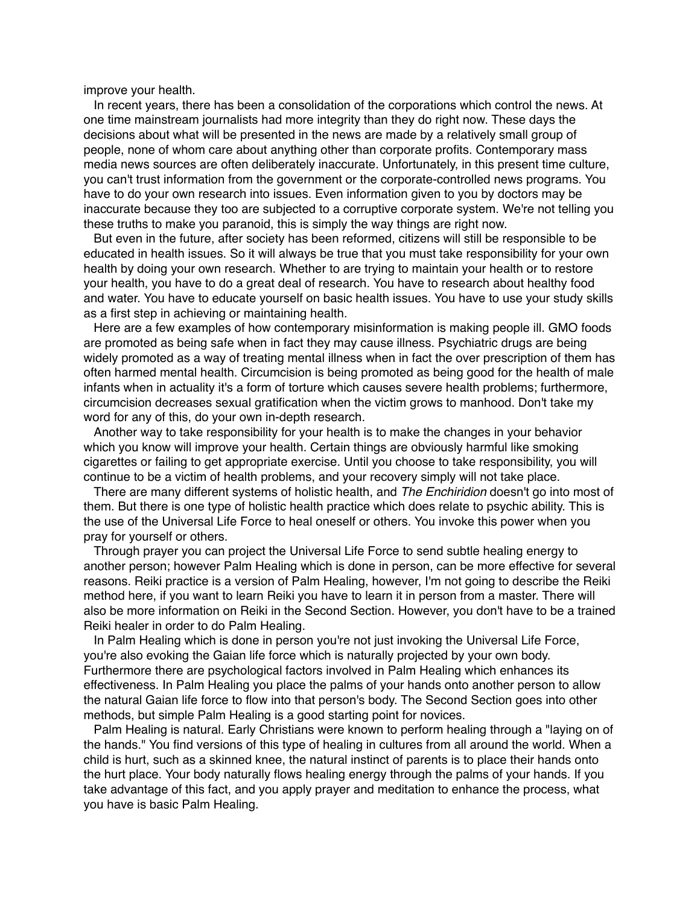improve your health.

In recent years, there has been a consolidation of the corporations which control the news. At one time mainstream journalists had more integrity than they do right now. These days the decisions about what will be presented in the news are made by a relatively small group of people, none of whom care about anything other than corporate profits. Contemporary mass media news sources are often deliberately inaccurate. Unfortunately, in this present time culture, you can't trust information from the government or the corporate-controlled news programs. You have to do your own research into issues. Even information given to you by doctors may be inaccurate because they too are subjected to a corruptive corporate system. We're not telling you these truths to make you paranoid, this is simply the way things are right now.

But even in the future, after society has been reformed, citizens will still be responsible to be educated in health issues. So it will always be true that you must take responsibility for your own health by doing your own research. Whether to are trying to maintain your health or to restore your health, you have to do a great deal of research. You have to research about healthy food and water. You have to educate yourself on basic health issues. You have to use your study skills as a first step in achieving or maintaining health.

Here are a few examples of how contemporary misinformation is making people ill. GMO foods are promoted as being safe when in fact they may cause illness. Psychiatric drugs are being widely promoted as a way of treating mental illness when in fact the over prescription of them has often harmed mental health. Circumcision is being promoted as being good for the health of male infants when in actuality it's a form of torture which causes severe health problems; furthermore, circumcision decreases sexual gratification when the victim grows to manhood. Don't take my word for any of this, do your own in-depth research.

Another way to take responsibility for your health is to make the changes in your behavior which you know will improve your health. Certain things are obviously harmful like smoking cigarettes or failing to get appropriate exercise. Until you choose to take responsibility, you will continue to be a victim of health problems, and your recovery simply will not take place.

There are many different systems of holistic health, and *The Enchiridion* doesn't go into most of them. But there is one type of holistic health practice which does relate to psychic ability. This is the use of the Universal Life Force to heal oneself or others. You invoke this power when you pray for yourself or others.

Through prayer you can project the Universal Life Force to send subtle healing energy to another person; however Palm Healing which is done in person, can be more effective for several reasons. Reiki practice is a version of Palm Healing, however, I'm not going to describe the Reiki method here, if you want to learn Reiki you have to learn it in person from a master. There will also be more information on Reiki in the Second Section. However, you don't have to be a trained Reiki healer in order to do Palm Healing.

In Palm Healing which is done in person you're not just invoking the Universal Life Force, you're also evoking the Gaian life force which is naturally projected by your own body. Furthermore there are psychological factors involved in Palm Healing which enhances its effectiveness. In Palm Healing you place the palms of your hands onto another person to allow the natural Gaian life force to flow into that person's body. The Second Section goes into other methods, but simple Palm Healing is a good starting point for novices.

Palm Healing is natural. Early Christians were known to perform healing through a "laying on of the hands." You find versions of this type of healing in cultures from all around the world. When a child is hurt, such as a skinned knee, the natural instinct of parents is to place their hands onto the hurt place. Your body naturally flows healing energy through the palms of your hands. If you take advantage of this fact, and you apply prayer and meditation to enhance the process, what you have is basic Palm Healing.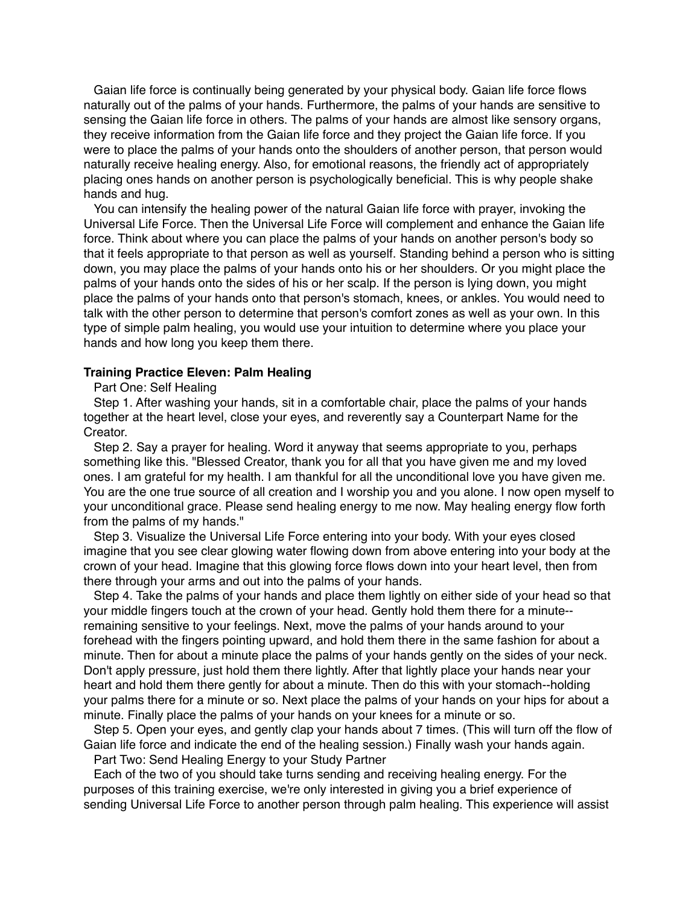Gaian life force is continually being generated by your physical body. Gaian life force flows naturally out of the palms of your hands. Furthermore, the palms of your hands are sensitive to sensing the Gaian life force in others. The palms of your hands are almost like sensory organs, they receive information from the Gaian life force and they project the Gaian life force. If you were to place the palms of your hands onto the shoulders of another person, that person would naturally receive healing energy. Also, for emotional reasons, the friendly act of appropriately placing ones hands on another person is psychologically beneficial. This is why people shake hands and hug.

You can intensify the healing power of the natural Gaian life force with prayer, invoking the Universal Life Force. Then the Universal Life Force will complement and enhance the Gaian life force. Think about where you can place the palms of your hands on another person's body so that it feels appropriate to that person as well as yourself. Standing behind a person who is sitting down, you may place the palms of your hands onto his or her shoulders. Or you might place the palms of your hands onto the sides of his or her scalp. If the person is lying down, you might place the palms of your hands onto that person's stomach, knees, or ankles. You would need to talk with the other person to determine that person's comfort zones as well as your own. In this type of simple palm healing, you would use your intuition to determine where you place your hands and how long you keep them there.

# **Training Practice Eleven: Palm Healing**

Part One: Self Healing

Step 1. After washing your hands, sit in a comfortable chair, place the palms of your hands together at the heart level, close your eyes, and reverently say a Counterpart Name for the Creator.

Step 2. Say a prayer for healing. Word it anyway that seems appropriate to you, perhaps something like this. "Blessed Creator, thank you for all that you have given me and my loved ones. I am grateful for my health. I am thankful for all the unconditional love you have given me. You are the one true source of all creation and I worship you and you alone. I now open myself to your unconditional grace. Please send healing energy to me now. May healing energy flow forth from the palms of my hands."

Step 3. Visualize the Universal Life Force entering into your body. With your eyes closed imagine that you see clear glowing water flowing down from above entering into your body at the crown of your head. Imagine that this glowing force flows down into your heart level, then from there through your arms and out into the palms of your hands.

Step 4. Take the palms of your hands and place them lightly on either side of your head so that your middle fingers touch at the crown of your head. Gently hold them there for a minute- remaining sensitive to your feelings. Next, move the palms of your hands around to your forehead with the fingers pointing upward, and hold them there in the same fashion for about a minute. Then for about a minute place the palms of your hands gently on the sides of your neck. Don't apply pressure, just hold them there lightly. After that lightly place your hands near your heart and hold them there gently for about a minute. Then do this with your stomach--holding your palms there for a minute or so. Next place the palms of your hands on your hips for about a minute. Finally place the palms of your hands on your knees for a minute or so.

Step 5. Open your eyes, and gently clap your hands about 7 times. (This will turn off the flow of Gaian life force and indicate the end of the healing session.) Finally wash your hands again.

Part Two: Send Healing Energy to your Study Partner

Each of the two of you should take turns sending and receiving healing energy. For the purposes of this training exercise, we're only interested in giving you a brief experience of sending Universal Life Force to another person through palm healing. This experience will assist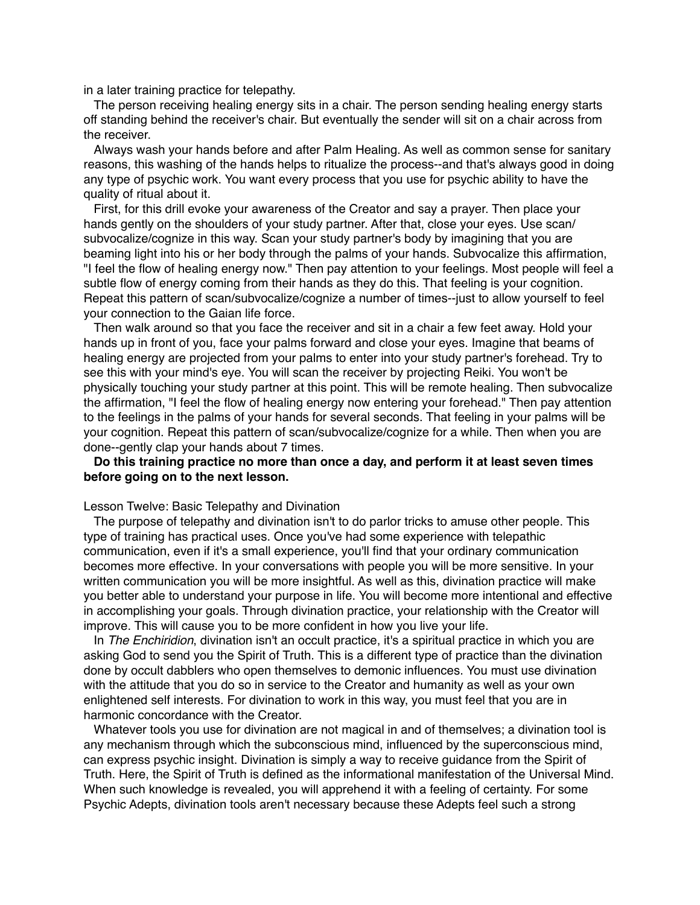in a later training practice for telepathy.

The person receiving healing energy sits in a chair. The person sending healing energy starts off standing behind the receiver's chair. But eventually the sender will sit on a chair across from the receiver.

Always wash your hands before and after Palm Healing. As well as common sense for sanitary reasons, this washing of the hands helps to ritualize the process--and that's always good in doing any type of psychic work. You want every process that you use for psychic ability to have the quality of ritual about it.

First, for this drill evoke your awareness of the Creator and say a prayer. Then place your hands gently on the shoulders of your study partner. After that, close your eyes. Use scan/ subvocalize/cognize in this way. Scan your study partner's body by imagining that you are beaming light into his or her body through the palms of your hands. Subvocalize this affirmation, "I feel the flow of healing energy now." Then pay attention to your feelings. Most people will feel a subtle flow of energy coming from their hands as they do this. That feeling is your cognition. Repeat this pattern of scan/subvocalize/cognize a number of times--just to allow yourself to feel your connection to the Gaian life force.

Then walk around so that you face the receiver and sit in a chair a few feet away. Hold your hands up in front of you, face your palms forward and close your eyes. Imagine that beams of healing energy are projected from your palms to enter into your study partner's forehead. Try to see this with your mind's eye. You will scan the receiver by projecting Reiki. You won't be physically touching your study partner at this point. This will be remote healing. Then subvocalize the affirmation, "I feel the flow of healing energy now entering your forehead." Then pay attention to the feelings in the palms of your hands for several seconds. That feeling in your palms will be your cognition. Repeat this pattern of scan/subvocalize/cognize for a while. Then when you are done--gently clap your hands about 7 times.

# **Do this training practice no more than once a day, and perform it at least seven times before going on to the next lesson.**

### Lesson Twelve: Basic Telepathy and Divination

The purpose of telepathy and divination isn't to do parlor tricks to amuse other people. This type of training has practical uses. Once you've had some experience with telepathic communication, even if it's a small experience, you'll find that your ordinary communication becomes more effective. In your conversations with people you will be more sensitive. In your written communication you will be more insightful. As well as this, divination practice will make you better able to understand your purpose in life. You will become more intentional and effective in accomplishing your goals. Through divination practice, your relationship with the Creator will improve. This will cause you to be more confident in how you live your life.

In *The Enchiridion*, divination isn't an occult practice, it's a spiritual practice in which you are asking God to send you the Spirit of Truth. This is a different type of practice than the divination done by occult dabblers who open themselves to demonic influences. You must use divination with the attitude that you do so in service to the Creator and humanity as well as your own enlightened self interests. For divination to work in this way, you must feel that you are in harmonic concordance with the Creator.

Whatever tools you use for divination are not magical in and of themselves; a divination tool is any mechanism through which the subconscious mind, influenced by the superconscious mind, can express psychic insight. Divination is simply a way to receive guidance from the Spirit of Truth. Here, the Spirit of Truth is defined as the informational manifestation of the Universal Mind. When such knowledge is revealed, you will apprehend it with a feeling of certainty. For some Psychic Adepts, divination tools aren't necessary because these Adepts feel such a strong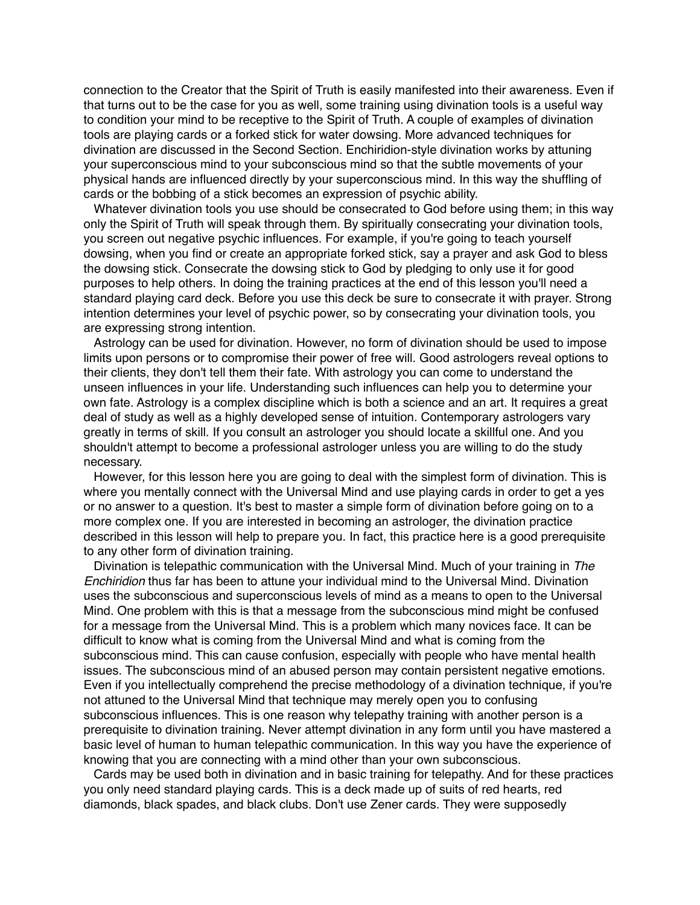connection to the Creator that the Spirit of Truth is easily manifested into their awareness. Even if that turns out to be the case for you as well, some training using divination tools is a useful way to condition your mind to be receptive to the Spirit of Truth. A couple of examples of divination tools are playing cards or a forked stick for water dowsing. More advanced techniques for divination are discussed in the Second Section. Enchiridion-style divination works by attuning your superconscious mind to your subconscious mind so that the subtle movements of your physical hands are influenced directly by your superconscious mind. In this way the shuffling of cards or the bobbing of a stick becomes an expression of psychic ability.

Whatever divination tools you use should be consecrated to God before using them; in this way only the Spirit of Truth will speak through them. By spiritually consecrating your divination tools, you screen out negative psychic influences. For example, if you're going to teach yourself dowsing, when you find or create an appropriate forked stick, say a prayer and ask God to bless the dowsing stick. Consecrate the dowsing stick to God by pledging to only use it for good purposes to help others. In doing the training practices at the end of this lesson you'll need a standard playing card deck. Before you use this deck be sure to consecrate it with prayer. Strong intention determines your level of psychic power, so by consecrating your divination tools, you are expressing strong intention.

Astrology can be used for divination. However, no form of divination should be used to impose limits upon persons or to compromise their power of free will. Good astrologers reveal options to their clients, they don't tell them their fate. With astrology you can come to understand the unseen influences in your life. Understanding such influences can help you to determine your own fate. Astrology is a complex discipline which is both a science and an art. It requires a great deal of study as well as a highly developed sense of intuition. Contemporary astrologers vary greatly in terms of skill. If you consult an astrologer you should locate a skillful one. And you shouldn't attempt to become a professional astrologer unless you are willing to do the study necessary.

However, for this lesson here you are going to deal with the simplest form of divination. This is where you mentally connect with the Universal Mind and use playing cards in order to get a yes or no answer to a question. It's best to master a simple form of divination before going on to a more complex one. If you are interested in becoming an astrologer, the divination practice described in this lesson will help to prepare you. In fact, this practice here is a good prerequisite to any other form of divination training.

Divination is telepathic communication with the Universal Mind. Much of your training in *The Enchiridion* thus far has been to attune your individual mind to the Universal Mind. Divination uses the subconscious and superconscious levels of mind as a means to open to the Universal Mind. One problem with this is that a message from the subconscious mind might be confused for a message from the Universal Mind. This is a problem which many novices face. It can be difficult to know what is coming from the Universal Mind and what is coming from the subconscious mind. This can cause confusion, especially with people who have mental health issues. The subconscious mind of an abused person may contain persistent negative emotions. Even if you intellectually comprehend the precise methodology of a divination technique, if you're not attuned to the Universal Mind that technique may merely open you to confusing subconscious influences. This is one reason why telepathy training with another person is a prerequisite to divination training. Never attempt divination in any form until you have mastered a basic level of human to human telepathic communication. In this way you have the experience of knowing that you are connecting with a mind other than your own subconscious.

Cards may be used both in divination and in basic training for telepathy. And for these practices you only need standard playing cards. This is a deck made up of suits of red hearts, red diamonds, black spades, and black clubs. Don't use Zener cards. They were supposedly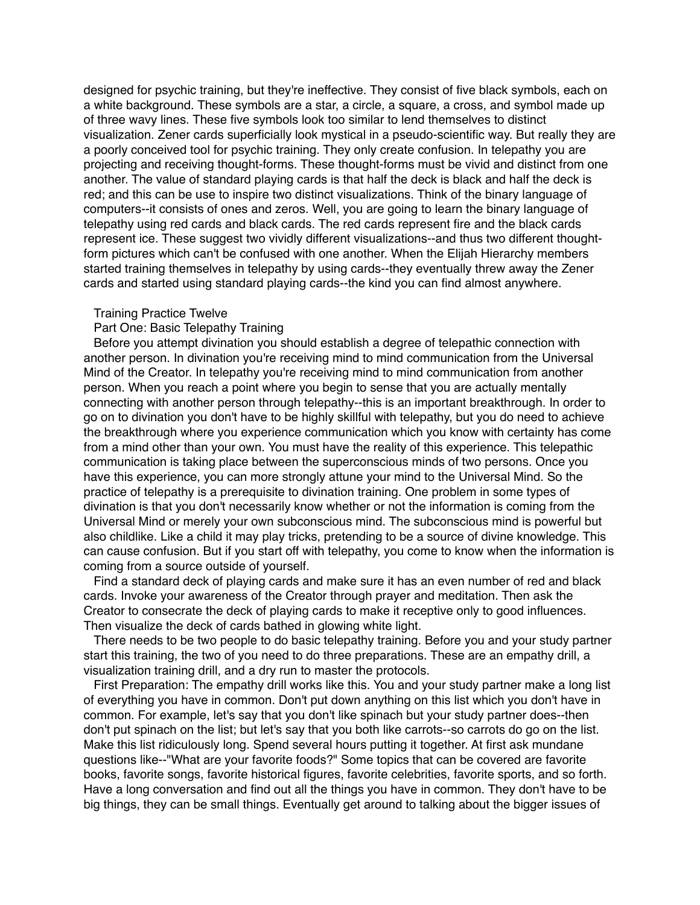designed for psychic training, but they're ineffective. They consist of five black symbols, each on a white background. These symbols are a star, a circle, a square, a cross, and symbol made up of three wavy lines. These five symbols look too similar to lend themselves to distinct visualization. Zener cards superficially look mystical in a pseudo-scientific way. But really they are a poorly conceived tool for psychic training. They only create confusion. In telepathy you are projecting and receiving thought-forms. These thought-forms must be vivid and distinct from one another. The value of standard playing cards is that half the deck is black and half the deck is red; and this can be use to inspire two distinct visualizations. Think of the binary language of computers--it consists of ones and zeros. Well, you are going to learn the binary language of telepathy using red cards and black cards. The red cards represent fire and the black cards represent ice. These suggest two vividly different visualizations--and thus two different thoughtform pictures which can't be confused with one another. When the Elijah Hierarchy members started training themselves in telepathy by using cards--they eventually threw away the Zener cards and started using standard playing cards--the kind you can find almost anywhere.

## Training Practice Twelve

# Part One: Basic Telepathy Training

Before you attempt divination you should establish a degree of telepathic connection with another person. In divination you're receiving mind to mind communication from the Universal Mind of the Creator. In telepathy you're receiving mind to mind communication from another person. When you reach a point where you begin to sense that you are actually mentally connecting with another person through telepathy--this is an important breakthrough. In order to go on to divination you don't have to be highly skillful with telepathy, but you do need to achieve the breakthrough where you experience communication which you know with certainty has come from a mind other than your own. You must have the reality of this experience. This telepathic communication is taking place between the superconscious minds of two persons. Once you have this experience, you can more strongly attune your mind to the Universal Mind. So the practice of telepathy is a prerequisite to divination training. One problem in some types of divination is that you don't necessarily know whether or not the information is coming from the Universal Mind or merely your own subconscious mind. The subconscious mind is powerful but also childlike. Like a child it may play tricks, pretending to be a source of divine knowledge. This can cause confusion. But if you start off with telepathy, you come to know when the information is coming from a source outside of yourself.

Find a standard deck of playing cards and make sure it has an even number of red and black cards. Invoke your awareness of the Creator through prayer and meditation. Then ask the Creator to consecrate the deck of playing cards to make it receptive only to good influences. Then visualize the deck of cards bathed in glowing white light.

There needs to be two people to do basic telepathy training. Before you and your study partner start this training, the two of you need to do three preparations. These are an empathy drill, a visualization training drill, and a dry run to master the protocols.

First Preparation: The empathy drill works like this. You and your study partner make a long list of everything you have in common. Don't put down anything on this list which you don't have in common. For example, let's say that you don't like spinach but your study partner does--then don't put spinach on the list; but let's say that you both like carrots--so carrots do go on the list. Make this list ridiculously long. Spend several hours putting it together. At first ask mundane questions like--"What are your favorite foods?" Some topics that can be covered are favorite books, favorite songs, favorite historical figures, favorite celebrities, favorite sports, and so forth. Have a long conversation and find out all the things you have in common. They don't have to be big things, they can be small things. Eventually get around to talking about the bigger issues of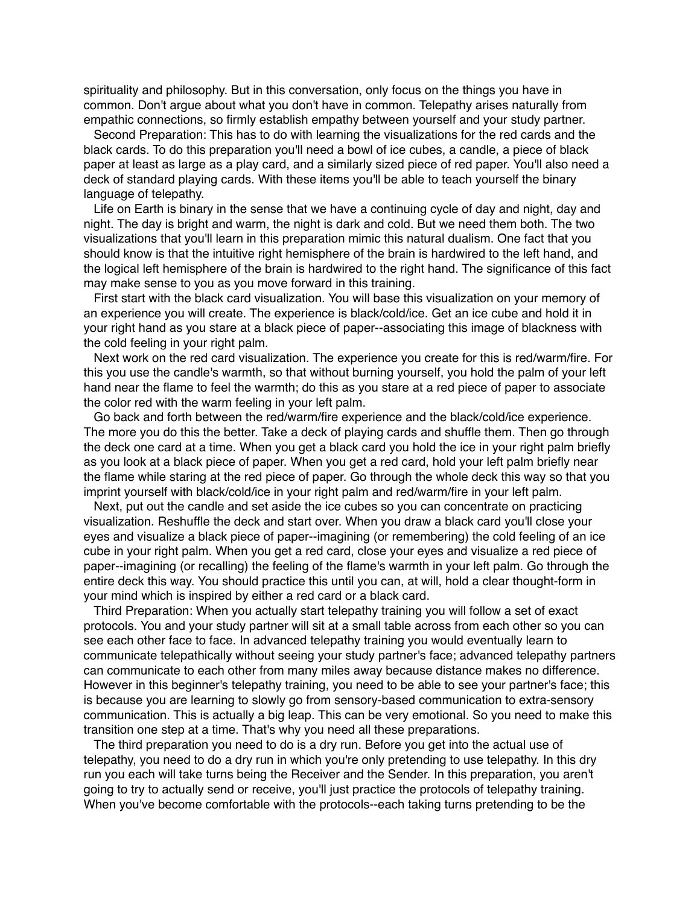spirituality and philosophy. But in this conversation, only focus on the things you have in common. Don't argue about what you don't have in common. Telepathy arises naturally from empathic connections, so firmly establish empathy between yourself and your study partner.

Second Preparation: This has to do with learning the visualizations for the red cards and the black cards. To do this preparation you'll need a bowl of ice cubes, a candle, a piece of black paper at least as large as a play card, and a similarly sized piece of red paper. You'll also need a deck of standard playing cards. With these items you'll be able to teach yourself the binary language of telepathy.

Life on Earth is binary in the sense that we have a continuing cycle of day and night, day and night. The day is bright and warm, the night is dark and cold. But we need them both. The two visualizations that you'll learn in this preparation mimic this natural dualism. One fact that you should know is that the intuitive right hemisphere of the brain is hardwired to the left hand, and the logical left hemisphere of the brain is hardwired to the right hand. The significance of this fact may make sense to you as you move forward in this training.

First start with the black card visualization. You will base this visualization on your memory of an experience you will create. The experience is black/cold/ice. Get an ice cube and hold it in your right hand as you stare at a black piece of paper--associating this image of blackness with the cold feeling in your right palm.

Next work on the red card visualization. The experience you create for this is red/warm/fire. For this you use the candle's warmth, so that without burning yourself, you hold the palm of your left hand near the flame to feel the warmth; do this as you stare at a red piece of paper to associate the color red with the warm feeling in your left palm.

Go back and forth between the red/warm/fire experience and the black/cold/ice experience. The more you do this the better. Take a deck of playing cards and shuffle them. Then go through the deck one card at a time. When you get a black card you hold the ice in your right palm briefly as you look at a black piece of paper. When you get a red card, hold your left palm briefly near the flame while staring at the red piece of paper. Go through the whole deck this way so that you imprint yourself with black/cold/ice in your right palm and red/warm/fire in your left palm.

Next, put out the candle and set aside the ice cubes so you can concentrate on practicing visualization. Reshuffle the deck and start over. When you draw a black card you'll close your eyes and visualize a black piece of paper--imagining (or remembering) the cold feeling of an ice cube in your right palm. When you get a red card, close your eyes and visualize a red piece of paper--imagining (or recalling) the feeling of the flame's warmth in your left palm. Go through the entire deck this way. You should practice this until you can, at will, hold a clear thought-form in your mind which is inspired by either a red card or a black card.

Third Preparation: When you actually start telepathy training you will follow a set of exact protocols. You and your study partner will sit at a small table across from each other so you can see each other face to face. In advanced telepathy training you would eventually learn to communicate telepathically without seeing your study partner's face; advanced telepathy partners can communicate to each other from many miles away because distance makes no difference. However in this beginner's telepathy training, you need to be able to see your partner's face; this is because you are learning to slowly go from sensory-based communication to extra-sensory communication. This is actually a big leap. This can be very emotional. So you need to make this transition one step at a time. That's why you need all these preparations.

The third preparation you need to do is a dry run. Before you get into the actual use of telepathy, you need to do a dry run in which you're only pretending to use telepathy. In this dry run you each will take turns being the Receiver and the Sender. In this preparation, you aren't going to try to actually send or receive, you'll just practice the protocols of telepathy training. When you've become comfortable with the protocols--each taking turns pretending to be the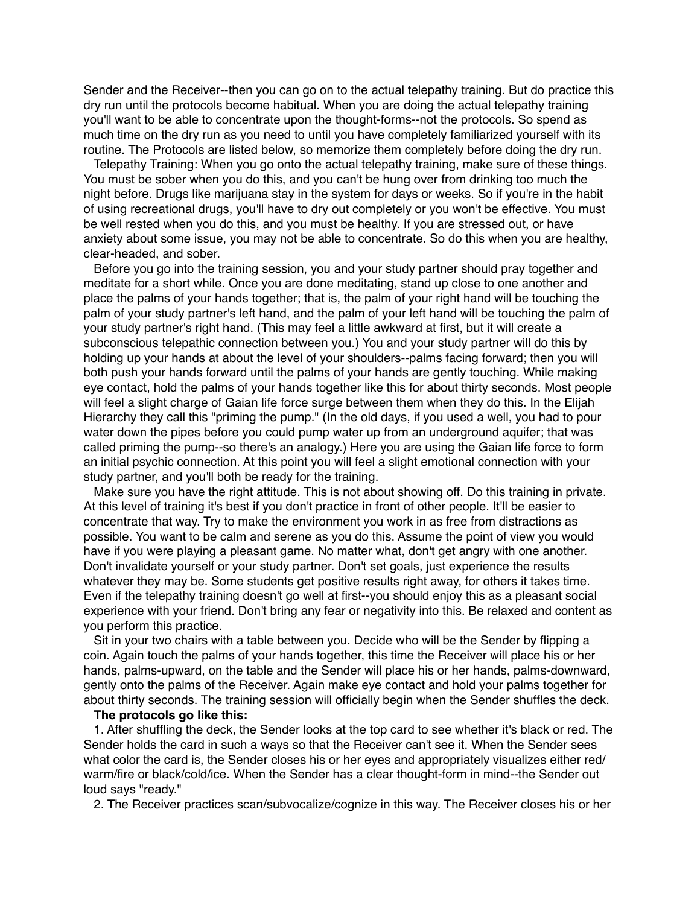Sender and the Receiver--then you can go on to the actual telepathy training. But do practice this dry run until the protocols become habitual. When you are doing the actual telepathy training you'll want to be able to concentrate upon the thought-forms--not the protocols. So spend as much time on the dry run as you need to until you have completely familiarized yourself with its routine. The Protocols are listed below, so memorize them completely before doing the dry run.

Telepathy Training: When you go onto the actual telepathy training, make sure of these things. You must be sober when you do this, and you can't be hung over from drinking too much the night before. Drugs like marijuana stay in the system for days or weeks. So if you're in the habit of using recreational drugs, you'll have to dry out completely or you won't be effective. You must be well rested when you do this, and you must be healthy. If you are stressed out, or have anxiety about some issue, you may not be able to concentrate. So do this when you are healthy, clear-headed, and sober.

Before you go into the training session, you and your study partner should pray together and meditate for a short while. Once you are done meditating, stand up close to one another and place the palms of your hands together; that is, the palm of your right hand will be touching the palm of your study partner's left hand, and the palm of your left hand will be touching the palm of your study partner's right hand. (This may feel a little awkward at first, but it will create a subconscious telepathic connection between you.) You and your study partner will do this by holding up your hands at about the level of your shoulders--palms facing forward; then you will both push your hands forward until the palms of your hands are gently touching. While making eye contact, hold the palms of your hands together like this for about thirty seconds. Most people will feel a slight charge of Gaian life force surge between them when they do this. In the Elijah Hierarchy they call this "priming the pump." (In the old days, if you used a well, you had to pour water down the pipes before you could pump water up from an underground aquifer; that was called priming the pump--so there's an analogy.) Here you are using the Gaian life force to form an initial psychic connection. At this point you will feel a slight emotional connection with your study partner, and you'll both be ready for the training.

Make sure you have the right attitude. This is not about showing off. Do this training in private. At this level of training it's best if you don't practice in front of other people. It'll be easier to concentrate that way. Try to make the environment you work in as free from distractions as possible. You want to be calm and serene as you do this. Assume the point of view you would have if you were playing a pleasant game. No matter what, don't get angry with one another. Don't invalidate yourself or your study partner. Don't set goals, just experience the results whatever they may be. Some students get positive results right away, for others it takes time. Even if the telepathy training doesn't go well at first--you should enjoy this as a pleasant social experience with your friend. Don't bring any fear or negativity into this. Be relaxed and content as you perform this practice.

Sit in your two chairs with a table between you. Decide who will be the Sender by flipping a coin. Again touch the palms of your hands together, this time the Receiver will place his or her hands, palms-upward, on the table and the Sender will place his or her hands, palms-downward, gently onto the palms of the Receiver. Again make eye contact and hold your palms together for about thirty seconds. The training session will officially begin when the Sender shuffles the deck.

### **The protocols go like this:**

1. After shuffling the deck, the Sender looks at the top card to see whether it's black or red. The Sender holds the card in such a ways so that the Receiver can't see it. When the Sender sees what color the card is, the Sender closes his or her eyes and appropriately visualizes either red/ warm/fire or black/cold/ice. When the Sender has a clear thought-form in mind--the Sender out loud says "ready."

2. The Receiver practices scan/subvocalize/cognize in this way. The Receiver closes his or her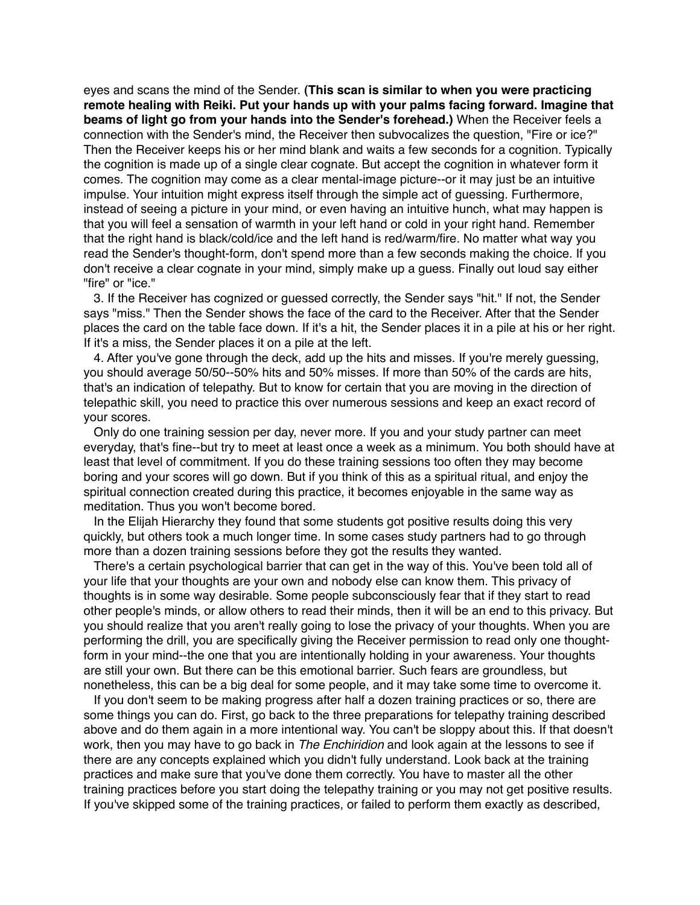eyes and scans the mind of the Sender. **(This scan is similar to when you were practicing remote healing with Reiki. Put your hands up with your palms facing forward. Imagine that beams of light go from your hands into the Sender's forehead.)** When the Receiver feels a connection with the Sender's mind, the Receiver then subvocalizes the question, "Fire or ice?" Then the Receiver keeps his or her mind blank and waits a few seconds for a cognition. Typically the cognition is made up of a single clear cognate. But accept the cognition in whatever form it comes. The cognition may come as a clear mental-image picture--or it may just be an intuitive impulse. Your intuition might express itself through the simple act of guessing. Furthermore, instead of seeing a picture in your mind, or even having an intuitive hunch, what may happen is that you will feel a sensation of warmth in your left hand or cold in your right hand. Remember that the right hand is black/cold/ice and the left hand is red/warm/fire. No matter what way you read the Sender's thought-form, don't spend more than a few seconds making the choice. If you don't receive a clear cognate in your mind, simply make up a guess. Finally out loud say either "fire" or "ice."

3. If the Receiver has cognized or guessed correctly, the Sender says "hit." If not, the Sender says "miss." Then the Sender shows the face of the card to the Receiver. After that the Sender places the card on the table face down. If it's a hit, the Sender places it in a pile at his or her right. If it's a miss, the Sender places it on a pile at the left.

4. After you've gone through the deck, add up the hits and misses. If you're merely guessing, you should average 50/50--50% hits and 50% misses. If more than 50% of the cards are hits, that's an indication of telepathy. But to know for certain that you are moving in the direction of telepathic skill, you need to practice this over numerous sessions and keep an exact record of your scores.

Only do one training session per day, never more. If you and your study partner can meet everyday, that's fine--but try to meet at least once a week as a minimum. You both should have at least that level of commitment. If you do these training sessions too often they may become boring and your scores will go down. But if you think of this as a spiritual ritual, and enjoy the spiritual connection created during this practice, it becomes enjoyable in the same way as meditation. Thus you won't become bored.

In the Elijah Hierarchy they found that some students got positive results doing this very quickly, but others took a much longer time. In some cases study partners had to go through more than a dozen training sessions before they got the results they wanted.

There's a certain psychological barrier that can get in the way of this. You've been told all of your life that your thoughts are your own and nobody else can know them. This privacy of thoughts is in some way desirable. Some people subconsciously fear that if they start to read other people's minds, or allow others to read their minds, then it will be an end to this privacy. But you should realize that you aren't really going to lose the privacy of your thoughts. When you are performing the drill, you are specifically giving the Receiver permission to read only one thoughtform in your mind--the one that you are intentionally holding in your awareness. Your thoughts are still your own. But there can be this emotional barrier. Such fears are groundless, but nonetheless, this can be a big deal for some people, and it may take some time to overcome it.

If you don't seem to be making progress after half a dozen training practices or so, there are some things you can do. First, go back to the three preparations for telepathy training described above and do them again in a more intentional way. You can't be sloppy about this. If that doesn't work, then you may have to go back in *The Enchiridion* and look again at the lessons to see if there are any concepts explained which you didn't fully understand. Look back at the training practices and make sure that you've done them correctly. You have to master all the other training practices before you start doing the telepathy training or you may not get positive results. If you've skipped some of the training practices, or failed to perform them exactly as described,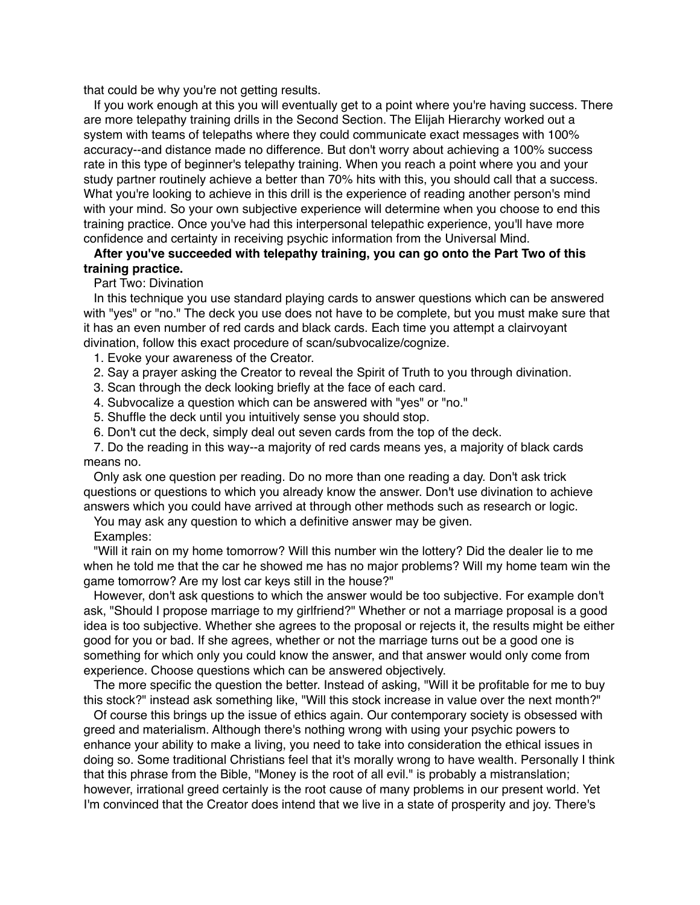that could be why you're not getting results.

If you work enough at this you will eventually get to a point where you're having success. There are more telepathy training drills in the Second Section. The Elijah Hierarchy worked out a system with teams of telepaths where they could communicate exact messages with 100% accuracy--and distance made no difference. But don't worry about achieving a 100% success rate in this type of beginner's telepathy training. When you reach a point where you and your study partner routinely achieve a better than 70% hits with this, you should call that a success. What you're looking to achieve in this drill is the experience of reading another person's mind with your mind. So your own subjective experience will determine when you choose to end this training practice. Once you've had this interpersonal telepathic experience, you'll have more confidence and certainty in receiving psychic information from the Universal Mind.

# **After you've succeeded with telepathy training, you can go onto the Part Two of this training practice.**

# Part Two: Divination

In this technique you use standard playing cards to answer questions which can be answered with "yes" or "no." The deck you use does not have to be complete, but you must make sure that it has an even number of red cards and black cards. Each time you attempt a clairvoyant divination, follow this exact procedure of scan/subvocalize/cognize.

- 1. Evoke your awareness of the Creator.
- 2. Say a prayer asking the Creator to reveal the Spirit of Truth to you through divination.
- 3. Scan through the deck looking briefly at the face of each card.
- 4. Subvocalize a question which can be answered with "yes" or "no."
- 5. Shuffle the deck until you intuitively sense you should stop.
- 6. Don't cut the deck, simply deal out seven cards from the top of the deck.

7. Do the reading in this way--a majority of red cards means yes, a majority of black cards means no.

Only ask one question per reading. Do no more than one reading a day. Don't ask trick questions or questions to which you already know the answer. Don't use divination to achieve answers which you could have arrived at through other methods such as research or logic.

You may ask any question to which a definitive answer may be given.

# Examples:

"Will it rain on my home tomorrow? Will this number win the lottery? Did the dealer lie to me when he told me that the car he showed me has no major problems? Will my home team win the game tomorrow? Are my lost car keys still in the house?"

However, don't ask questions to which the answer would be too subjective. For example don't ask, "Should I propose marriage to my girlfriend?" Whether or not a marriage proposal is a good idea is too subjective. Whether she agrees to the proposal or rejects it, the results might be either good for you or bad. If she agrees, whether or not the marriage turns out be a good one is something for which only you could know the answer, and that answer would only come from experience. Choose questions which can be answered objectively.

The more specific the question the better. Instead of asking, "Will it be profitable for me to buy this stock?" instead ask something like, "Will this stock increase in value over the next month?"

Of course this brings up the issue of ethics again. Our contemporary society is obsessed with greed and materialism. Although there's nothing wrong with using your psychic powers to enhance your ability to make a living, you need to take into consideration the ethical issues in doing so. Some traditional Christians feel that it's morally wrong to have wealth. Personally I think that this phrase from the Bible, "Money is the root of all evil." is probably a mistranslation; however, irrational greed certainly is the root cause of many problems in our present world. Yet I'm convinced that the Creator does intend that we live in a state of prosperity and joy. There's